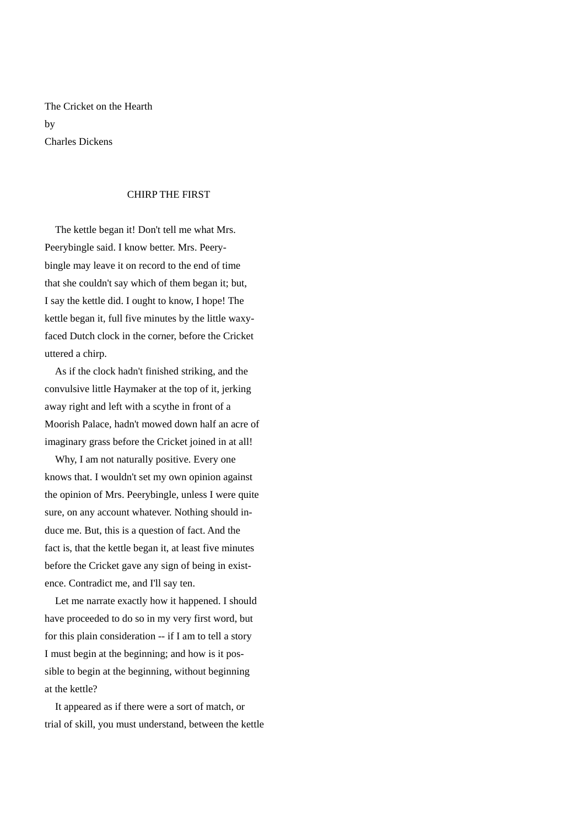The Cricket on the Hearth by Charles Dickens

## CHIRP THE FIRST

 The kettle began it! Don't tell me what Mrs. Peerybingle said. I know better. Mrs. Peerybingle may leave it on record to the end of time that she couldn't say which of them began it; but, I say the kettle did. I ought to know, I hope! The kettle began it, full five minutes by the little waxyfaced Dutch clock in the corner, before the Cricket uttered a chirp.

 As if the clock hadn't finished striking, and the convulsive little Haymaker at the top of it, jerking away right and left with a scythe in front of a Moorish Palace, hadn't mowed down half an acre of imaginary grass before the Cricket joined in at all!

 Why, I am not naturally positive. Every one knows that. I wouldn't set my own opinion against the opinion of Mrs. Peerybingle, unless I were quite sure, on any account whatever. Nothing should induce me. But, this is a question of fact. And the fact is, that the kettle began it, at least five minutes before the Cricket gave any sign of being in existence. Contradict me, and I'll say ten.

 Let me narrate exactly how it happened. I should have proceeded to do so in my very first word, but for this plain consideration -- if I am to tell a story I must begin at the beginning; and how is it possible to begin at the beginning, without beginning at the kettle?

 It appeared as if there were a sort of match, or trial of skill, you must understand, between the kettle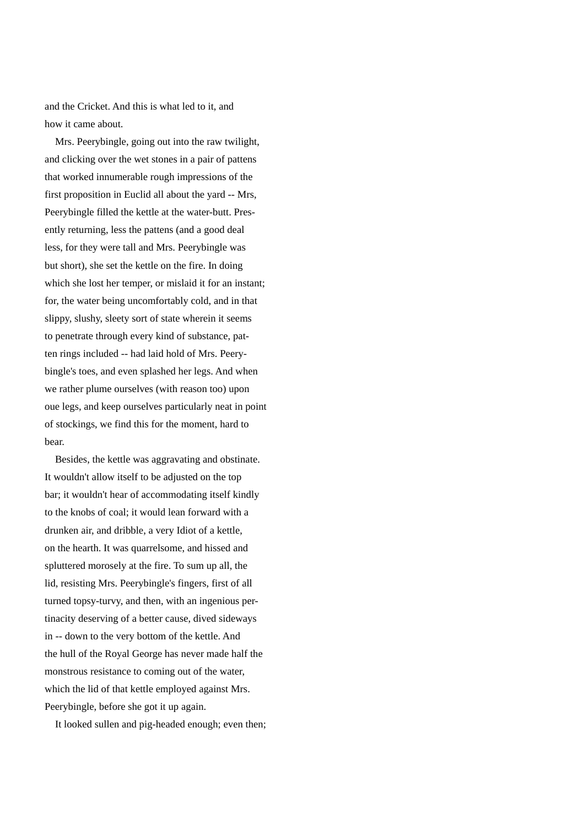and the Cricket. And this is what led to it, and how it came about.

 Mrs. Peerybingle, going out into the raw twilight, and clicking over the wet stones in a pair of pattens that worked innumerable rough impressions of the first proposition in Euclid all about the yard -- Mrs, Peerybingle filled the kettle at the water-butt. Presently returning, less the pattens (and a good deal less, for they were tall and Mrs. Peerybingle was but short), she set the kettle on the fire. In doing which she lost her temper, or mislaid it for an instant; for, the water being uncomfortably cold, and in that slippy, slushy, sleety sort of state wherein it seems to penetrate through every kind of substance, patten rings included -- had laid hold of Mrs. Peerybingle's toes, and even splashed her legs. And when we rather plume ourselves (with reason too) upon oue legs, and keep ourselves particularly neat in point of stockings, we find this for the moment, hard to bear.

 Besides, the kettle was aggravating and obstinate. It wouldn't allow itself to be adjusted on the top bar; it wouldn't hear of accommodating itself kindly to the knobs of coal; it would lean forward with a drunken air, and dribble, a very Idiot of a kettle, on the hearth. It was quarrelsome, and hissed and spluttered morosely at the fire. To sum up all, the lid, resisting Mrs. Peerybingle's fingers, first of all turned topsy-turvy, and then, with an ingenious pertinacity deserving of a better cause, dived sideways in -- down to the very bottom of the kettle. And the hull of the Royal George has never made half the monstrous resistance to coming out of the water, which the lid of that kettle employed against Mrs. Peerybingle, before she got it up again.

It looked sullen and pig-headed enough; even then;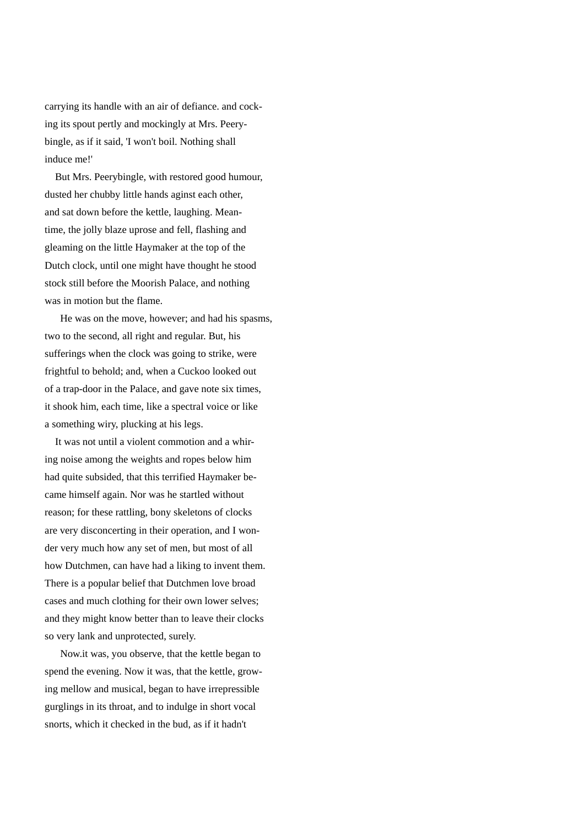carrying its handle with an air of defiance. and cocking its spout pertly and mockingly at Mrs. Peerybingle, as if it said, 'I won't boil. Nothing shall induce me!'

 But Mrs. Peerybingle, with restored good humour, dusted her chubby little hands aginst each other, and sat down before the kettle, laughing. Meantime, the jolly blaze uprose and fell, flashing and gleaming on the little Haymaker at the top of the Dutch clock, until one might have thought he stood stock still before the Moorish Palace, and nothing was in motion but the flame.

 He was on the move, however; and had his spasms, two to the second, all right and regular. But, his sufferings when the clock was going to strike, were frightful to behold; and, when a Cuckoo looked out of a trap-door in the Palace, and gave note six times, it shook him, each time, like a spectral voice or like a something wiry, plucking at his legs.

 It was not until a violent commotion and a whiring noise among the weights and ropes below him had quite subsided, that this terrified Haymaker became himself again. Nor was he startled without reason; for these rattling, bony skeletons of clocks are very disconcerting in their operation, and I wonder very much how any set of men, but most of all how Dutchmen, can have had a liking to invent them. There is a popular belief that Dutchmen love broad cases and much clothing for their own lower selves; and they might know better than to leave their clocks so very lank and unprotected, surely.

 Now.it was, you observe, that the kettle began to spend the evening. Now it was, that the kettle, growing mellow and musical, began to have irrepressible gurglings in its throat, and to indulge in short vocal snorts, which it checked in the bud, as if it hadn't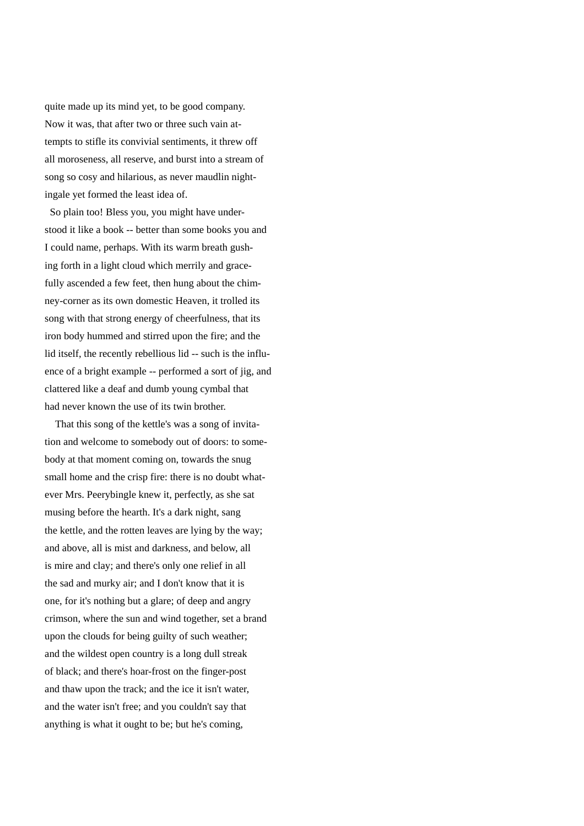quite made up its mind yet, to be good company. Now it was, that after two or three such vain attempts to stifle its convivial sentiments, it threw off all moroseness, all reserve, and burst into a stream of song so cosy and hilarious, as never maudlin nightingale yet formed the least idea of.

 So plain too! Bless you, you might have understood it like a book -- better than some books you and I could name, perhaps. With its warm breath gushing forth in a light cloud which merrily and gracefully ascended a few feet, then hung about the chimney-corner as its own domestic Heaven, it trolled its song with that strong energy of cheerfulness, that its iron body hummed and stirred upon the fire; and the lid itself, the recently rebellious lid -- such is the influence of a bright example -- performed a sort of jig, and clattered like a deaf and dumb young cymbal that had never known the use of its twin brother.

 That this song of the kettle's was a song of invitation and welcome to somebody out of doors: to somebody at that moment coming on, towards the snug small home and the crisp fire: there is no doubt whatever Mrs. Peerybingle knew it, perfectly, as she sat musing before the hearth. It's a dark night, sang the kettle, and the rotten leaves are lying by the way; and above, all is mist and darkness, and below, all is mire and clay; and there's only one relief in all the sad and murky air; and I don't know that it is one, for it's nothing but a glare; of deep and angry crimson, where the sun and wind together, set a brand upon the clouds for being guilty of such weather; and the wildest open country is a long dull streak of black; and there's hoar-frost on the finger-post and thaw upon the track; and the ice it isn't water, and the water isn't free; and you couldn't say that anything is what it ought to be; but he's coming,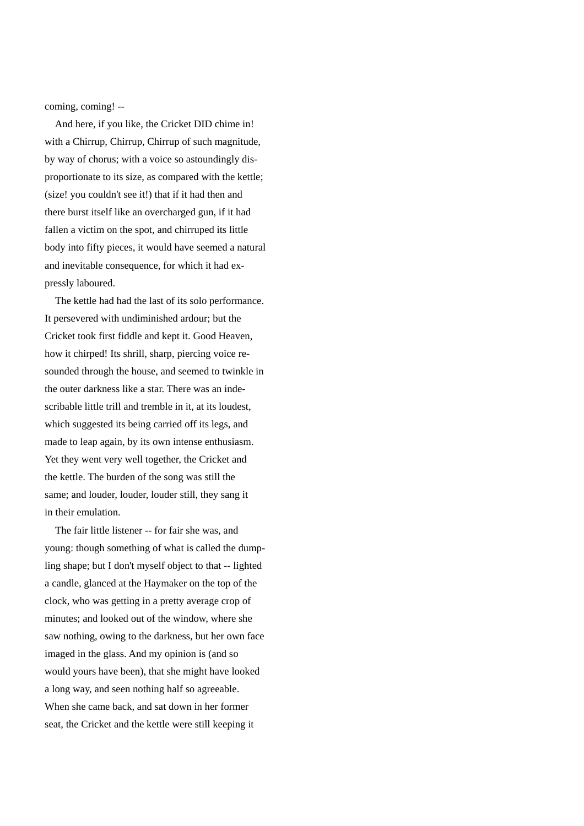coming, coming! --

 And here, if you like, the Cricket DID chime in! with a Chirrup, Chirrup, Chirrup of such magnitude, by way of chorus; with a voice so astoundingly disproportionate to its size, as compared with the kettle; (size! you couldn't see it!) that if it had then and there burst itself like an overcharged gun, if it had fallen a victim on the spot, and chirruped its little body into fifty pieces, it would have seemed a natural and inevitable consequence, for which it had expressly laboured.

 The kettle had had the last of its solo performance. It persevered with undiminished ardour; but the Cricket took first fiddle and kept it. Good Heaven, how it chirped! Its shrill, sharp, piercing voice resounded through the house, and seemed to twinkle in the outer darkness like a star. There was an indescribable little trill and tremble in it, at its loudest, which suggested its being carried off its legs, and made to leap again, by its own intense enthusiasm. Yet they went very well together, the Cricket and the kettle. The burden of the song was still the same; and louder, louder, louder still, they sang it in their emulation.

 The fair little listener -- for fair she was, and young: though something of what is called the dumpling shape; but I don't myself object to that -- lighted a candle, glanced at the Haymaker on the top of the clock, who was getting in a pretty average crop of minutes; and looked out of the window, where she saw nothing, owing to the darkness, but her own face imaged in the glass. And my opinion is (and so would yours have been), that she might have looked a long way, and seen nothing half so agreeable. When she came back, and sat down in her former seat, the Cricket and the kettle were still keeping it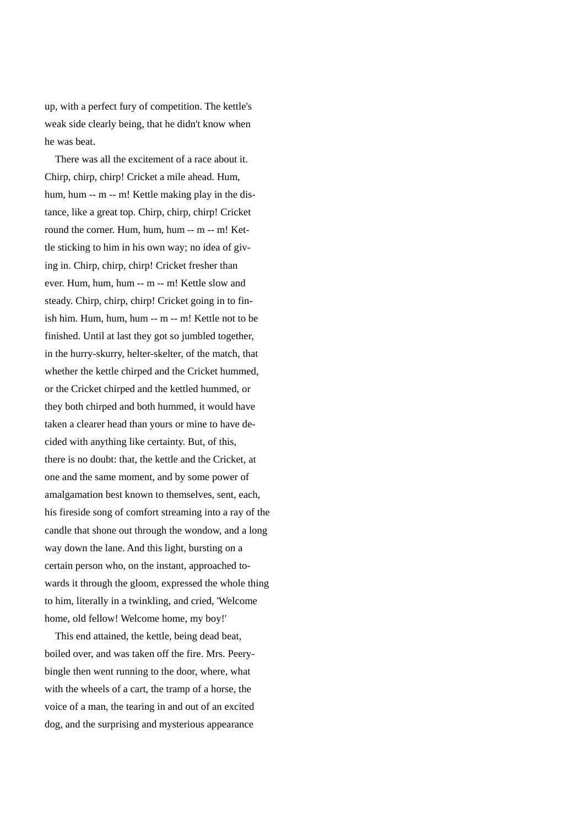up, with a perfect fury of competition. The kettle's weak side clearly being, that he didn't know when he was beat.

 There was all the excitement of a race about it. Chirp, chirp, chirp! Cricket a mile ahead. Hum, hum, hum -- m -- m! Kettle making play in the distance, like a great top. Chirp, chirp, chirp! Cricket round the corner. Hum, hum, hum -- m -- m! Kettle sticking to him in his own way; no idea of giving in. Chirp, chirp, chirp! Cricket fresher than ever. Hum, hum, hum -- m -- m! Kettle slow and steady. Chirp, chirp, chirp! Cricket going in to finish him. Hum, hum, hum -- m -- m! Kettle not to be finished. Until at last they got so jumbled together, in the hurry-skurry, helter-skelter, of the match, that whether the kettle chirped and the Cricket hummed, or the Cricket chirped and the kettled hummed, or they both chirped and both hummed, it would have taken a clearer head than yours or mine to have decided with anything like certainty. But, of this, there is no doubt: that, the kettle and the Cricket, at one and the same moment, and by some power of amalgamation best known to themselves, sent, each, his fireside song of comfort streaming into a ray of the candle that shone out through the wondow, and a long way down the lane. And this light, bursting on a certain person who, on the instant, approached towards it through the gloom, expressed the whole thing to him, literally in a twinkling, and cried, 'Welcome home, old fellow! Welcome home, my boy!'

 This end attained, the kettle, being dead beat, boiled over, and was taken off the fire. Mrs. Peerybingle then went running to the door, where, what with the wheels of a cart, the tramp of a horse, the voice of a man, the tearing in and out of an excited dog, and the surprising and mysterious appearance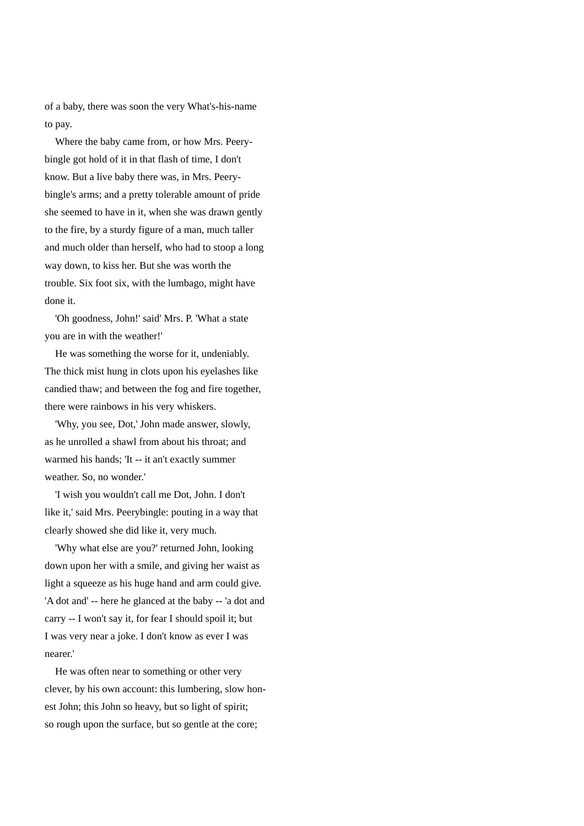of a baby, there was soon the very What's-his-name to pay.

 Where the baby came from, or how Mrs. Peerybingle got hold of it in that flash of time, I don't know. But a live baby there was, in Mrs. Peerybingle's arms; and a pretty tolerable amount of pride she seemed to have in it, when she was drawn gently to the fire, by a sturdy figure of a man, much taller and much older than herself, who had to stoop a long way down, to kiss her. But she was worth the trouble. Six foot six, with the lumbago, might have done it.

 'Oh goodness, John!' said' Mrs. P. 'What a state you are in with the weather!'

 He was something the worse for it, undeniably. The thick mist hung in clots upon his eyelashes like candied thaw; and between the fog and fire together, there were rainbows in his very whiskers.

 'Why, you see, Dot,' John made answer, slowly, as he unrolled a shawl from about his throat; and warmed his hands; 'It -- it an't exactly summer weather. So, no wonder.'

 'I wish you wouldn't call me Dot, John. I don't like it,' said Mrs. Peerybingle: pouting in a way that clearly showed she did like it, very much.

 'Why what else are you?' returned John, looking down upon her with a smile, and giving her waist as light a squeeze as his huge hand and arm could give. 'A dot and' -- here he glanced at the baby -- 'a dot and carry -- I won't say it, for fear I should spoil it; but I was very near a joke. I don't know as ever I was nearer.'

 He was often near to something or other very clever, by his own account: this lumbering, slow honest John; this John so heavy, but so light of spirit; so rough upon the surface, but so gentle at the core;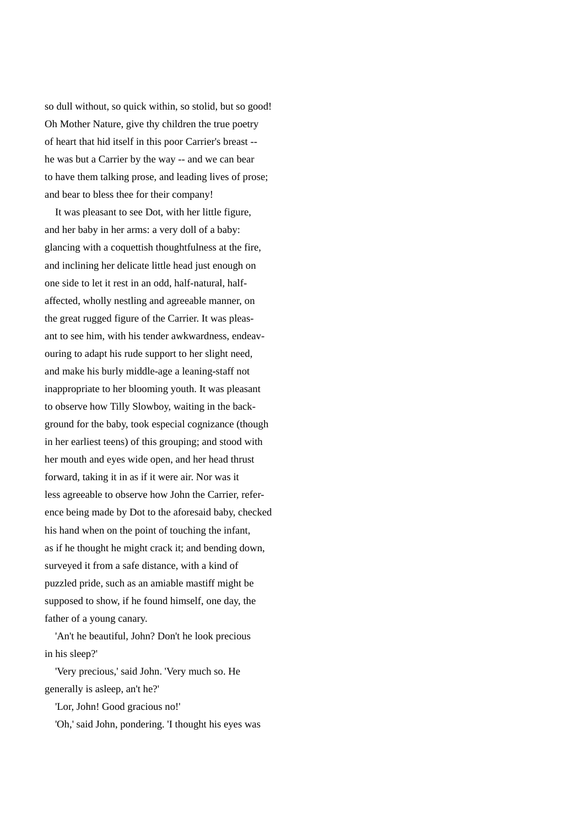so dull without, so quick within, so stolid, but so good! Oh Mother Nature, give thy children the true poetry of heart that hid itself in this poor Carrier's breast - he was but a Carrier by the way -- and we can bear to have them talking prose, and leading lives of prose; and bear to bless thee for their company!

 It was pleasant to see Dot, with her little figure, and her baby in her arms: a very doll of a baby: glancing with a coquettish thoughtfulness at the fire, and inclining her delicate little head just enough on one side to let it rest in an odd, half-natural, halfaffected, wholly nestling and agreeable manner, on the great rugged figure of the Carrier. It was pleasant to see him, with his tender awkwardness, endeavouring to adapt his rude support to her slight need, and make his burly middle-age a leaning-staff not inappropriate to her blooming youth. It was pleasant to observe how Tilly Slowboy, waiting in the background for the baby, took especial cognizance (though in her earliest teens) of this grouping; and stood with her mouth and eyes wide open, and her head thrust forward, taking it in as if it were air. Nor was it less agreeable to observe how John the Carrier, reference being made by Dot to the aforesaid baby, checked his hand when on the point of touching the infant, as if he thought he might crack it; and bending down, surveyed it from a safe distance, with a kind of puzzled pride, such as an amiable mastiff might be supposed to show, if he found himself, one day, the father of a young canary.

 'An't he beautiful, John? Don't he look precious in his sleep?'

 'Very precious,' said John. 'Very much so. He generally is asleep, an't he?'

'Lor, John! Good gracious no!'

'Oh,' said John, pondering. 'I thought his eyes was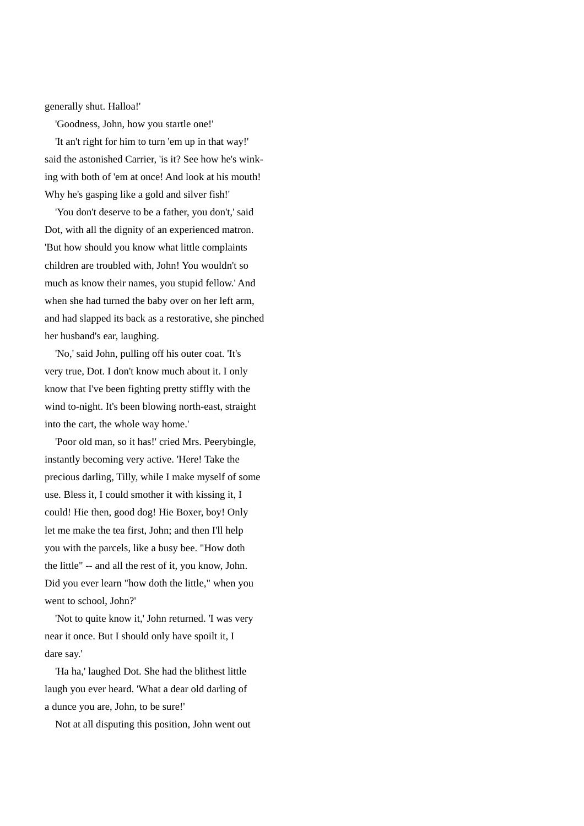generally shut. Halloa!'

'Goodness, John, how you startle one!'

 'It an't right for him to turn 'em up in that way!' said the astonished Carrier, 'is it? See how he's winking with both of 'em at once! And look at his mouth! Why he's gasping like a gold and silver fish!'

 'You don't deserve to be a father, you don't,' said Dot, with all the dignity of an experienced matron. 'But how should you know what little complaints children are troubled with, John! You wouldn't so much as know their names, you stupid fellow.' And when she had turned the baby over on her left arm, and had slapped its back as a restorative, she pinched her husband's ear, laughing.

 'No,' said John, pulling off his outer coat. 'It's very true, Dot. I don't know much about it. I only know that I've been fighting pretty stiffly with the wind to-night. It's been blowing north-east, straight into the cart, the whole way home.'

 'Poor old man, so it has!' cried Mrs. Peerybingle, instantly becoming very active. 'Here! Take the precious darling, Tilly, while I make myself of some use. Bless it, I could smother it with kissing it, I could! Hie then, good dog! Hie Boxer, boy! Only let me make the tea first, John; and then I'll help you with the parcels, like a busy bee. "How doth the little" -- and all the rest of it, you know, John. Did you ever learn "how doth the little," when you went to school, John?'

 'Not to quite know it,' John returned. 'I was very near it once. But I should only have spoilt it, I dare say.'

 'Ha ha,' laughed Dot. She had the blithest little laugh you ever heard. 'What a dear old darling of a dunce you are, John, to be sure!'

Not at all disputing this position, John went out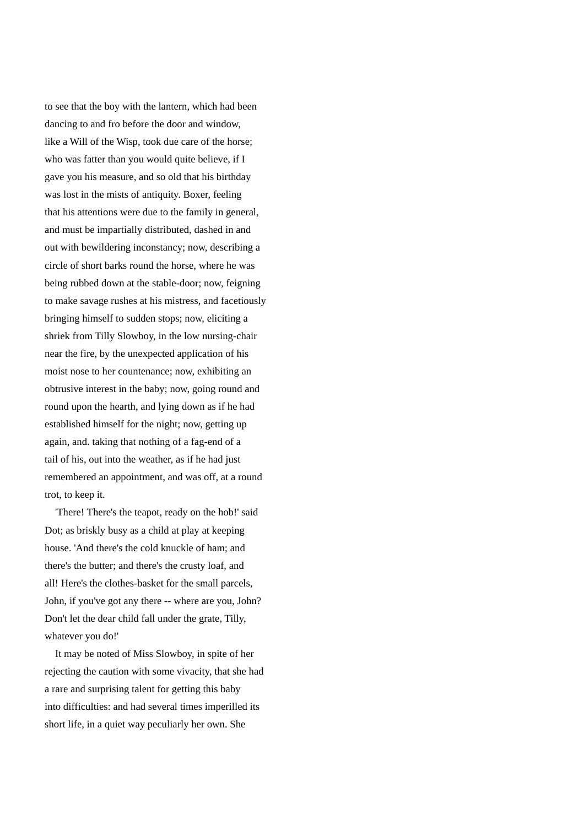to see that the boy with the lantern, which had been dancing to and fro before the door and window, like a Will of the Wisp, took due care of the horse; who was fatter than you would quite believe, if I gave you his measure, and so old that his birthday was lost in the mists of antiquity. Boxer, feeling that his attentions were due to the family in general, and must be impartially distributed, dashed in and out with bewildering inconstancy; now, describing a circle of short barks round the horse, where he was being rubbed down at the stable-door; now, feigning to make savage rushes at his mistress, and facetiously bringing himself to sudden stops; now, eliciting a shriek from Tilly Slowboy, in the low nursing-chair near the fire, by the unexpected application of his moist nose to her countenance; now, exhibiting an obtrusive interest in the baby; now, going round and round upon the hearth, and lying down as if he had established himself for the night; now, getting up again, and. taking that nothing of a fag-end of a tail of his, out into the weather, as if he had just remembered an appointment, and was off, at a round trot, to keep it.

 'There! There's the teapot, ready on the hob!' said Dot; as briskly busy as a child at play at keeping house. 'And there's the cold knuckle of ham; and there's the butter; and there's the crusty loaf, and all! Here's the clothes-basket for the small parcels, John, if you've got any there -- where are you, John? Don't let the dear child fall under the grate, Tilly, whatever you do!'

 It may be noted of Miss Slowboy, in spite of her rejecting the caution with some vivacity, that she had a rare and surprising talent for getting this baby into difficulties: and had several times imperilled its short life, in a quiet way peculiarly her own. She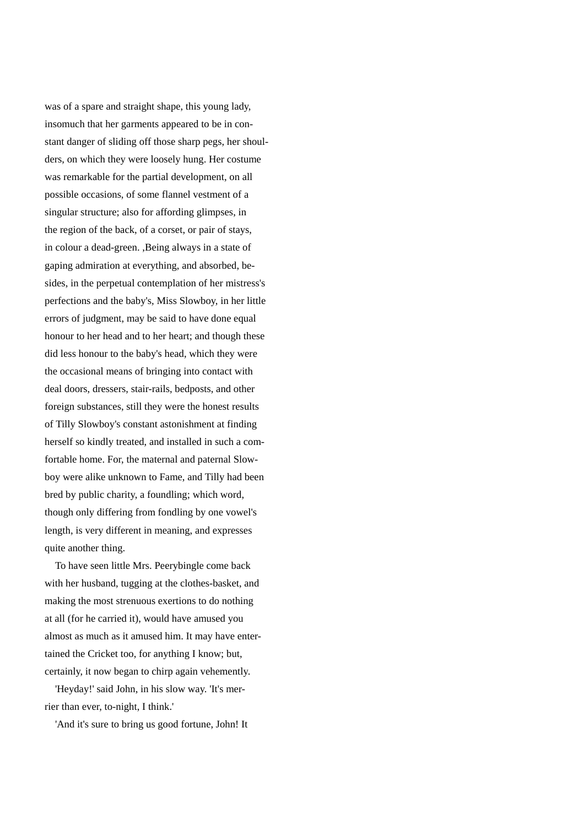was of a spare and straight shape, this young lady, insomuch that her garments appeared to be in constant danger of sliding off those sharp pegs, her shoulders, on which they were loosely hung. Her costume was remarkable for the partial development, on all possible occasions, of some flannel vestment of a singular structure; also for affording glimpses, in the region of the back, of a corset, or pair of stays, in colour a dead-green. ,Being always in a state of gaping admiration at everything, and absorbed, besides, in the perpetual contemplation of her mistress's perfections and the baby's, Miss Slowboy, in her little errors of judgment, may be said to have done equal honour to her head and to her heart; and though these did less honour to the baby's head, which they were the occasional means of bringing into contact with deal doors, dressers, stair-rails, bedposts, and other foreign substances, still they were the honest results of Tilly Slowboy's constant astonishment at finding herself so kindly treated, and installed in such a comfortable home. For, the maternal and paternal Slowboy were alike unknown to Fame, and Tilly had been bred by public charity, a foundling; which word, though only differing from fondling by one vowel's length, is very different in meaning, and expresses quite another thing.

 To have seen little Mrs. Peerybingle come back with her husband, tugging at the clothes-basket, and making the most strenuous exertions to do nothing at all (for he carried it), would have amused you almost as much as it amused him. It may have entertained the Cricket too, for anything I know; but, certainly, it now began to chirp again vehemently.

 'Heyday!' said John, in his slow way. 'It's merrier than ever, to-night, I think.'

'And it's sure to bring us good fortune, John! It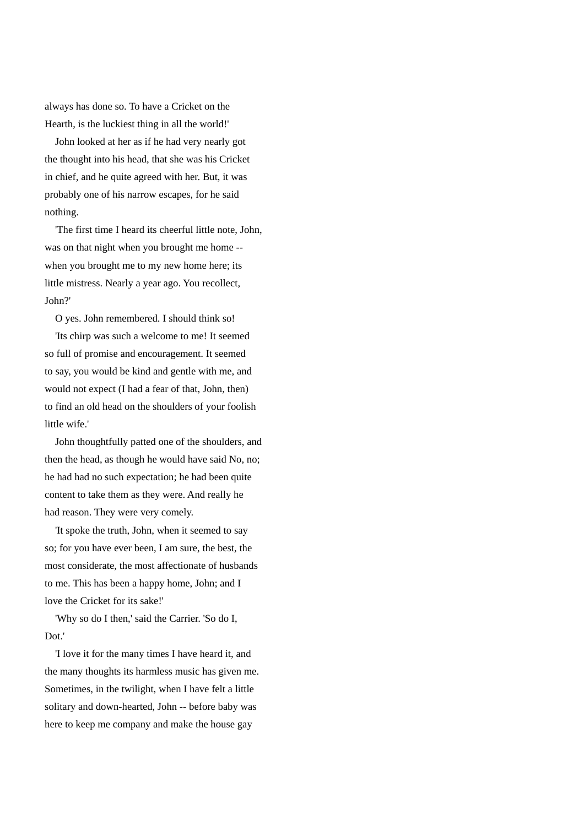always has done so. To have a Cricket on the Hearth, is the luckiest thing in all the world!'

 John looked at her as if he had very nearly got the thought into his head, that she was his Cricket in chief, and he quite agreed with her. But, it was probably one of his narrow escapes, for he said nothing.

 'The first time I heard its cheerful little note, John, was on that night when you brought me home - when you brought me to my new home here; its little mistress. Nearly a year ago. You recollect, John?'

O yes. John remembered. I should think so!

 'Its chirp was such a welcome to me! It seemed so full of promise and encouragement. It seemed to say, you would be kind and gentle with me, and would not expect (I had a fear of that, John, then) to find an old head on the shoulders of your foolish little wife.'

 John thoughtfully patted one of the shoulders, and then the head, as though he would have said No, no; he had had no such expectation; he had been quite content to take them as they were. And really he had reason. They were very comely.

 'It spoke the truth, John, when it seemed to say so; for you have ever been, I am sure, the best, the most considerate, the most affectionate of husbands to me. This has been a happy home, John; and I love the Cricket for its sake!'

 'Why so do I then,' said the Carrier. 'So do I, Dot.'

 'I love it for the many times I have heard it, and the many thoughts its harmless music has given me. Sometimes, in the twilight, when I have felt a little solitary and down-hearted, John -- before baby was here to keep me company and make the house gay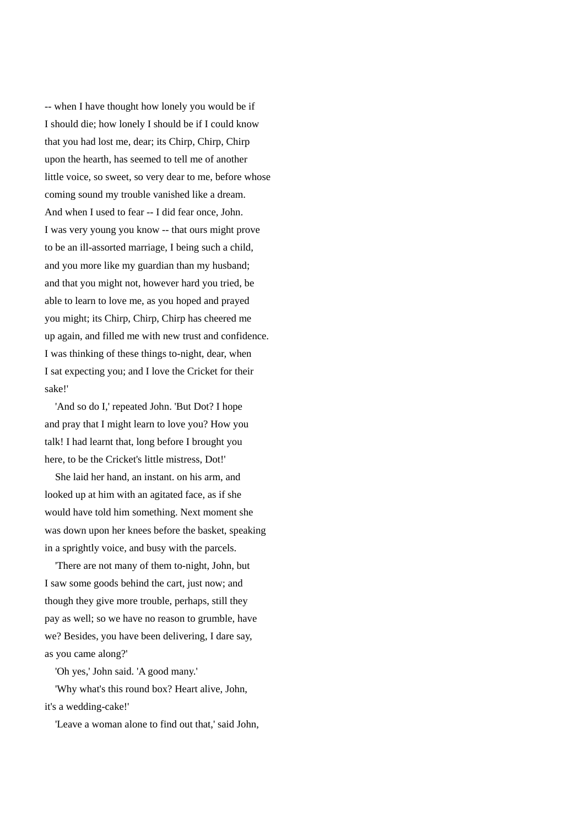-- when I have thought how lonely you would be if I should die; how lonely I should be if I could know that you had lost me, dear; its Chirp, Chirp, Chirp upon the hearth, has seemed to tell me of another little voice, so sweet, so very dear to me, before whose coming sound my trouble vanished like a dream. And when I used to fear -- I did fear once, John. I was very young you know -- that ours might prove to be an ill-assorted marriage, I being such a child, and you more like my guardian than my husband; and that you might not, however hard you tried, be able to learn to love me, as you hoped and prayed you might; its Chirp, Chirp, Chirp has cheered me up again, and filled me with new trust and confidence. I was thinking of these things to-night, dear, when I sat expecting you; and I love the Cricket for their sake!'

 'And so do I,' repeated John. 'But Dot? I hope and pray that I might learn to love you? How you talk! I had learnt that, long before I brought you here, to be the Cricket's little mistress, Dot!'

 She laid her hand, an instant. on his arm, and looked up at him with an agitated face, as if she would have told him something. Next moment she was down upon her knees before the basket, speaking in a sprightly voice, and busy with the parcels.

 'There are not many of them to-night, John, but I saw some goods behind the cart, just now; and though they give more trouble, perhaps, still they pay as well; so we have no reason to grumble, have we? Besides, you have been delivering, I dare say, as you came along?'

'Oh yes,' John said. 'A good many.'

 'Why what's this round box? Heart alive, John, it's a wedding-cake!'

'Leave a woman alone to find out that,' said John,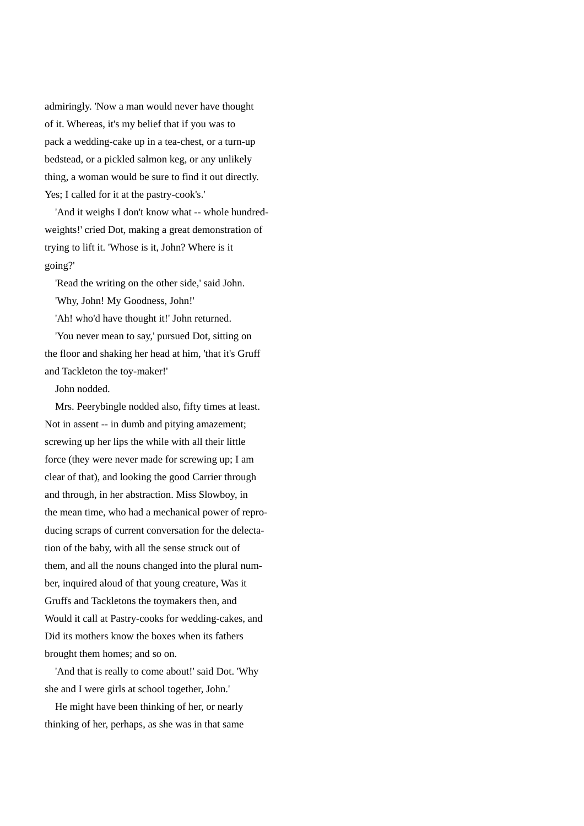admiringly. 'Now a man would never have thought of it. Whereas, it's my belief that if you was to pack a wedding-cake up in a tea-chest, or a turn-up bedstead, or a pickled salmon keg, or any unlikely thing, a woman would be sure to find it out directly. Yes; I called for it at the pastry-cook's.'

 'And it weighs I don't know what -- whole hundredweights!' cried Dot, making a great demonstration of trying to lift it. 'Whose is it, John? Where is it going?'

 'Read the writing on the other side,' said John. 'Why, John! My Goodness, John!'

'Ah! who'd have thought it!' John returned.

 'You never mean to say,' pursued Dot, sitting on the floor and shaking her head at him, 'that it's Gruff and Tackleton the toy-maker!'

John nodded.

 Mrs. Peerybingle nodded also, fifty times at least. Not in assent -- in dumb and pitying amazement; screwing up her lips the while with all their little force (they were never made for screwing up; I am clear of that), and looking the good Carrier through and through, in her abstraction. Miss Slowboy, in the mean time, who had a mechanical power of reproducing scraps of current conversation for the delectation of the baby, with all the sense struck out of them, and all the nouns changed into the plural number, inquired aloud of that young creature, Was it Gruffs and Tackletons the toymakers then, and Would it call at Pastry-cooks for wedding-cakes, and Did its mothers know the boxes when its fathers brought them homes; and so on.

 'And that is really to come about!' said Dot. 'Why she and I were girls at school together, John.'

 He might have been thinking of her, or nearly thinking of her, perhaps, as she was in that same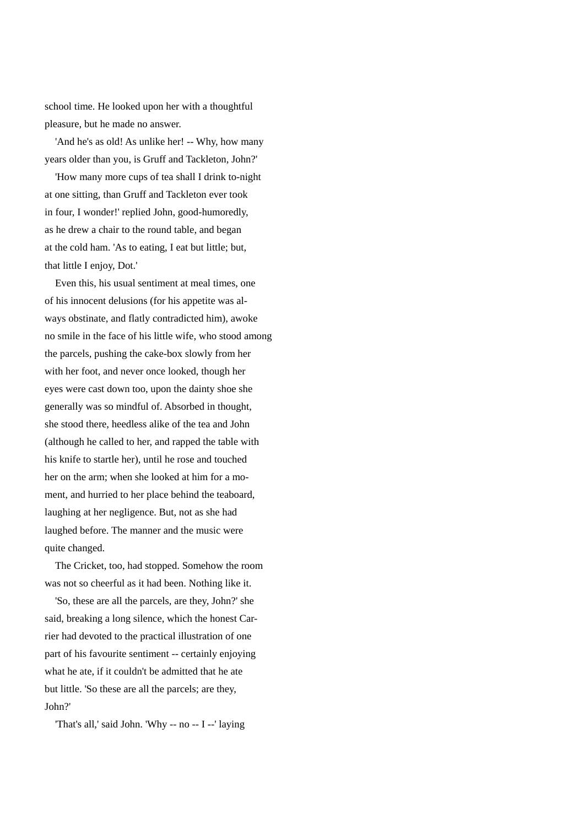school time. He looked upon her with a thoughtful pleasure, but he made no answer.

 'And he's as old! As unlike her! -- Why, how many years older than you, is Gruff and Tackleton, John?'

 'How many more cups of tea shall I drink to-night at one sitting, than Gruff and Tackleton ever took in four, I wonder!' replied John, good-humoredly, as he drew a chair to the round table, and began at the cold ham. 'As to eating, I eat but little; but, that little I enjoy, Dot.'

 Even this, his usual sentiment at meal times, one of his innocent delusions (for his appetite was always obstinate, and flatly contradicted him), awoke no smile in the face of his little wife, who stood among the parcels, pushing the cake-box slowly from her with her foot, and never once looked, though her eyes were cast down too, upon the dainty shoe she generally was so mindful of. Absorbed in thought, she stood there, heedless alike of the tea and John (although he called to her, and rapped the table with his knife to startle her), until he rose and touched her on the arm; when she looked at him for a moment, and hurried to her place behind the teaboard, laughing at her negligence. But, not as she had laughed before. The manner and the music were quite changed.

 The Cricket, too, had stopped. Somehow the room was not so cheerful as it had been. Nothing like it.

 'So, these are all the parcels, are they, John?' she said, breaking a long silence, which the honest Carrier had devoted to the practical illustration of one part of his favourite sentiment -- certainly enjoying what he ate, if it couldn't be admitted that he ate but little. 'So these are all the parcels; are they, John?'

'That's all,' said John. 'Why -- no -- I --' laying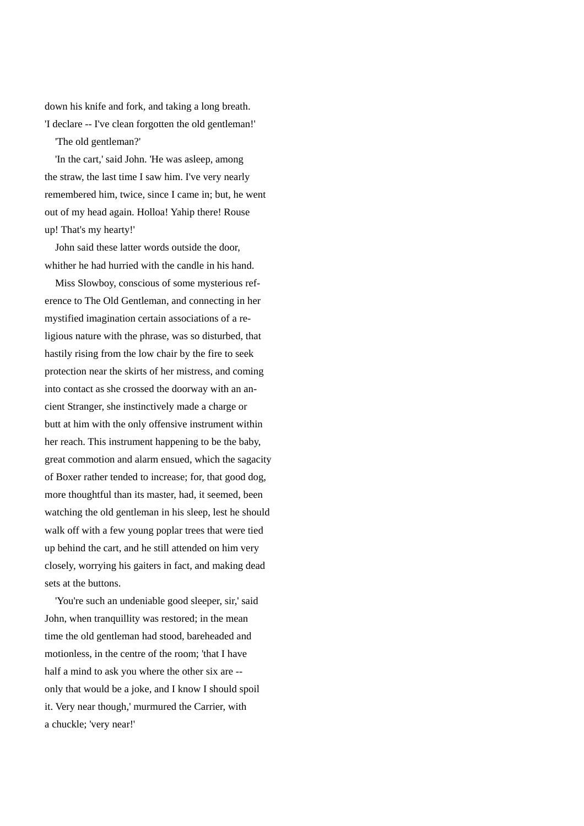down his knife and fork, and taking a long breath. 'I declare -- I've clean forgotten the old gentleman!'

'The old gentleman?'

 'In the cart,' said John. 'He was asleep, among the straw, the last time I saw him. I've very nearly remembered him, twice, since I came in; but, he went out of my head again. Holloa! Yahip there! Rouse up! That's my hearty!'

 John said these latter words outside the door, whither he had hurried with the candle in his hand.

 Miss Slowboy, conscious of some mysterious reference to The Old Gentleman, and connecting in her mystified imagination certain associations of a religious nature with the phrase, was so disturbed, that hastily rising from the low chair by the fire to seek protection near the skirts of her mistress, and coming into contact as she crossed the doorway with an ancient Stranger, she instinctively made a charge or butt at him with the only offensive instrument within her reach. This instrument happening to be the baby, great commotion and alarm ensued, which the sagacity of Boxer rather tended to increase; for, that good dog, more thoughtful than its master, had, it seemed, been watching the old gentleman in his sleep, lest he should walk off with a few young poplar trees that were tied up behind the cart, and he still attended on him very closely, worrying his gaiters in fact, and making dead sets at the buttons.

 'You're such an undeniable good sleeper, sir,' said John, when tranquillity was restored; in the mean time the old gentleman had stood, bareheaded and motionless, in the centre of the room; 'that I have half a mind to ask you where the other six are - only that would be a joke, and I know I should spoil it. Very near though,' murmured the Carrier, with a chuckle; 'very near!'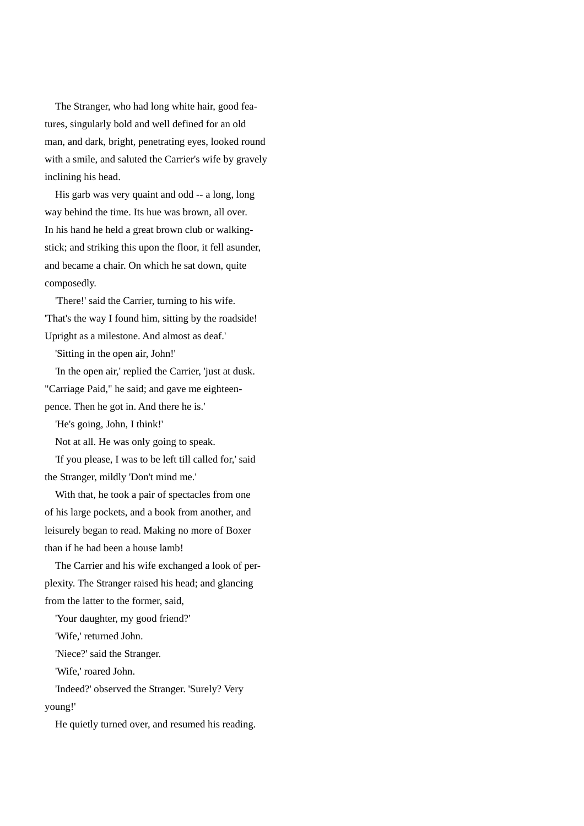The Stranger, who had long white hair, good features, singularly bold and well defined for an old man, and dark, bright, penetrating eyes, looked round with a smile, and saluted the Carrier's wife by gravely inclining his head.

 His garb was very quaint and odd -- a long, long way behind the time. Its hue was brown, all over. In his hand he held a great brown club or walkingstick; and striking this upon the floor, it fell asunder, and became a chair. On which he sat down, quite composedly.

 'There!' said the Carrier, turning to his wife. 'That's the way I found him, sitting by the roadside! Upright as a milestone. And almost as deaf.'

'Sitting in the open air, John!'

 'In the open air,' replied the Carrier, 'just at dusk. "Carriage Paid," he said; and gave me eighteenpence. Then he got in. And there he is.'

'He's going, John, I think!'

Not at all. He was only going to speak.

 'If you please, I was to be left till called for,' said the Stranger, mildly 'Don't mind me.'

 With that, he took a pair of spectacles from one of his large pockets, and a book from another, and leisurely began to read. Making no more of Boxer than if he had been a house lamb!

 The Carrier and his wife exchanged a look of perplexity. The Stranger raised his head; and glancing from the latter to the former, said,

'Your daughter, my good friend?'

'Wife,' returned John.

'Niece?' said the Stranger.

'Wife,' roared John.

 'Indeed?' observed the Stranger. 'Surely? Very young!'

He quietly turned over, and resumed his reading.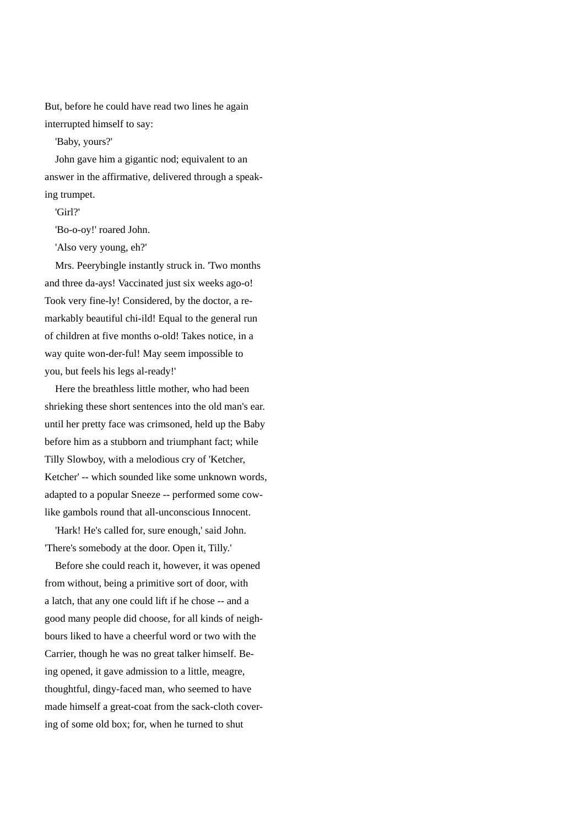But, before he could have read two lines he again interrupted himself to say:

'Baby, yours?'

John gave him a gigantic nod; equivalent to an answer in the affirmative, delivered through a speaking trumpet.

'Girl?'

'Bo-o-oy!' roared John.

'Also very young, eh?'

 Mrs. Peerybingle instantly struck in. 'Two months and three da-ays! Vaccinated just six weeks ago-o! Took very fine-ly! Considered, by the doctor, a remarkably beautiful chi-ild! Equal to the general run of children at five months o-old! Takes notice, in a way quite won-der-ful! May seem impossible to you, but feels his legs al-ready!'

 Here the breathless little mother, who had been shrieking these short sentences into the old man's ear. until her pretty face was crimsoned, held up the Baby before him as a stubborn and triumphant fact; while Tilly Slowboy, with a melodious cry of 'Ketcher, Ketcher' -- which sounded like some unknown words, adapted to a popular Sneeze -- performed some cowlike gambols round that all-unconscious Innocent.

 'Hark! He's called for, sure enough,' said John. 'There's somebody at the door. Open it, Tilly.'

 Before she could reach it, however, it was opened from without, being a primitive sort of door, with a latch, that any one could lift if he chose -- and a good many people did choose, for all kinds of neighbours liked to have a cheerful word or two with the Carrier, though he was no great talker himself. Being opened, it gave admission to a little, meagre, thoughtful, dingy-faced man, who seemed to have made himself a great-coat from the sack-cloth covering of some old box; for, when he turned to shut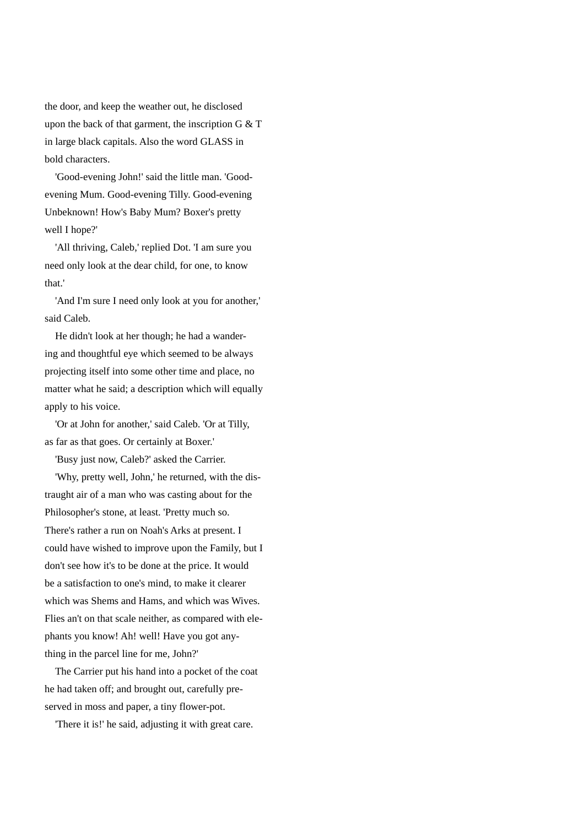the door, and keep the weather out, he disclosed upon the back of that garment, the inscription  $G \& T$ in large black capitals. Also the word GLASS in bold characters.

 'Good-evening John!' said the little man. 'Goodevening Mum. Good-evening Tilly. Good-evening Unbeknown! How's Baby Mum? Boxer's pretty well I hope?'

 'All thriving, Caleb,' replied Dot. 'I am sure you need only look at the dear child, for one, to know that.'

 'And I'm sure I need only look at you for another,' said Caleb.

 He didn't look at her though; he had a wandering and thoughtful eye which seemed to be always projecting itself into some other time and place, no matter what he said; a description which will equally apply to his voice.

 'Or at John for another,' said Caleb. 'Or at Tilly, as far as that goes. Or certainly at Boxer.'

'Busy just now, Caleb?' asked the Carrier.

 'Why, pretty well, John,' he returned, with the distraught air of a man who was casting about for the Philosopher's stone, at least. 'Pretty much so. There's rather a run on Noah's Arks at present. I could have wished to improve upon the Family, but I don't see how it's to be done at the price. It would be a satisfaction to one's mind, to make it clearer which was Shems and Hams, and which was Wives. Flies an't on that scale neither, as compared with elephants you know! Ah! well! Have you got anything in the parcel line for me, John?'

 The Carrier put his hand into a pocket of the coat he had taken off; and brought out, carefully preserved in moss and paper, a tiny flower-pot.

'There it is!' he said, adjusting it with great care.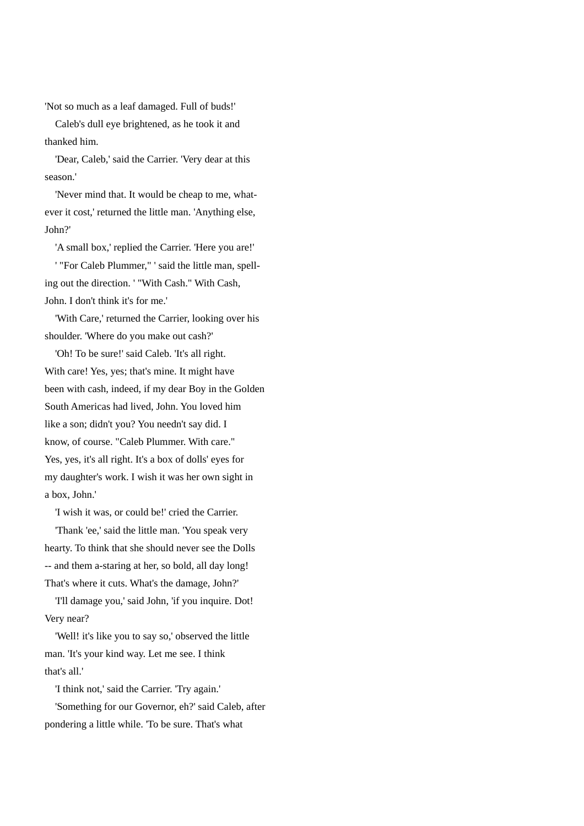'Not so much as a leaf damaged. Full of buds!'

 Caleb's dull eye brightened, as he took it and thanked him.

 'Dear, Caleb,' said the Carrier. 'Very dear at this season.'

 'Never mind that. It would be cheap to me, whatever it cost,' returned the little man. 'Anything else, John?'

'A small box,' replied the Carrier. 'Here you are!'

 ' "For Caleb Plummer," ' said the little man, spelling out the direction. ' "With Cash." With Cash, John. I don't think it's for me.'

 'With Care,' returned the Carrier, looking over his shoulder. 'Where do you make out cash?'

 'Oh! To be sure!' said Caleb. 'It's all right. With care! Yes, yes; that's mine. It might have been with cash, indeed, if my dear Boy in the Golden South Americas had lived, John. You loved him like a son; didn't you? You needn't say did. I know, of course. "Caleb Plummer. With care." Yes, yes, it's all right. It's a box of dolls' eyes for my daughter's work. I wish it was her own sight in a box, John.'

'I wish it was, or could be!' cried the Carrier.

 'Thank 'ee,' said the little man. 'You speak very hearty. To think that she should never see the Dolls -- and them a-staring at her, so bold, all day long! That's where it cuts. What's the damage, John?'

 'I'll damage you,' said John, 'if you inquire. Dot! Very near?

 'Well! it's like you to say so,' observed the little man. 'It's your kind way. Let me see. I think that's all.'

'I think not,' said the Carrier. 'Try again.'

 'Something for our Governor, eh?' said Caleb, after pondering a little while. 'To be sure. That's what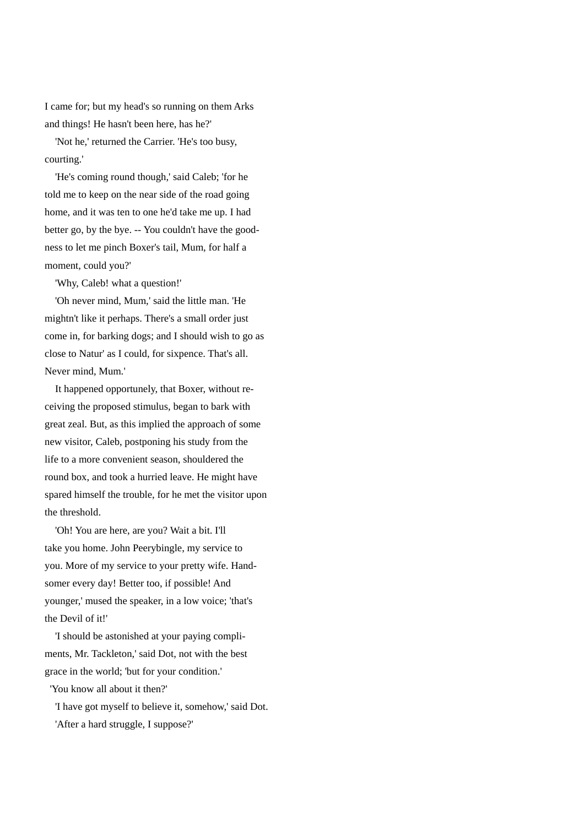I came for; but my head's so running on them Arks and things! He hasn't been here, has he?'

 'Not he,' returned the Carrier. 'He's too busy, courting.'

 'He's coming round though,' said Caleb; 'for he told me to keep on the near side of the road going home, and it was ten to one he'd take me up. I had better go, by the bye. -- You couldn't have the goodness to let me pinch Boxer's tail, Mum, for half a moment, could you?'

'Why, Caleb! what a question!'

 'Oh never mind, Mum,' said the little man. 'He mightn't like it perhaps. There's a small order just come in, for barking dogs; and I should wish to go as close to Natur' as I could, for sixpence. That's all. Never mind, Mum.'

 It happened opportunely, that Boxer, without receiving the proposed stimulus, began to bark with great zeal. But, as this implied the approach of some new visitor, Caleb, postponing his study from the life to a more convenient season, shouldered the round box, and took a hurried leave. He might have spared himself the trouble, for he met the visitor upon the threshold.

 'Oh! You are here, are you? Wait a bit. I'll take you home. John Peerybingle, my service to you. More of my service to your pretty wife. Handsomer every day! Better too, if possible! And younger,' mused the speaker, in a low voice; 'that's the Devil of it!'

 'I should be astonished at your paying compliments, Mr. Tackleton,' said Dot, not with the best grace in the world; 'but for your condition.'

'You know all about it then?'

 'I have got myself to believe it, somehow,' said Dot. 'After a hard struggle, I suppose?'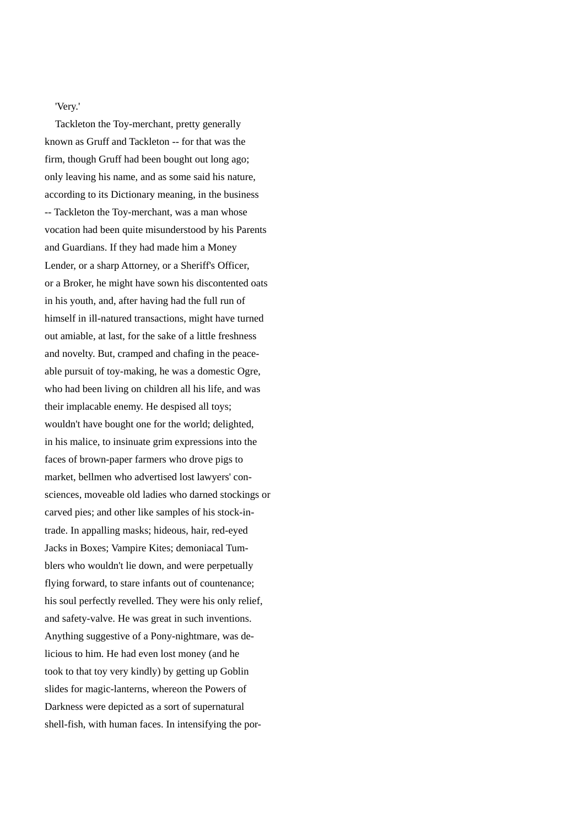'Very.'

 Tackleton the Toy-merchant, pretty generally known as Gruff and Tackleton -- for that was the firm, though Gruff had been bought out long ago; only leaving his name, and as some said his nature, according to its Dictionary meaning, in the business -- Tackleton the Toy-merchant, was a man whose vocation had been quite misunderstood by his Parents and Guardians. If they had made him a Money Lender, or a sharp Attorney, or a Sheriff's Officer, or a Broker, he might have sown his discontented oats in his youth, and, after having had the full run of himself in ill-natured transactions, might have turned out amiable, at last, for the sake of a little freshness and novelty. But, cramped and chafing in the peaceable pursuit of toy-making, he was a domestic Ogre, who had been living on children all his life, and was their implacable enemy. He despised all toys; wouldn't have bought one for the world; delighted, in his malice, to insinuate grim expressions into the faces of brown-paper farmers who drove pigs to market, bellmen who advertised lost lawyers' consciences, moveable old ladies who darned stockings or carved pies; and other like samples of his stock-intrade. In appalling masks; hideous, hair, red-eyed Jacks in Boxes; Vampire Kites; demoniacal Tumblers who wouldn't lie down, and were perpetually flying forward, to stare infants out of countenance; his soul perfectly revelled. They were his only relief, and safety-valve. He was great in such inventions. Anything suggestive of a Pony-nightmare, was delicious to him. He had even lost money (and he took to that toy very kindly) by getting up Goblin slides for magic-lanterns, whereon the Powers of Darkness were depicted as a sort of supernatural shell-fish, with human faces. In intensifying the por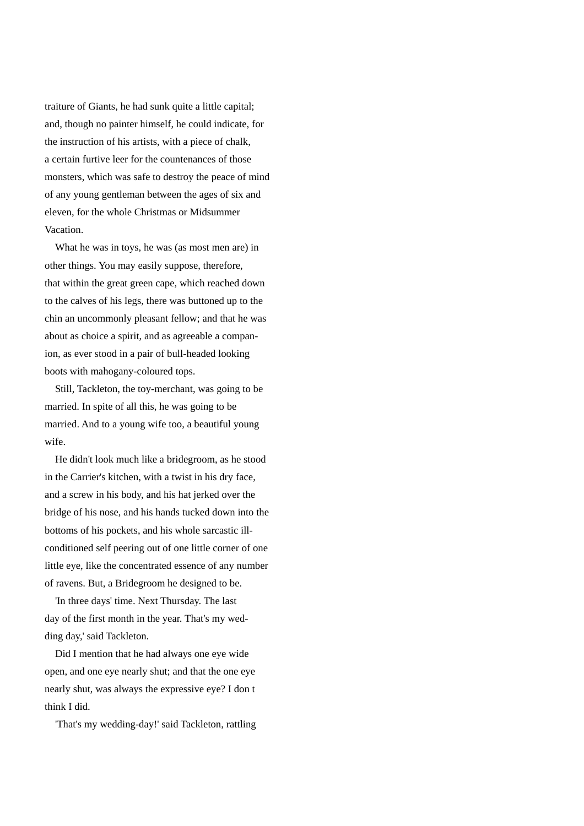traiture of Giants, he had sunk quite a little capital; and, though no painter himself, he could indicate, for the instruction of his artists, with a piece of chalk, a certain furtive leer for the countenances of those monsters, which was safe to destroy the peace of mind of any young gentleman between the ages of six and eleven, for the whole Christmas or Midsummer Vacation.

 What he was in toys, he was (as most men are) in other things. You may easily suppose, therefore, that within the great green cape, which reached down to the calves of his legs, there was buttoned up to the chin an uncommonly pleasant fellow; and that he was about as choice a spirit, and as agreeable a companion, as ever stood in a pair of bull-headed looking boots with mahogany-coloured tops.

 Still, Tackleton, the toy-merchant, was going to be married. In spite of all this, he was going to be married. And to a young wife too, a beautiful young wife.

 He didn't look much like a bridegroom, as he stood in the Carrier's kitchen, with a twist in his dry face, and a screw in his body, and his hat jerked over the bridge of his nose, and his hands tucked down into the bottoms of his pockets, and his whole sarcastic illconditioned self peering out of one little corner of one little eye, like the concentrated essence of any number of ravens. But, a Bridegroom he designed to be.

 'In three days' time. Next Thursday. The last day of the first month in the year. That's my wedding day,' said Tackleton.

 Did I mention that he had always one eye wide open, and one eye nearly shut; and that the one eye nearly shut, was always the expressive eye? I don t think I did.

'That's my wedding-day!' said Tackleton, rattling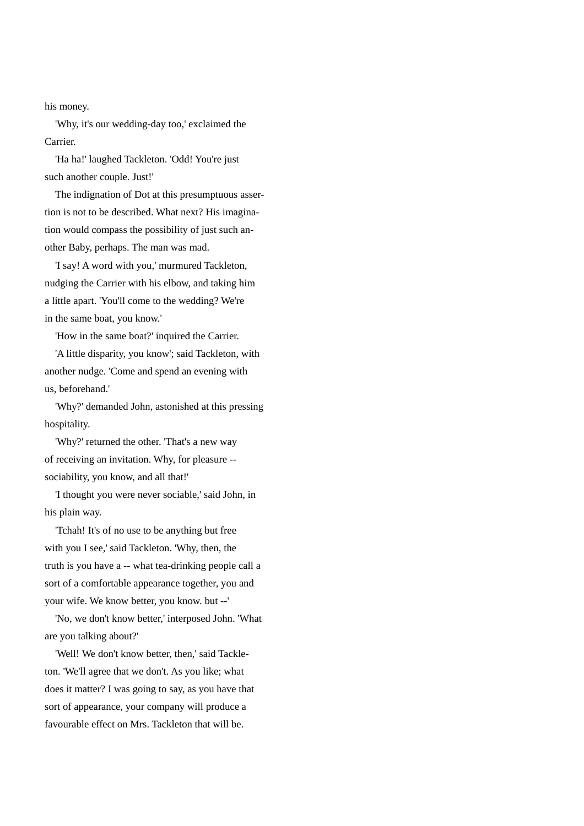his money.

 'Why, it's our wedding-day too,' exclaimed the Carrier.

 'Ha ha!' laughed Tackleton. 'Odd! You're just such another couple. Just!'

 The indignation of Dot at this presumptuous assertion is not to be described. What next? His imagination would compass the possibility of just such another Baby, perhaps. The man was mad.

 'I say! A word with you,' murmured Tackleton, nudging the Carrier with his elbow, and taking him a little apart. 'You'll come to the wedding? We're in the same boat, you know.'

'How in the same boat?' inquired the Carrier.

 'A little disparity, you know'; said Tackleton, with another nudge. 'Come and spend an evening with us, beforehand.'

 'Why?' demanded John, astonished at this pressing hospitality.

 'Why?' returned the other. 'That's a new way of receiving an invitation. Why, for pleasure - sociability, you know, and all that!'

 'I thought you were never sociable,' said John, in his plain way.

 'Tchah! It's of no use to be anything but free with you I see,' said Tackleton. 'Why, then, the truth is you have a -- what tea-drinking people call a sort of a comfortable appearance together, you and your wife. We know better, you know. but --'

 'No, we don't know better,' interposed John. 'What are you talking about?'

 'Well! We don't know better, then,' said Tackleton. 'We'll agree that we don't. As you like; what does it matter? I was going to say, as you have that sort of appearance, your company will produce a favourable effect on Mrs. Tackleton that will be.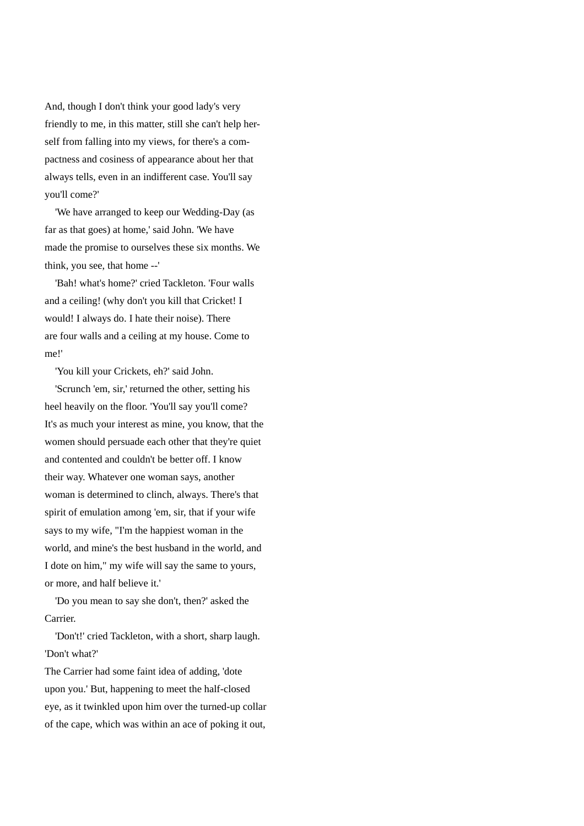And, though I don't think your good lady's very friendly to me, in this matter, still she can't help herself from falling into my views, for there's a compactness and cosiness of appearance about her that always tells, even in an indifferent case. You'll say you'll come?'

 'We have arranged to keep our Wedding-Day (as far as that goes) at home,' said John. 'We have made the promise to ourselves these six months. We think, you see, that home --'

 'Bah! what's home?' cried Tackleton. 'Four walls and a ceiling! (why don't you kill that Cricket! I would! I always do. I hate their noise). There are four walls and a ceiling at my house. Come to me!'

'You kill your Crickets, eh?' said John.

 'Scrunch 'em, sir,' returned the other, setting his heel heavily on the floor. 'You'll say you'll come? It's as much your interest as mine, you know, that the women should persuade each other that they're quiet and contented and couldn't be better off. I know their way. Whatever one woman says, another woman is determined to clinch, always. There's that spirit of emulation among 'em, sir, that if your wife says to my wife, "I'm the happiest woman in the world, and mine's the best husband in the world, and I dote on him," my wife will say the same to yours, or more, and half believe it.'

 'Do you mean to say she don't, then?' asked the Carrier.

 'Don't!' cried Tackleton, with a short, sharp laugh. 'Don't what?'

The Carrier had some faint idea of adding, 'dote upon you.' But, happening to meet the half-closed eye, as it twinkled upon him over the turned-up collar of the cape, which was within an ace of poking it out,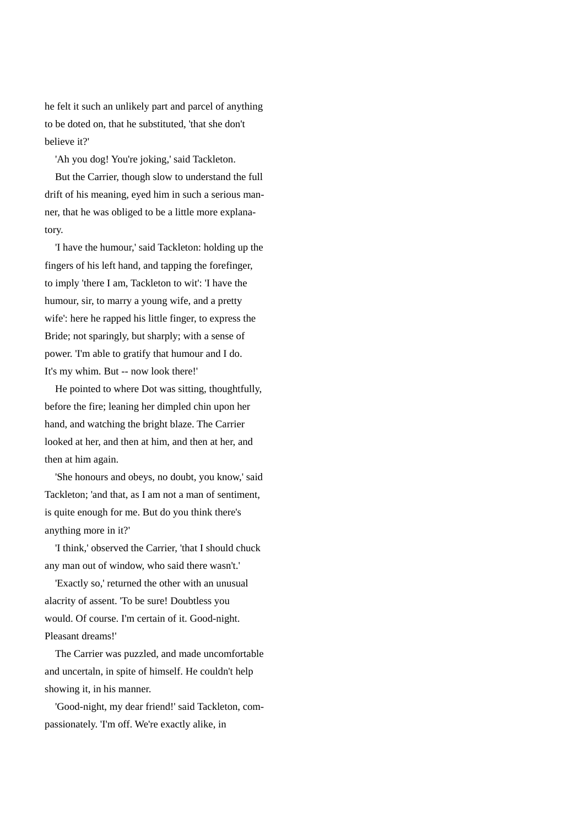he felt it such an unlikely part and parcel of anything to be doted on, that he substituted, 'that she don't believe it?'

'Ah you dog! You're joking,' said Tackleton.

 But the Carrier, though slow to understand the full drift of his meaning, eyed him in such a serious manner, that he was obliged to be a little more explanatory.

 'I have the humour,' said Tackleton: holding up the fingers of his left hand, and tapping the forefinger, to imply 'there I am, Tackleton to wit': 'I have the humour, sir, to marry a young wife, and a pretty wife': here he rapped his little finger, to express the Bride; not sparingly, but sharply; with a sense of power. 'I'm able to gratify that humour and I do. It's my whim. But -- now look there!'

 He pointed to where Dot was sitting, thoughtfully, before the fire; leaning her dimpled chin upon her hand, and watching the bright blaze. The Carrier looked at her, and then at him, and then at her, and then at him again.

 'She honours and obeys, no doubt, you know,' said Tackleton; 'and that, as I am not a man of sentiment, is quite enough for me. But do you think there's anything more in it?'

 'I think,' observed the Carrier, 'that I should chuck any man out of window, who said there wasn't.'

 'Exactly so,' returned the other with an unusual alacrity of assent. 'To be sure! Doubtless you would. Of course. I'm certain of it. Good-night. Pleasant dreams!'

 The Carrier was puzzled, and made uncomfortable and uncertaln, in spite of himself. He couldn't help showing it, in his manner.

 'Good-night, my dear friend!' said Tackleton, compassionately. 'I'm off. We're exactly alike, in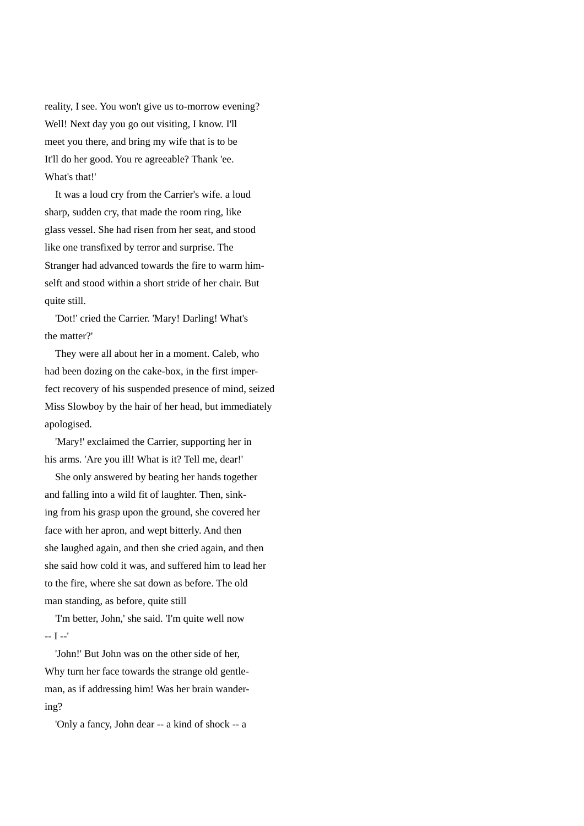reality, I see. You won't give us to-morrow evening? Well! Next day you go out visiting, I know. I'll meet you there, and bring my wife that is to be It'll do her good. You re agreeable? Thank 'ee. What's that!'

 It was a loud cry from the Carrier's wife. a loud sharp, sudden cry, that made the room ring, like glass vessel. She had risen from her seat, and stood like one transfixed by terror and surprise. The Stranger had advanced towards the fire to warm himselft and stood within a short stride of her chair. But quite still.

 'Dot!' cried the Carrier. 'Mary! Darling! What's the matter?'

 They were all about her in a moment. Caleb, who had been dozing on the cake-box, in the first imperfect recovery of his suspended presence of mind, seized Miss Slowboy by the hair of her head, but immediately apologised.

 'Mary!' exclaimed the Carrier, supporting her in his arms. 'Are you ill! What is it? Tell me, dear!'

 She only answered by beating her hands together and falling into a wild fit of laughter. Then, sinking from his grasp upon the ground, she covered her face with her apron, and wept bitterly. And then she laughed again, and then she cried again, and then she said how cold it was, and suffered him to lead her to the fire, where she sat down as before. The old man standing, as before, quite still

 'I'm better, John,' she said. 'I'm quite well now -- I --'

 'John!' But John was on the other side of her, Why turn her face towards the strange old gentleman, as if addressing him! Was her brain wandering?

'Only a fancy, John dear -- a kind of shock -- a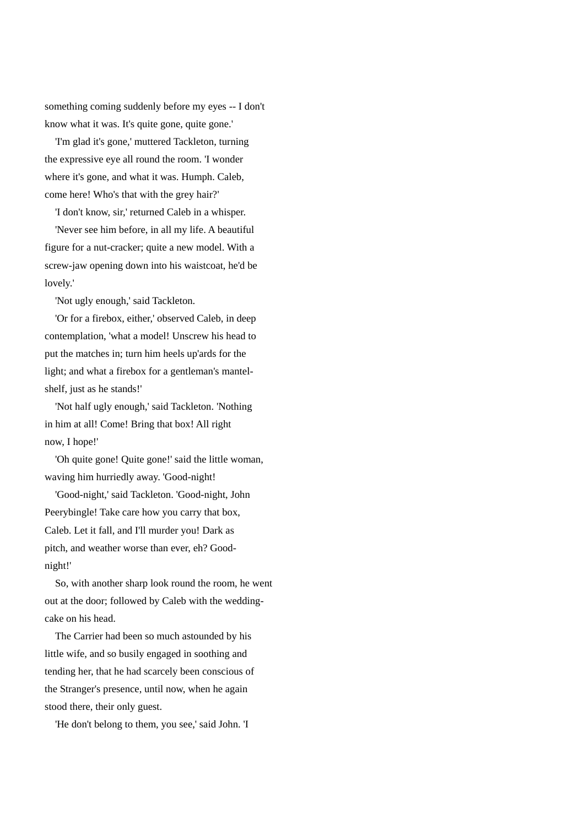something coming suddenly before my eyes -- I don't know what it was. It's quite gone, quite gone.'

 'I'm glad it's gone,' muttered Tackleton, turning the expressive eye all round the room. 'I wonder where it's gone, and what it was. Humph. Caleb, come here! Who's that with the grey hair?'

'I don't know, sir,' returned Caleb in a whisper.

 'Never see him before, in all my life. A beautiful figure for a nut-cracker; quite a new model. With a screw-jaw opening down into his waistcoat, he'd be lovely.'

'Not ugly enough,' said Tackleton.

 'Or for a firebox, either,' observed Caleb, in deep contemplation, 'what a model! Unscrew his head to put the matches in; turn him heels up'ards for the light; and what a firebox for a gentleman's mantelshelf, just as he stands!'

 'Not half ugly enough,' said Tackleton. 'Nothing in him at all! Come! Bring that box! All right now, I hope!'

 'Oh quite gone! Quite gone!' said the little woman, waving him hurriedly away. 'Good-night!

 'Good-night,' said Tackleton. 'Good-night, John Peerybingle! Take care how you carry that box, Caleb. Let it fall, and I'll murder you! Dark as pitch, and weather worse than ever, eh? Goodnight!'

 So, with another sharp look round the room, he went out at the door; followed by Caleb with the weddingcake on his head.

 The Carrier had been so much astounded by his little wife, and so busily engaged in soothing and tending her, that he had scarcely been conscious of the Stranger's presence, until now, when he again stood there, their only guest.

'He don't belong to them, you see,' said John. 'I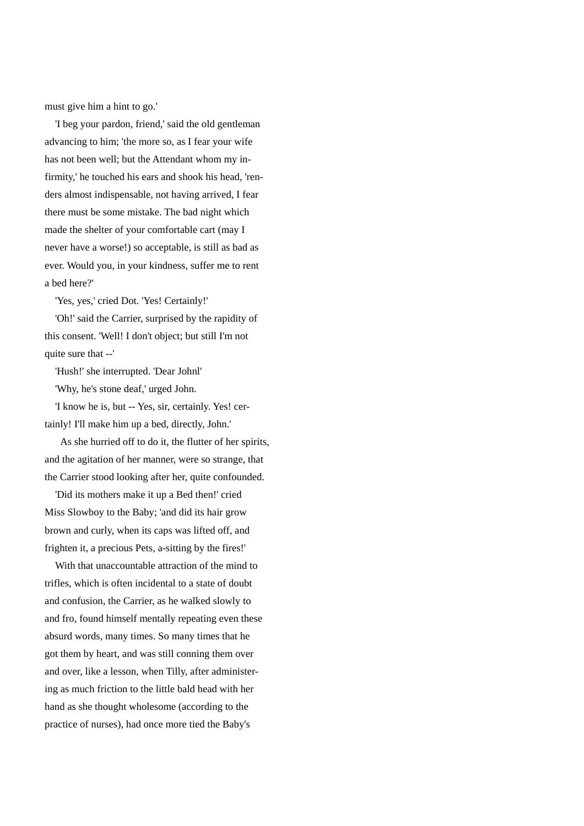must give him a hint to go.'

 'I beg your pardon, friend,' said the old gentleman advancing to him; 'the more so, as I fear your wife has not been well; but the Attendant whom my infirmity,' he touched his ears and shook his head, 'renders almost indispensable, not having arrived, I fear there must be some mistake. The bad night which made the shelter of your comfortable cart (may I never have a worse!) so acceptable, is still as bad as ever. Would you, in your kindness, suffer me to rent a bed here?'

'Yes, yes,' cried Dot. 'Yes! Certainly!'

 'Oh!' said the Carrier, surprised by the rapidity of this consent. 'Well! I don't object; but still I'm not quite sure that --'

'Hush!' she interrupted. 'Dear Johnl'

'Why, he's stone deaf,' urged John.

 'I know he is, but -- Yes, sir, certainly. Yes! certainly! I'll make him up a bed, directly, John.'

 As she hurried off to do it, the flutter of her spirits, and the agitation of her manner, were so strange, that the Carrier stood looking after her, quite confounded.

 'Did its mothers make it up a Bed then!' cried Miss Slowboy to the Baby; 'and did its hair grow brown and curly, when its caps was lifted off, and frighten it, a precious Pets, a-sitting by the fires!'

 With that unaccountable attraction of the mind to trifles, which is often incidental to a state of doubt and confusion, the Carrier, as he walked slowly to and fro, found himself mentally repeating even these absurd words, many times. So many times that he got them by heart, and was still conning them over and over, like a lesson, when Tilly, after administering as much friction to the little bald head with her hand as she thought wholesome (according to the practice of nurses), had once more tied the Baby's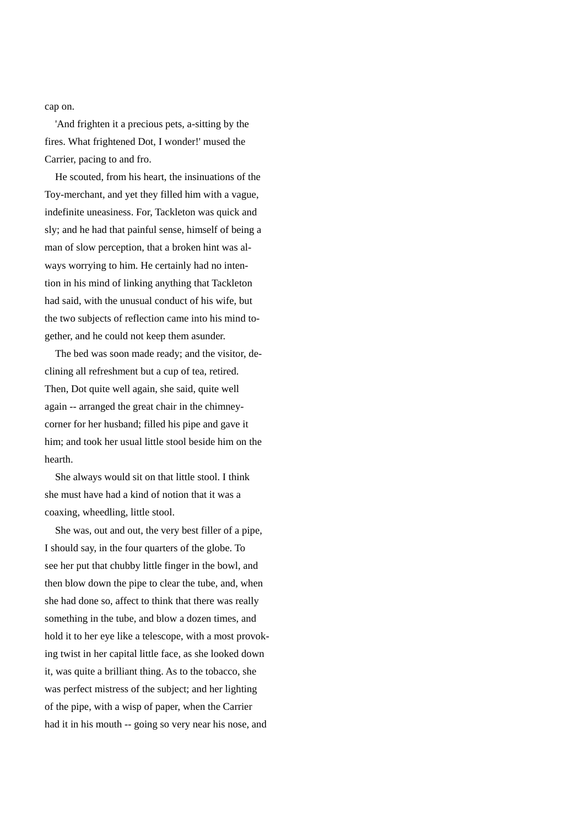cap on.

 'And frighten it a precious pets, a-sitting by the fires. What frightened Dot, I wonder!' mused the Carrier, pacing to and fro.

 He scouted, from his heart, the insinuations of the Toy-merchant, and yet they filled him with a vague, indefinite uneasiness. For, Tackleton was quick and sly; and he had that painful sense, himself of being a man of slow perception, that a broken hint was always worrying to him. He certainly had no intention in his mind of linking anything that Tackleton had said, with the unusual conduct of his wife, but the two subjects of reflection came into his mind together, and he could not keep them asunder.

 The bed was soon made ready; and the visitor, declining all refreshment but a cup of tea, retired. Then, Dot quite well again, she said, quite well again -- arranged the great chair in the chimneycorner for her husband; filled his pipe and gave it him; and took her usual little stool beside him on the hearth.

 She always would sit on that little stool. I think she must have had a kind of notion that it was a coaxing, wheedling, little stool.

 She was, out and out, the very best filler of a pipe, I should say, in the four quarters of the globe. To see her put that chubby little finger in the bowl, and then blow down the pipe to clear the tube, and, when she had done so, affect to think that there was really something in the tube, and blow a dozen times, and hold it to her eye like a telescope, with a most provoking twist in her capital little face, as she looked down it, was quite a brilliant thing. As to the tobacco, she was perfect mistress of the subject; and her lighting of the pipe, with a wisp of paper, when the Carrier had it in his mouth -- going so very near his nose, and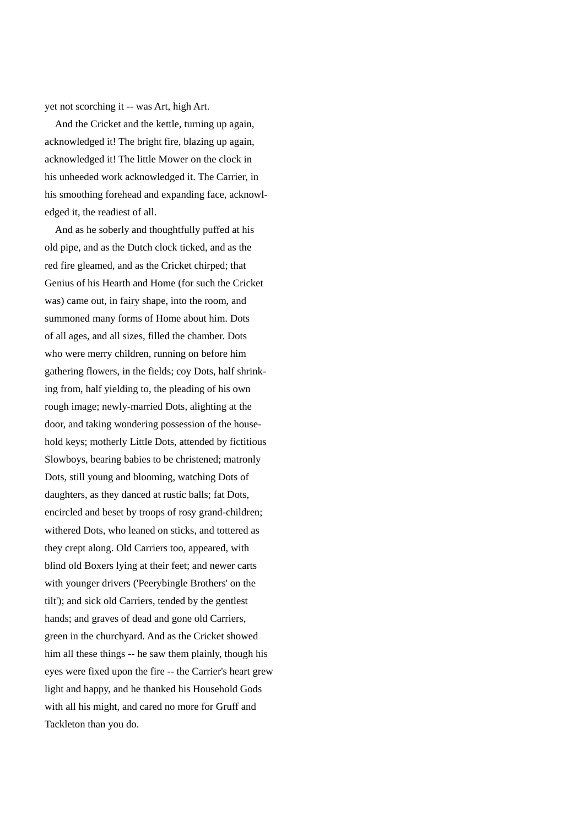yet not scorching it -- was Art, high Art.

 And the Cricket and the kettle, turning up again, acknowledged it! The bright fire, blazing up again, acknowledged it! The little Mower on the clock in his unheeded work acknowledged it. The Carrier, in his smoothing forehead and expanding face, acknowledged it, the readiest of all.

 And as he soberly and thoughtfully puffed at his old pipe, and as the Dutch clock ticked, and as the red fire gleamed, and as the Cricket chirped; that Genius of his Hearth and Home (for such the Cricket was) came out, in fairy shape, into the room, and summoned many forms of Home about him. Dots of all ages, and all sizes, filled the chamber. Dots who were merry children, running on before him gathering flowers, in the fields; coy Dots, half shrinking from, half yielding to, the pleading of his own rough image; newly-married Dots, alighting at the door, and taking wondering possession of the household keys; motherly Little Dots, attended by fictitious Slowboys, bearing babies to be christened; matronly Dots, still young and blooming, watching Dots of daughters, as they danced at rustic balls; fat Dots, encircled and beset by troops of rosy grand-children; withered Dots, who leaned on sticks, and tottered as they crept along. Old Carriers too, appeared, with blind old Boxers lying at their feet; and newer carts with younger drivers ('Peerybingle Brothers' on the tilt'); and sick old Carriers, tended by the gentlest hands; and graves of dead and gone old Carriers, green in the churchyard. And as the Cricket showed him all these things -- he saw them plainly, though his eyes were fixed upon the fire -- the Carrier's heart grew light and happy, and he thanked his Household Gods with all his might, and cared no more for Gruff and Tackleton than you do.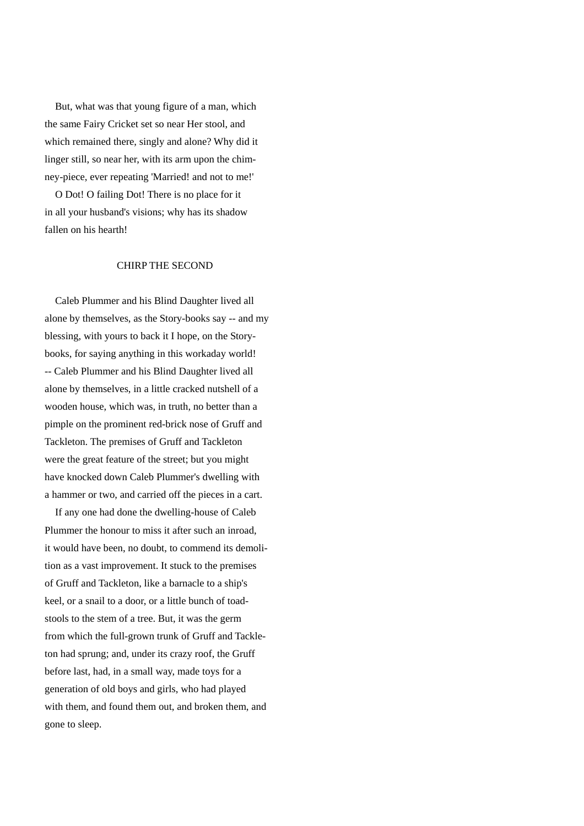But, what was that young figure of a man, which the same Fairy Cricket set so near Her stool, and which remained there, singly and alone? Why did it linger still, so near her, with its arm upon the chimney-piece, ever repeating 'Married! and not to me!'

 O Dot! O failing Dot! There is no place for it in all your husband's visions; why has its shadow fallen on his hearth!

## CHIRP THE SECOND

 Caleb Plummer and his Blind Daughter lived all alone by themselves, as the Story-books say -- and my blessing, with yours to back it I hope, on the Storybooks, for saying anything in this workaday world! -- Caleb Plummer and his Blind Daughter lived all alone by themselves, in a little cracked nutshell of a wooden house, which was, in truth, no better than a pimple on the prominent red-brick nose of Gruff and Tackleton. The premises of Gruff and Tackleton were the great feature of the street; but you might have knocked down Caleb Plummer's dwelling with a hammer or two, and carried off the pieces in a cart.

 If any one had done the dwelling-house of Caleb Plummer the honour to miss it after such an inroad, it would have been, no doubt, to commend its demolition as a vast improvement. It stuck to the premises of Gruff and Tackleton, like a barnacle to a ship's keel, or a snail to a door, or a little bunch of toadstools to the stem of a tree. But, it was the germ from which the full-grown trunk of Gruff and Tackleton had sprung; and, under its crazy roof, the Gruff before last, had, in a small way, made toys for a generation of old boys and girls, who had played with them, and found them out, and broken them, and gone to sleep.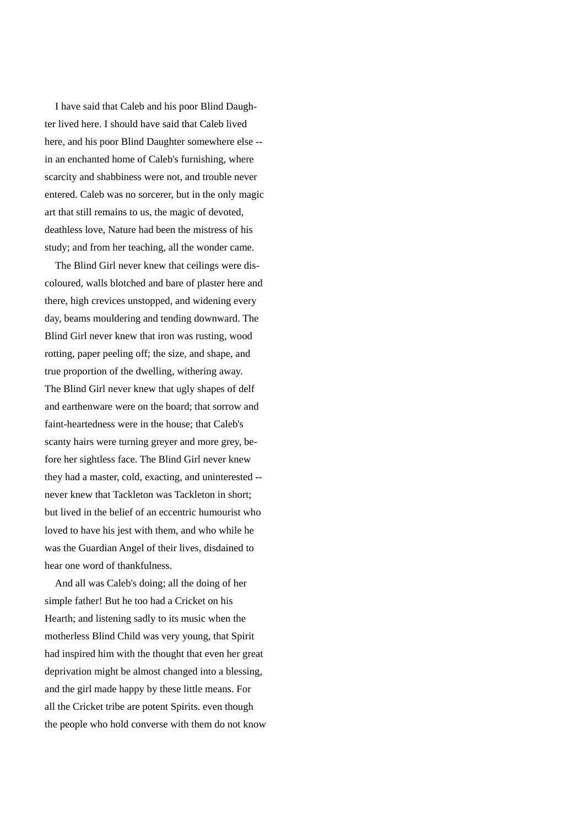I have said that Caleb and his poor Blind Daughter lived here. I should have said that Caleb lived here, and his poor Blind Daughter somewhere else - in an enchanted home of Caleb's furnishing, where scarcity and shabbiness were not, and trouble never entered. Caleb was no sorcerer, but in the only magic art that still remains to us, the magic of devoted, deathless love, Nature had been the mistress of his study; and from her teaching, all the wonder came.

 The Blind Girl never knew that ceilings were discoloured, walls blotched and bare of plaster here and there, high crevices unstopped, and widening every day, beams mouldering and tending downward. The Blind Girl never knew that iron was rusting, wood rotting, paper peeling off; the size, and shape, and true proportion of the dwelling, withering away. The Blind Girl never knew that ugly shapes of delf and earthenware were on the board; that sorrow and faint-heartedness were in the house; that Caleb's scanty hairs were turning greyer and more grey, before her sightless face. The Blind Girl never knew they had a master, cold, exacting, and uninterested - never knew that Tackleton was Tackleton in short; but lived in the belief of an eccentric humourist who loved to have his jest with them, and who while he was the Guardian Angel of their lives, disdained to hear one word of thankfulness.

 And all was Caleb's doing; all the doing of her simple father! But he too had a Cricket on his Hearth; and listening sadly to its music when the motherless Blind Child was very young, that Spirit had inspired him with the thought that even her great deprivation might be almost changed into a blessing, and the girl made happy by these little means. For all the Cricket tribe are potent Spirits. even though the people who hold converse with them do not know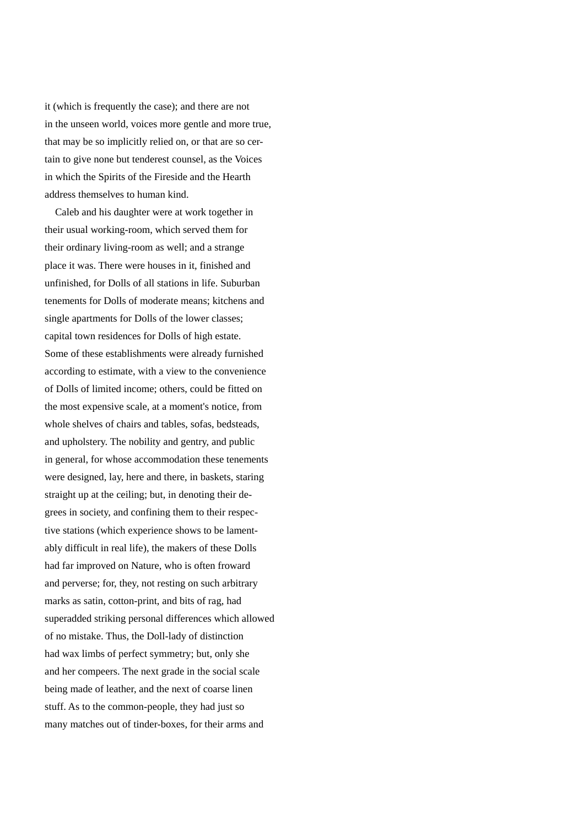it (which is frequently the case); and there are not in the unseen world, voices more gentle and more true, that may be so implicitly relied on, or that are so certain to give none but tenderest counsel, as the Voices in which the Spirits of the Fireside and the Hearth address themselves to human kind.

 Caleb and his daughter were at work together in their usual working-room, which served them for their ordinary living-room as well; and a strange place it was. There were houses in it, finished and unfinished, for Dolls of all stations in life. Suburban tenements for Dolls of moderate means; kitchens and single apartments for Dolls of the lower classes; capital town residences for Dolls of high estate. Some of these establishments were already furnished according to estimate, with a view to the convenience of Dolls of limited income; others, could be fitted on the most expensive scale, at a moment's notice, from whole shelves of chairs and tables, sofas, bedsteads, and upholstery. The nobility and gentry, and public in general, for whose accommodation these tenements were designed, lay, here and there, in baskets, staring straight up at the ceiling; but, in denoting their degrees in society, and confining them to their respective stations (which experience shows to be lamentably difficult in real life), the makers of these Dolls had far improved on Nature, who is often froward and perverse; for, they, not resting on such arbitrary marks as satin, cotton-print, and bits of rag, had superadded striking personal differences which allowed of no mistake. Thus, the Doll-lady of distinction had wax limbs of perfect symmetry; but, only she and her compeers. The next grade in the social scale being made of leather, and the next of coarse linen stuff. As to the common-people, they had just so many matches out of tinder-boxes, for their arms and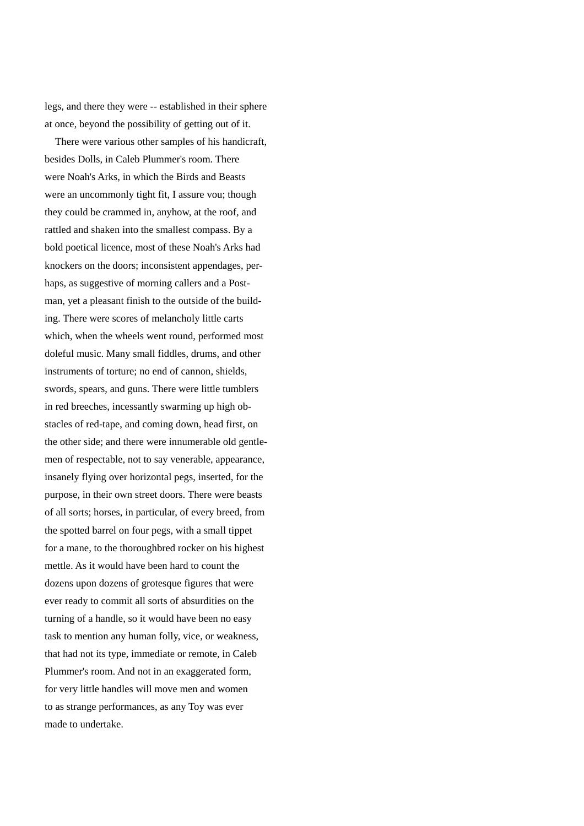legs, and there they were -- established in their sphere at once, beyond the possibility of getting out of it.

 There were various other samples of his handicraft, besides Dolls, in Caleb Plummer's room. There were Noah's Arks, in which the Birds and Beasts were an uncommonly tight fit, I assure vou; though they could be crammed in, anyhow, at the roof, and rattled and shaken into the smallest compass. By a bold poetical licence, most of these Noah's Arks had knockers on the doors; inconsistent appendages, perhaps, as suggestive of morning callers and a Postman, yet a pleasant finish to the outside of the building. There were scores of melancholy little carts which, when the wheels went round, performed most doleful music. Many small fiddles, drums, and other instruments of torture; no end of cannon, shields, swords, spears, and guns. There were little tumblers in red breeches, incessantly swarming up high obstacles of red-tape, and coming down, head first, on the other side; and there were innumerable old gentlemen of respectable, not to say venerable, appearance, insanely flying over horizontal pegs, inserted, for the purpose, in their own street doors. There were beasts of all sorts; horses, in particular, of every breed, from the spotted barrel on four pegs, with a small tippet for a mane, to the thoroughbred rocker on his highest mettle. As it would have been hard to count the dozens upon dozens of grotesque figures that were ever ready to commit all sorts of absurdities on the turning of a handle, so it would have been no easy task to mention any human folly, vice, or weakness, that had not its type, immediate or remote, in Caleb Plummer's room. And not in an exaggerated form, for very little handles will move men and women to as strange performances, as any Toy was ever made to undertake.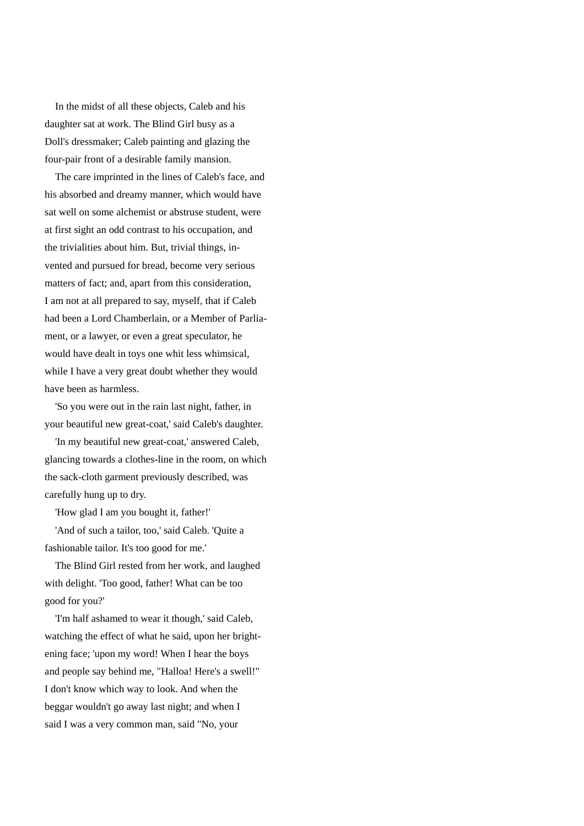In the midst of all these objects, Caleb and his daughter sat at work. The Blind Girl busy as a Doll's dressmaker; Caleb painting and glazing the four-pair front of a desirable family mansion.

 The care imprinted in the lines of Caleb's face, and his absorbed and dreamy manner, which would have sat well on some alchemist or abstruse student, were at first sight an odd contrast to his occupation, and the trivialities about him. But, trivial things, invented and pursued for bread, become very serious matters of fact; and, apart from this consideration, I am not at all prepared to say, myself, that if Caleb had been a Lord Chamberlain, or a Member of Parliament, or a lawyer, or even a great speculator, he would have dealt in toys one whit less whimsical, while I have a very great doubt whether they would have been as harmless.

 'So you were out in the rain last night, father, in your beautiful new great-coat,' said Caleb's daughter.

 'In my beautiful new great-coat,' answered Caleb, glancing towards a clothes-line in the room, on which the sack-cloth garment previously described, was carefully hung up to dry.

'How glad I am you bought it, father!'

 'And of such a tailor, too,' said Caleb. 'Quite a fashionable tailor. It's too good for me.'

 The Blind Girl rested from her work, and laughed with delight. 'Too good, father! What can be too good for you?'

 'I'm half ashamed to wear it though,' said Caleb, watching the effect of what he said, upon her brightening face; 'upon my word! When I hear the boys and people say behind me, "Halloa! Here's a swell!" I don't know which way to look. And when the beggar wouldn't go away last night; and when I said I was a very common man, said "No, your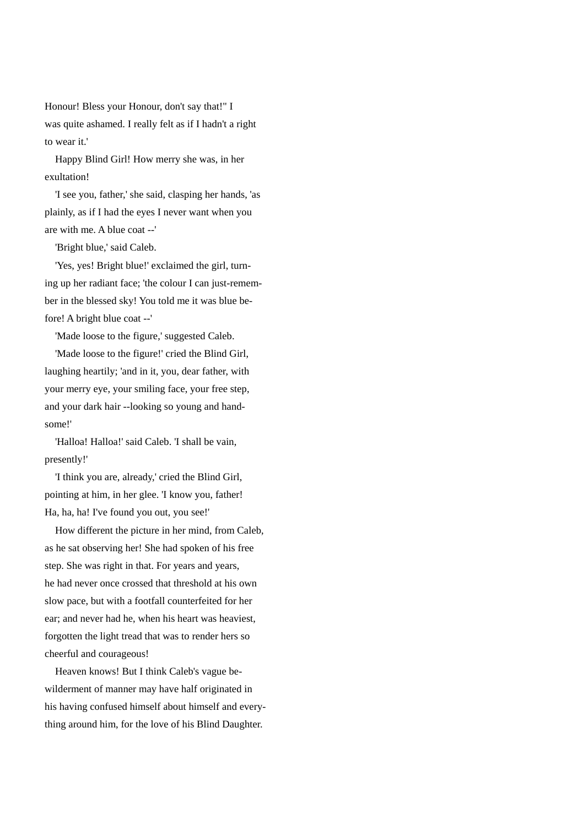Honour! Bless your Honour, don't say that!" I was quite ashamed. I really felt as if I hadn't a right to wear it.'

 Happy Blind Girl! How merry she was, in her exultation!

 'I see you, father,' she said, clasping her hands, 'as plainly, as if I had the eyes I never want when you are with me. A blue coat --'

'Bright blue,' said Caleb.

 'Yes, yes! Bright blue!' exclaimed the girl, turning up her radiant face; 'the colour I can just-remember in the blessed sky! You told me it was blue before! A bright blue coat --'

'Made loose to the figure,' suggested Caleb.

 'Made loose to the figure!' cried the Blind Girl, laughing heartily; 'and in it, you, dear father, with your merry eye, your smiling face, your free step, and your dark hair --looking so young and handsome!'

'Halloa! Halloa!' said Caleb. 'I shall be vain, presently!'

 'I think you are, already,' cried the Blind Girl, pointing at him, in her glee. 'I know you, father! Ha, ha, ha! I've found you out, you see!'

 How different the picture in her mind, from Caleb, as he sat observing her! She had spoken of his free step. She was right in that. For years and years, he had never once crossed that threshold at his own slow pace, but with a footfall counterfeited for her ear; and never had he, when his heart was heaviest, forgotten the light tread that was to render hers so cheerful and courageous!

 Heaven knows! But I think Caleb's vague bewilderment of manner may have half originated in his having confused himself about himself and everything around him, for the love of his Blind Daughter.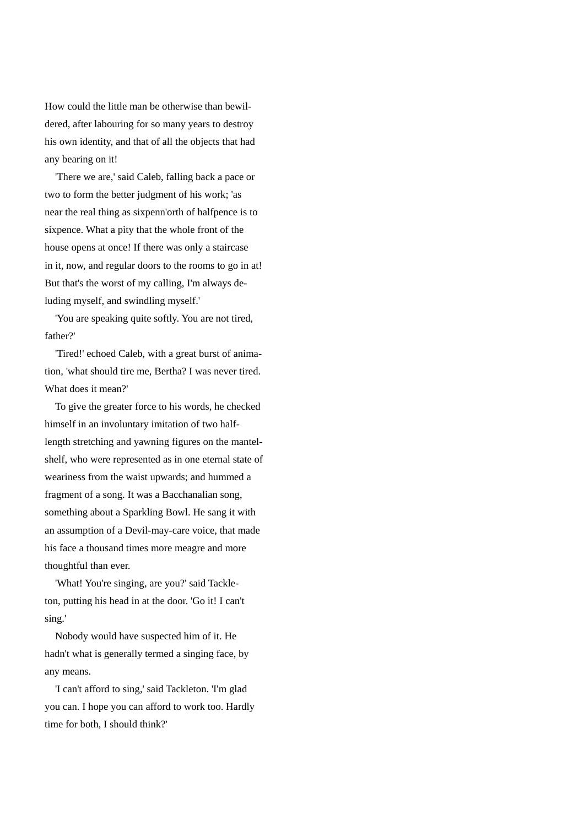How could the little man be otherwise than bewildered, after labouring for so many years to destroy his own identity, and that of all the objects that had any bearing on it!

 'There we are,' said Caleb, falling back a pace or two to form the better judgment of his work; 'as near the real thing as sixpenn'orth of halfpence is to sixpence. What a pity that the whole front of the house opens at once! If there was only a staircase in it, now, and regular doors to the rooms to go in at! But that's the worst of my calling, I'm always deluding myself, and swindling myself.'

 'You are speaking quite softly. You are not tired, father?'

 'Tired!' echoed Caleb, with a great burst of animation, 'what should tire me, Bertha? I was never tired. What does it mean?'

 To give the greater force to his words, he checked himself in an involuntary imitation of two halflength stretching and yawning figures on the mantelshelf, who were represented as in one eternal state of weariness from the waist upwards; and hummed a fragment of a song. It was a Bacchanalian song, something about a Sparkling Bowl. He sang it with an assumption of a Devil-may-care voice, that made his face a thousand times more meagre and more thoughtful than ever.

 'What! You're singing, are you?' said Tackleton, putting his head in at the door. 'Go it! I can't sing.'

 Nobody would have suspected him of it. He hadn't what is generally termed a singing face, by any means.

 'I can't afford to sing,' said Tackleton. 'I'm glad you can. I hope you can afford to work too. Hardly time for both, I should think?'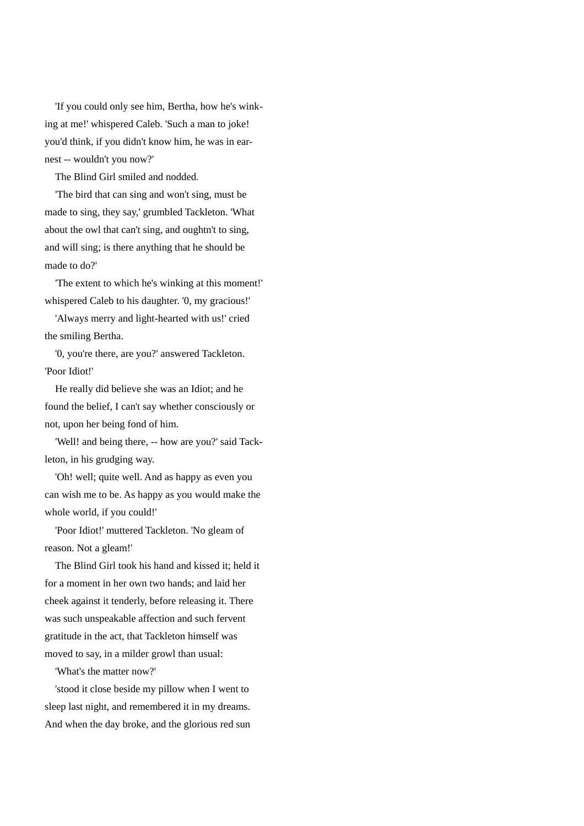'If you could only see him, Bertha, how he's winking at me!' whispered Caleb. 'Such a man to joke! you'd think, if you didn't know him, he was in earnest -- wouldn't you now?'

The Blind Girl smiled and nodded.

 'The bird that can sing and won't sing, must be made to sing, they say,' grumbled Tackleton. 'What about the owl that can't sing, and oughtn't to sing, and will sing; is there anything that he should be made to do?'

 'The extent to which he's winking at this moment!' whispered Caleb to his daughter. '0, my gracious!'

 'Always merry and light-hearted with us!' cried the smiling Bertha.

 '0, you're there, are you?' answered Tackleton. 'Poor Idiot!'

 He really did believe she was an Idiot; and he found the belief, I can't say whether consciously or not, upon her being fond of him.

 'Well! and being there, -- how are you?' said Tackleton, in his grudging way.

 'Oh! well; quite well. And as happy as even you can wish me to be. As happy as you would make the whole world, if you could!'

 'Poor Idiot!' muttered Tackleton. 'No gleam of reason. Not a gleam!'

 The Blind Girl took his hand and kissed it; held it for a moment in her own two hands; and laid her cheek against it tenderly, before releasing it. There was such unspeakable affection and such fervent gratitude in the act, that Tackleton himself was moved to say, in a milder growl than usual:

'What's the matter now?'

 'stood it close beside my pillow when I went to sleep last night, and remembered it in my dreams. And when the day broke, and the glorious red sun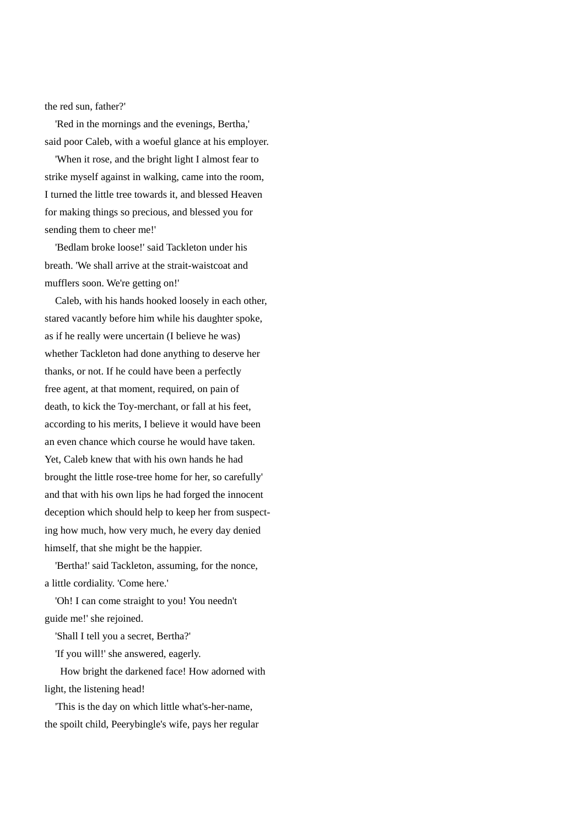the red sun, father?'

 'Red in the mornings and the evenings, Bertha,' said poor Caleb, with a woeful glance at his employer.

 'When it rose, and the bright light I almost fear to strike myself against in walking, came into the room, I turned the little tree towards it, and blessed Heaven for making things so precious, and blessed you for sending them to cheer me!'

 'Bedlam broke loose!' said Tackleton under his breath. 'We shall arrive at the strait-waistcoat and mufflers soon. We're getting on!'

 Caleb, with his hands hooked loosely in each other, stared vacantly before him while his daughter spoke, as if he really were uncertain (I believe he was) whether Tackleton had done anything to deserve her thanks, or not. If he could have been a perfectly free agent, at that moment, required, on pain of death, to kick the Toy-merchant, or fall at his feet, according to his merits, I believe it would have been an even chance which course he would have taken. Yet, Caleb knew that with his own hands he had brought the little rose-tree home for her, so carefully' and that with his own lips he had forged the innocent deception which should help to keep her from suspecting how much, how very much, he every day denied himself, that she might be the happier.

 'Bertha!' said Tackleton, assuming, for the nonce, a little cordiality. 'Come here.'

 'Oh! I can come straight to you! You needn't guide me!' she rejoined.

'Shall I tell you a secret, Bertha?'

'If you will!' she answered, eagerly.

 How bright the darkened face! How adorned with light, the listening head!

 'This is the day on which little what's-her-name, the spoilt child, Peerybingle's wife, pays her regular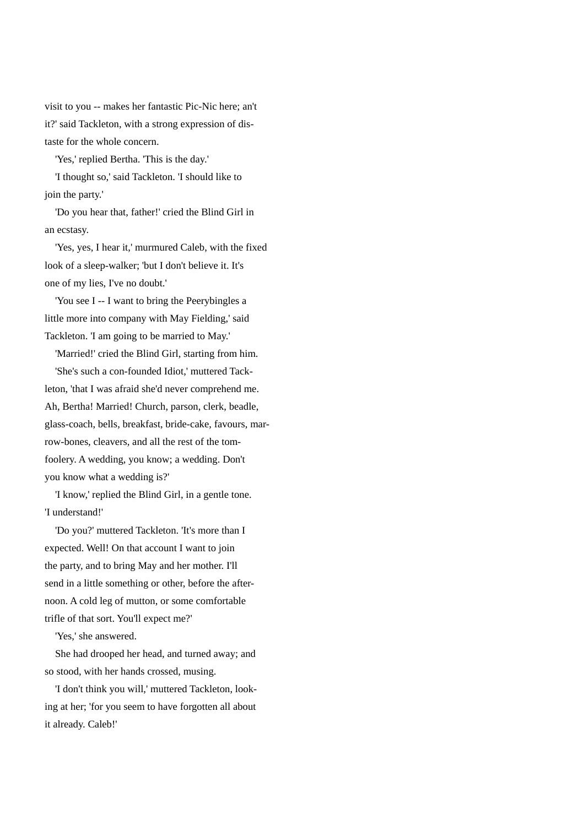visit to you -- makes her fantastic Pic-Nic here; an't it?' said Tackleton, with a strong expression of distaste for the whole concern.

'Yes,' replied Bertha. 'This is the day.'

 'I thought so,' said Tackleton. 'I should like to join the party.'

 'Do you hear that, father!' cried the Blind Girl in an ecstasy.

 'Yes, yes, I hear it,' murmured Caleb, with the fixed look of a sleep-walker; 'but I don't believe it. It's one of my lies, I've no doubt.'

 'You see I -- I want to bring the Peerybingles a little more into company with May Fielding,' said Tackleton. 'I am going to be married to May.'

'Married!' cried the Blind Girl, starting from him.

 'She's such a con-founded Idiot,' muttered Tackleton, 'that I was afraid she'd never comprehend me. Ah, Bertha! Married! Church, parson, clerk, beadle, glass-coach, bells, breakfast, bride-cake, favours, marrow-bones, cleavers, and all the rest of the tomfoolery. A wedding, you know; a wedding. Don't you know what a wedding is?'

 'I know,' replied the Blind Girl, in a gentle tone. 'I understand!'

 'Do you?' muttered Tackleton. 'It's more than I expected. Well! On that account I want to join the party, and to bring May and her mother. I'll send in a little something or other, before the afternoon. A cold leg of mutton, or some comfortable trifle of that sort. You'll expect me?'

'Yes,' she answered.

 She had drooped her head, and turned away; and so stood, with her hands crossed, musing.

 'I don't think you will,' muttered Tackleton, looking at her; 'for you seem to have forgotten all about it already. Caleb!'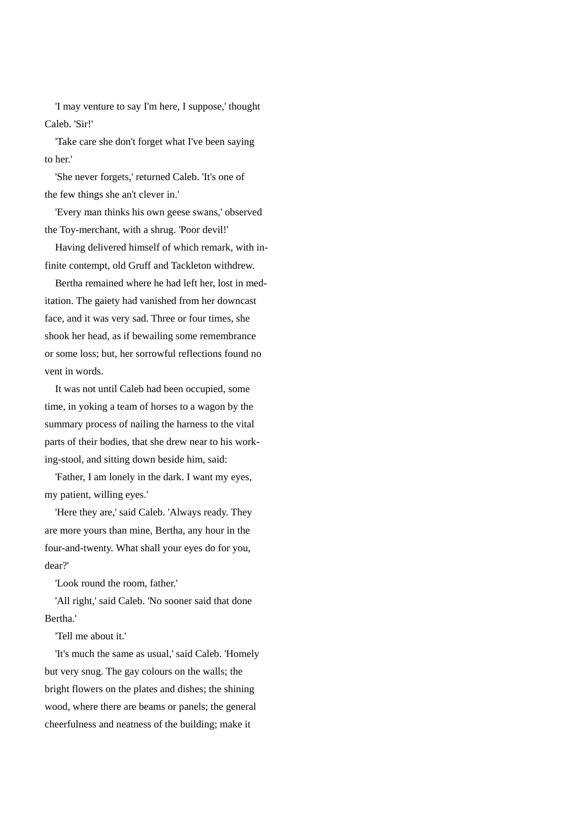'I may venture to say I'm here, I suppose,' thought Caleb. 'Sir!'

 'Take care she don't forget what I've been saying to her.'

 'She never forgets,' returned Caleb. 'It's one of the few things she an't clever in.'

 'Every man thinks his own geese swans,' observed the Toy-merchant, with a shrug. 'Poor devil!'

 Having delivered himself of which remark, with infinite contempt, old Gruff and Tackleton withdrew.

 Bertha remained where he had left her, lost in meditation. The gaiety had vanished from her downcast face, and it was very sad. Three or four times, she shook her head, as if bewailing some remembrance or some loss; but, her sorrowful reflections found no vent in words.

 It was not until Caleb had been occupied, some time, in yoking a team of horses to a wagon by the summary process of nailing the harness to the vital parts of their bodies, that she drew near to his working-stool, and sitting down beside him, said:

 'Father, I am lonely in the dark. I want my eyes, my patient, willing eyes.'

 'Here they are,' said Caleb. 'Always ready. They are more yours than mine, Bertha, any hour in the four-and-twenty. What shall your eyes do for you, dear?'

'Look round the room, father.'

 'All right,' said Caleb. 'No sooner said that done Bertha.'

'Tell me about it.'

 'It's much the same as usual,' said Caleb. 'Homely but very snug. The gay colours on the walls; the bright flowers on the plates and dishes; the shining wood, where there are beams or panels; the general cheerfulness and neatness of the building; make it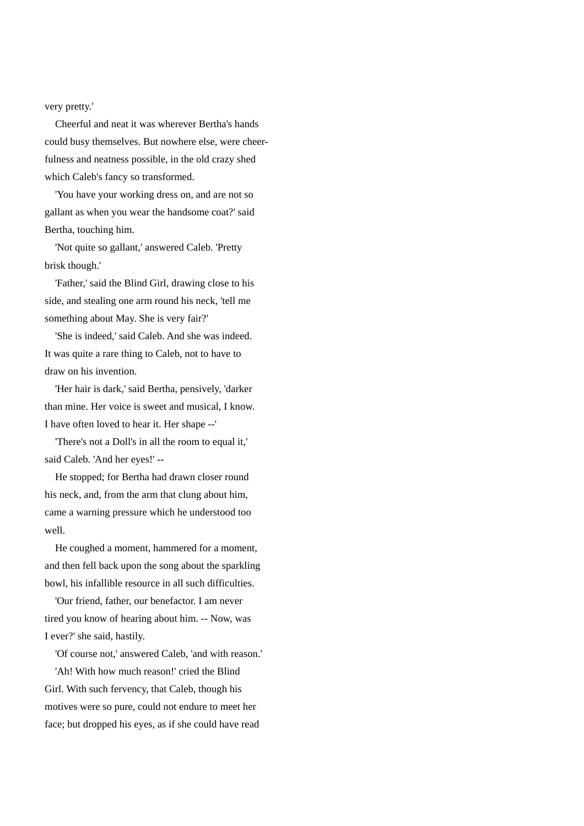very pretty.'

 Cheerful and neat it was wherever Bertha's hands could busy themselves. But nowhere else, were cheerfulness and neatness possible, in the old crazy shed which Caleb's fancy so transformed.

 'You have your working dress on, and are not so gallant as when you wear the handsome coat?' said Bertha, touching him.

 'Not quite so gallant,' answered Caleb. 'Pretty brisk though.'

 'Father,' said the Blind Girl, drawing close to his side, and stealing one arm round his neck, 'tell me something about May. She is very fair?'

 'She is indeed,' said Caleb. And she was indeed. It was quite a rare thing to Caleb, not to have to draw on his invention.

 'Her hair is dark,' said Bertha, pensively, 'darker than mine. Her voice is sweet and musical, I know. I have often loved to hear it. Her shape --'

 'There's not a Doll's in all the room to equal it,' said Caleb. 'And her eyes!' --

 He stopped; for Bertha had drawn closer round his neck, and, from the arm that clung about him, came a warning pressure which he understood too well.

 He coughed a moment, hammered for a moment, and then fell back upon the song about the sparkling bowl, his infallible resource in all such difficulties.

 'Our friend, father, our benefactor. I am never tired you know of hearing about him. -- Now, was I ever?' she said, hastily.

'Of course not,' answered Caleb, 'and with reason.'

 'Ah! With how much reason!' cried the Blind Girl. With such fervency, that Caleb, though his motives were so pure, could not endure to meet her face; but dropped his eyes, as if she could have read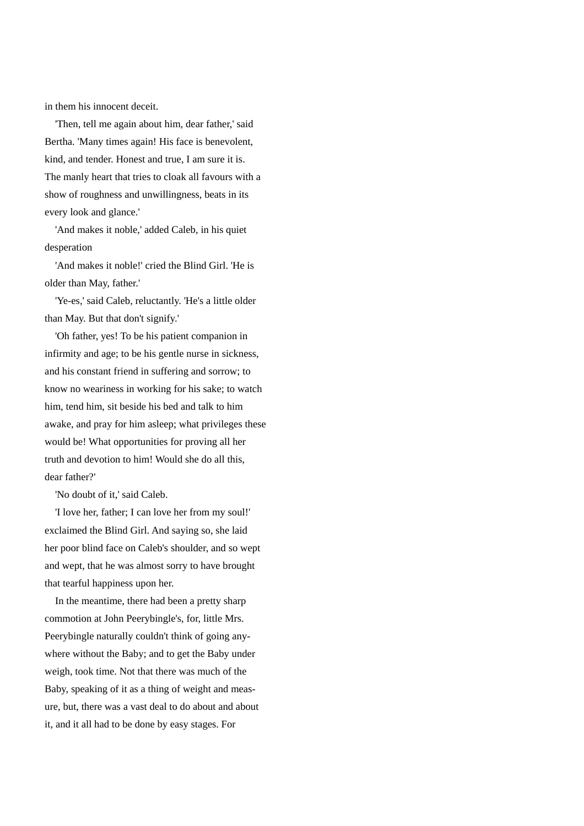in them his innocent deceit.

 'Then, tell me again about him, dear father,' said Bertha. 'Many times again! His face is benevolent, kind, and tender. Honest and true, I am sure it is. The manly heart that tries to cloak all favours with a show of roughness and unwillingness, beats in its every look and glance.'

 'And makes it noble,' added Caleb, in his quiet desperation

 'And makes it noble!' cried the Blind Girl. 'He is older than May, father.'

 'Ye-es,' said Caleb, reluctantly. 'He's a little older than May. But that don't signify.'

 'Oh father, yes! To be his patient companion in infirmity and age; to be his gentle nurse in sickness, and his constant friend in suffering and sorrow; to know no weariness in working for his sake; to watch him, tend him, sit beside his bed and talk to him awake, and pray for him asleep; what privileges these would be! What opportunities for proving all her truth and devotion to him! Would she do all this, dear father?'

'No doubt of it,' said Caleb.

 'I love her, father; I can love her from my soul!' exclaimed the Blind Girl. And saying so, she laid her poor blind face on Caleb's shoulder, and so wept and wept, that he was almost sorry to have brought that tearful happiness upon her.

 In the meantime, there had been a pretty sharp commotion at John Peerybingle's, for, little Mrs. Peerybingle naturally couldn't think of going anywhere without the Baby; and to get the Baby under weigh, took time. Not that there was much of the Baby, speaking of it as a thing of weight and measure, but, there was a vast deal to do about and about it, and it all had to be done by easy stages. For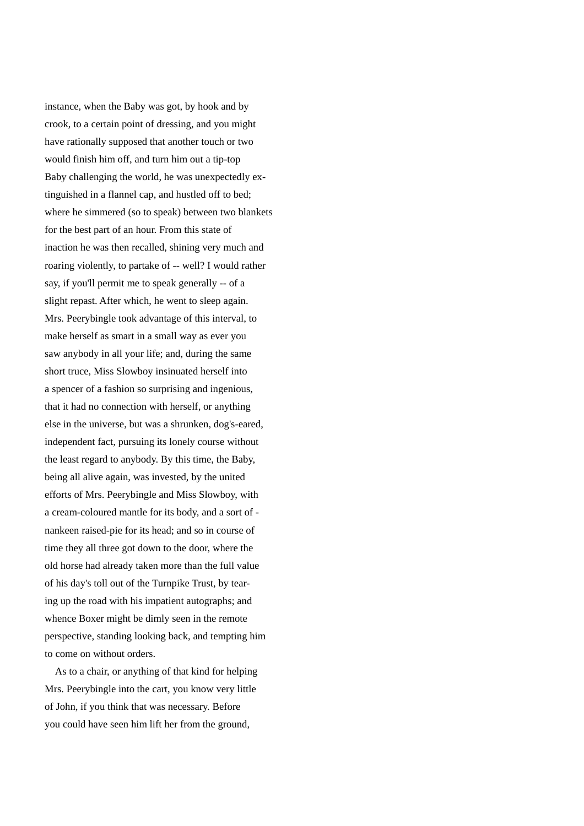instance, when the Baby was got, by hook and by crook, to a certain point of dressing, and you might have rationally supposed that another touch or two would finish him off, and turn him out a tip-top Baby challenging the world, he was unexpectedly extinguished in a flannel cap, and hustled off to bed; where he simmered (so to speak) between two blankets for the best part of an hour. From this state of inaction he was then recalled, shining very much and roaring violently, to partake of -- well? I would rather say, if you'll permit me to speak generally -- of a slight repast. After which, he went to sleep again. Mrs. Peerybingle took advantage of this interval, to make herself as smart in a small way as ever you saw anybody in all your life; and, during the same short truce, Miss Slowboy insinuated herself into a spencer of a fashion so surprising and ingenious, that it had no connection with herself, or anything else in the universe, but was a shrunken, dog's-eared, independent fact, pursuing its lonely course without the least regard to anybody. By this time, the Baby, being all alive again, was invested, by the united efforts of Mrs. Peerybingle and Miss Slowboy, with a cream-coloured mantle for its body, and a sort of nankeen raised-pie for its head; and so in course of time they all three got down to the door, where the old horse had already taken more than the full value of his day's toll out of the Turnpike Trust, by tearing up the road with his impatient autographs; and whence Boxer might be dimly seen in the remote perspective, standing looking back, and tempting him to come on without orders.

 As to a chair, or anything of that kind for helping Mrs. Peerybingle into the cart, you know very little of John, if you think that was necessary. Before you could have seen him lift her from the ground,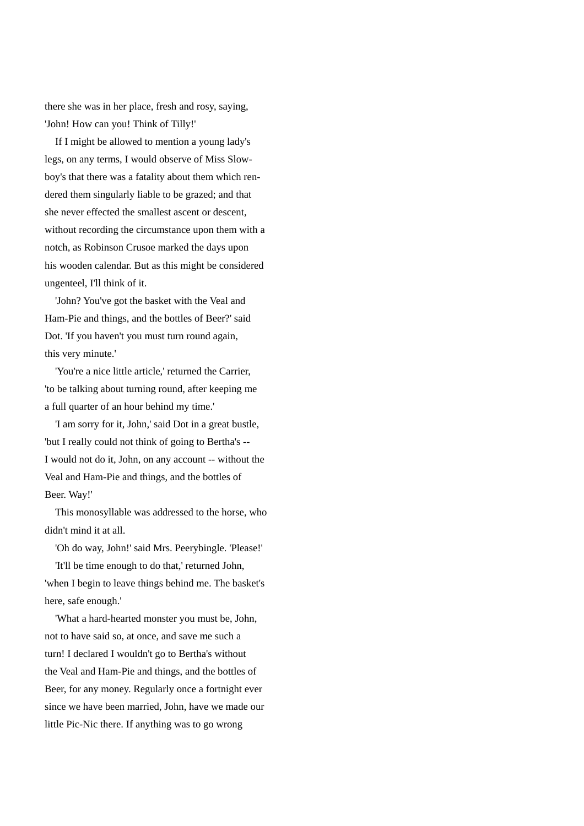there she was in her place, fresh and rosy, saying, 'John! How can you! Think of Tilly!'

 If I might be allowed to mention a young lady's legs, on any terms, I would observe of Miss Slowboy's that there was a fatality about them which rendered them singularly liable to be grazed; and that she never effected the smallest ascent or descent, without recording the circumstance upon them with a notch, as Robinson Crusoe marked the days upon his wooden calendar. But as this might be considered ungenteel, I'll think of it.

 'John? You've got the basket with the Veal and Ham-Pie and things, and the bottles of Beer?' said Dot. 'If you haven't you must turn round again, this very minute.'

 'You're a nice little article,' returned the Carrier, 'to be talking about turning round, after keeping me a full quarter of an hour behind my time.'

 'I am sorry for it, John,' said Dot in a great bustle, 'but I really could not think of going to Bertha's -- I would not do it, John, on any account -- without the Veal and Ham-Pie and things, and the bottles of Beer. Way!'

 This monosyllable was addressed to the horse, who didn't mind it at all.

'Oh do way, John!' said Mrs. Peerybingle. 'Please!'

 'It'll be time enough to do that,' returned John, 'when I begin to leave things behind me. The basket's here, safe enough.'

 'What a hard-hearted monster you must be, John, not to have said so, at once, and save me such a turn! I declared I wouldn't go to Bertha's without the Veal and Ham-Pie and things, and the bottles of Beer, for any money. Regularly once a fortnight ever since we have been married, John, have we made our little Pic-Nic there. If anything was to go wrong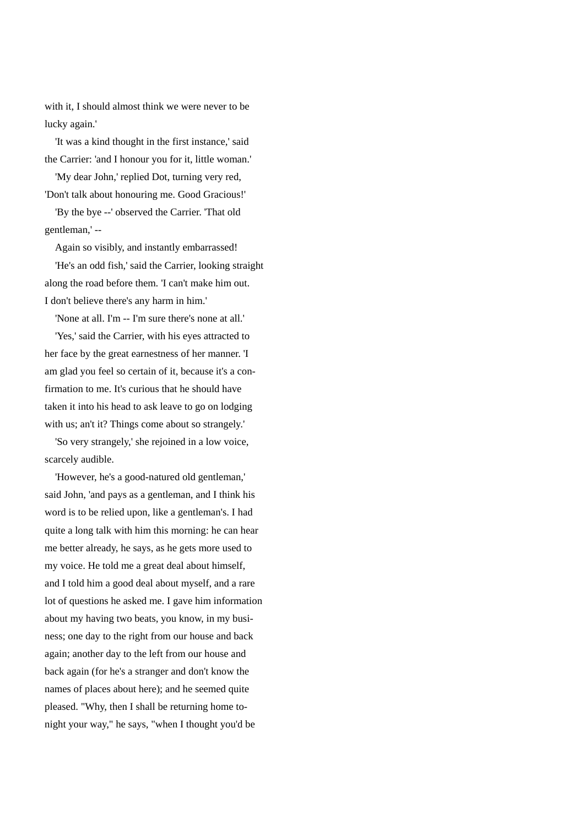with it, I should almost think we were never to be lucky again.'

 'It was a kind thought in the first instance,' said the Carrier: 'and I honour you for it, little woman.'

 'My dear John,' replied Dot, turning very red, 'Don't talk about honouring me. Good Gracious!'

 'By the bye --' observed the Carrier. 'That old gentleman,' --

Again so visibly, and instantly embarrassed!

 'He's an odd fish,' said the Carrier, looking straight along the road before them. 'I can't make him out. I don't believe there's any harm in him.'

'None at all. I'm -- I'm sure there's none at all.'

 'Yes,' said the Carrier, with his eyes attracted to her face by the great earnestness of her manner. 'I am glad you feel so certain of it, because it's a confirmation to me. It's curious that he should have taken it into his head to ask leave to go on lodging with us; an't it? Things come about so strangely.'

 'So very strangely,' she rejoined in a low voice, scarcely audible.

 'However, he's a good-natured old gentleman,' said John, 'and pays as a gentleman, and I think his word is to be relied upon, like a gentleman's. I had quite a long talk with him this morning: he can hear me better already, he says, as he gets more used to my voice. He told me a great deal about himself, and I told him a good deal about myself, and a rare lot of questions he asked me. I gave him information about my having two beats, you know, in my business; one day to the right from our house and back again; another day to the left from our house and back again (for he's a stranger and don't know the names of places about here); and he seemed quite pleased. "Why, then I shall be returning home tonight your way," he says, "when I thought you'd be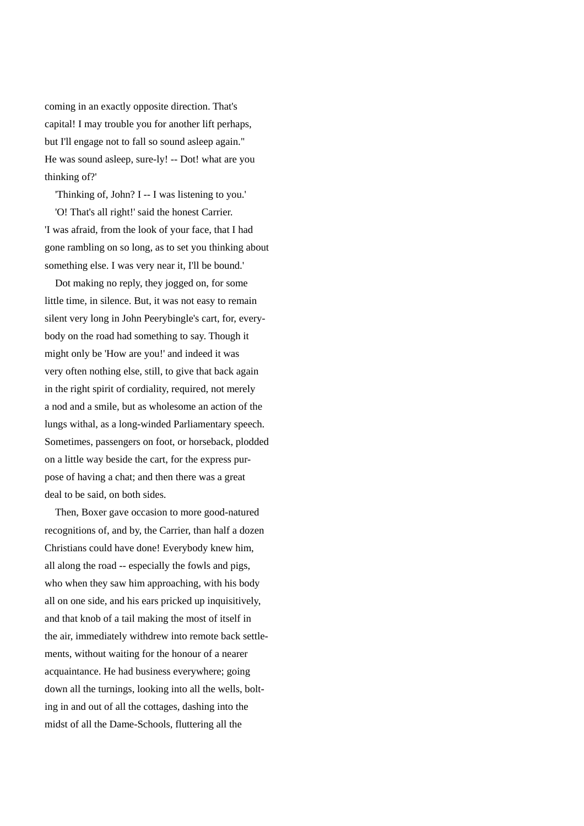coming in an exactly opposite direction. That's capital! I may trouble you for another lift perhaps, but I'll engage not to fall so sound asleep again." He was sound asleep, sure-ly! -- Dot! what are you thinking of?'

 'Thinking of, John? I -- I was listening to you.' 'O! That's all right!' said the honest Carrier. 'I was afraid, from the look of your face, that I had gone rambling on so long, as to set you thinking about something else. I was very near it, I'll be bound.'

 Dot making no reply, they jogged on, for some little time, in silence. But, it was not easy to remain silent very long in John Peerybingle's cart, for, everybody on the road had something to say. Though it might only be 'How are you!' and indeed it was very often nothing else, still, to give that back again in the right spirit of cordiality, required, not merely a nod and a smile, but as wholesome an action of the lungs withal, as a long-winded Parliamentary speech. Sometimes, passengers on foot, or horseback, plodded on a little way beside the cart, for the express purpose of having a chat; and then there was a great deal to be said, on both sides.

 Then, Boxer gave occasion to more good-natured recognitions of, and by, the Carrier, than half a dozen Christians could have done! Everybody knew him, all along the road -- especially the fowls and pigs, who when they saw him approaching, with his body all on one side, and his ears pricked up inquisitively, and that knob of a tail making the most of itself in the air, immediately withdrew into remote back settlements, without waiting for the honour of a nearer acquaintance. He had business everywhere; going down all the turnings, looking into all the wells, bolting in and out of all the cottages, dashing into the midst of all the Dame-Schools, fluttering all the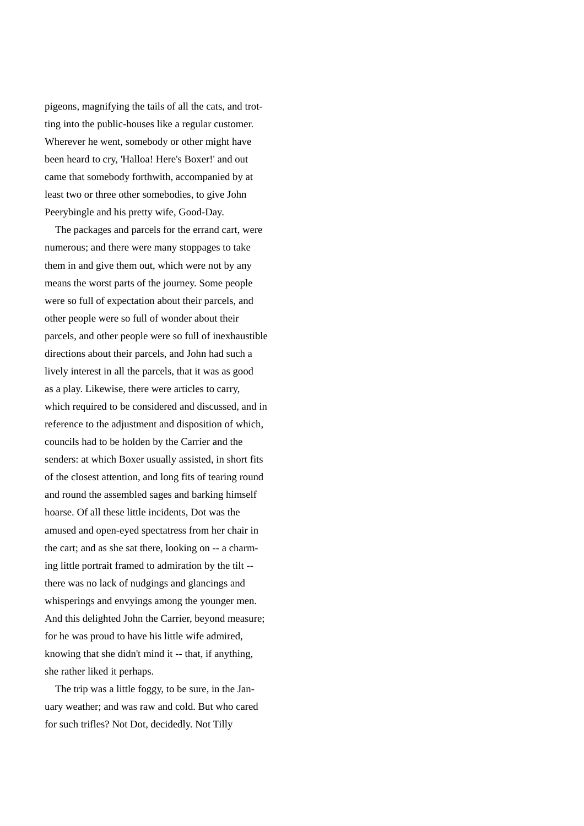pigeons, magnifying the tails of all the cats, and trotting into the public-houses like a regular customer. Wherever he went, somebody or other might have been heard to cry, 'Halloa! Here's Boxer!' and out came that somebody forthwith, accompanied by at least two or three other somebodies, to give John Peerybingle and his pretty wife, Good-Day.

 The packages and parcels for the errand cart, were numerous; and there were many stoppages to take them in and give them out, which were not by any means the worst parts of the journey. Some people were so full of expectation about their parcels, and other people were so full of wonder about their parcels, and other people were so full of inexhaustible directions about their parcels, and John had such a lively interest in all the parcels, that it was as good as a play. Likewise, there were articles to carry, which required to be considered and discussed, and in reference to the adjustment and disposition of which, councils had to be holden by the Carrier and the senders: at which Boxer usually assisted, in short fits of the closest attention, and long fits of tearing round and round the assembled sages and barking himself hoarse. Of all these little incidents, Dot was the amused and open-eyed spectatress from her chair in the cart; and as she sat there, looking on -- a charming little portrait framed to admiration by the tilt - there was no lack of nudgings and glancings and whisperings and envyings among the younger men. And this delighted John the Carrier, beyond measure; for he was proud to have his little wife admired, knowing that she didn't mind it -- that, if anything, she rather liked it perhaps.

 The trip was a little foggy, to be sure, in the January weather; and was raw and cold. But who cared for such trifles? Not Dot, decidedly. Not Tilly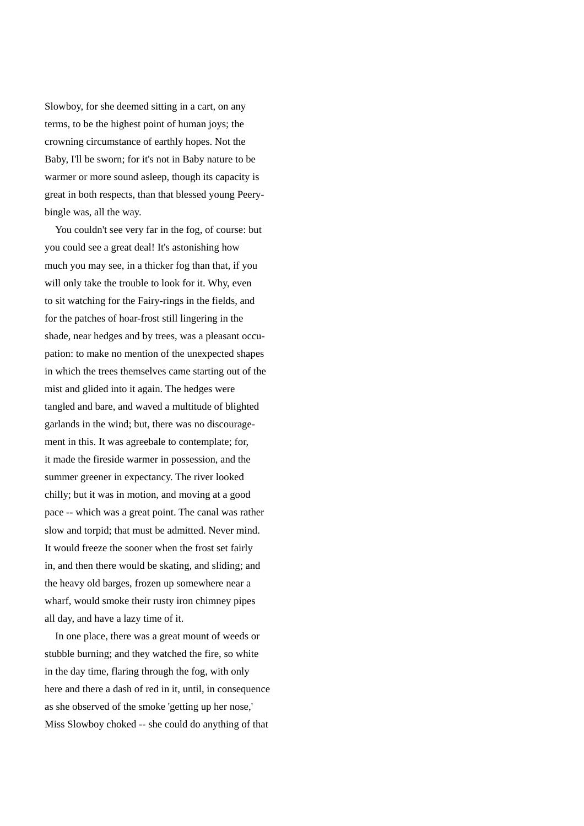Slowboy, for she deemed sitting in a cart, on any terms, to be the highest point of human joys; the crowning circumstance of earthly hopes. Not the Baby, I'll be sworn; for it's not in Baby nature to be warmer or more sound asleep, though its capacity is great in both respects, than that blessed young Peerybingle was, all the way.

 You couldn't see very far in the fog, of course: but you could see a great deal! It's astonishing how much you may see, in a thicker fog than that, if you will only take the trouble to look for it. Why, even to sit watching for the Fairy-rings in the fields, and for the patches of hoar-frost still lingering in the shade, near hedges and by trees, was a pleasant occupation: to make no mention of the unexpected shapes in which the trees themselves came starting out of the mist and glided into it again. The hedges were tangled and bare, and waved a multitude of blighted garlands in the wind; but, there was no discouragement in this. It was agreebale to contemplate; for, it made the fireside warmer in possession, and the summer greener in expectancy. The river looked chilly; but it was in motion, and moving at a good pace -- which was a great point. The canal was rather slow and torpid; that must be admitted. Never mind. It would freeze the sooner when the frost set fairly in, and then there would be skating, and sliding; and the heavy old barges, frozen up somewhere near a wharf, would smoke their rusty iron chimney pipes all day, and have a lazy time of it.

 In one place, there was a great mount of weeds or stubble burning; and they watched the fire, so white in the day time, flaring through the fog, with only here and there a dash of red in it, until, in consequence as she observed of the smoke 'getting up her nose,' Miss Slowboy choked -- she could do anything of that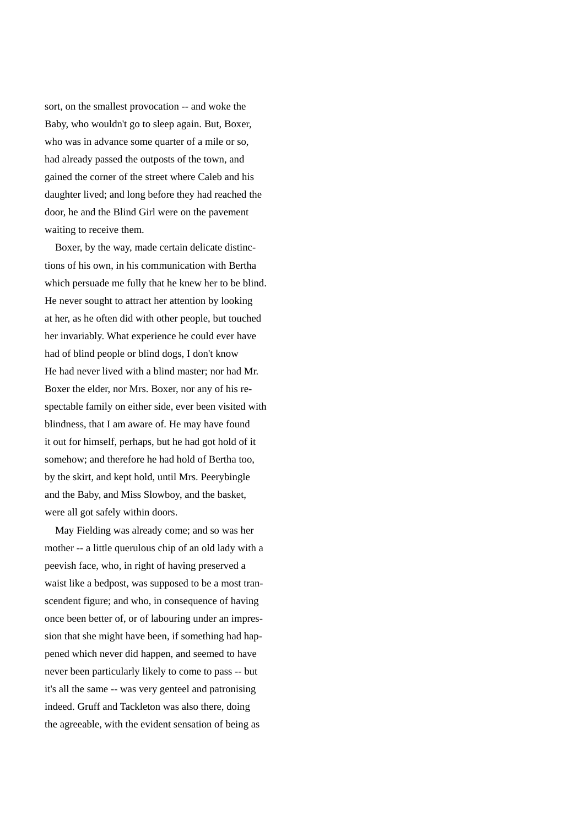sort, on the smallest provocation -- and woke the Baby, who wouldn't go to sleep again. But, Boxer, who was in advance some quarter of a mile or so, had already passed the outposts of the town, and gained the corner of the street where Caleb and his daughter lived; and long before they had reached the door, he and the Blind Girl were on the pavement waiting to receive them.

 Boxer, by the way, made certain delicate distinctions of his own, in his communication with Bertha which persuade me fully that he knew her to be blind. He never sought to attract her attention by looking at her, as he often did with other people, but touched her invariably. What experience he could ever have had of blind people or blind dogs, I don't know He had never lived with a blind master; nor had Mr. Boxer the elder, nor Mrs. Boxer, nor any of his respectable family on either side, ever been visited with blindness, that I am aware of. He may have found it out for himself, perhaps, but he had got hold of it somehow; and therefore he had hold of Bertha too, by the skirt, and kept hold, until Mrs. Peerybingle and the Baby, and Miss Slowboy, and the basket, were all got safely within doors.

 May Fielding was already come; and so was her mother -- a little querulous chip of an old lady with a peevish face, who, in right of having preserved a waist like a bedpost, was supposed to be a most transcendent figure; and who, in consequence of having once been better of, or of labouring under an impression that she might have been, if something had happened which never did happen, and seemed to have never been particularly likely to come to pass -- but it's all the same -- was very genteel and patronising indeed. Gruff and Tackleton was also there, doing the agreeable, with the evident sensation of being as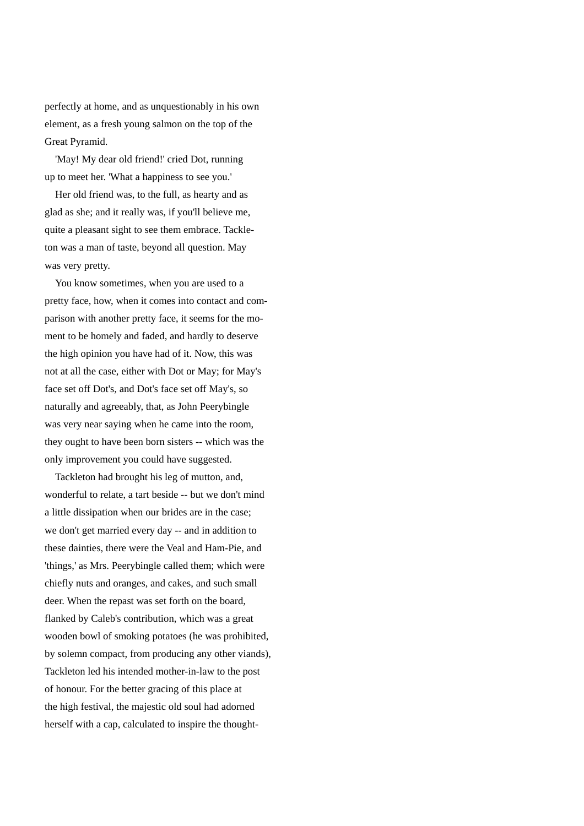perfectly at home, and as unquestionably in his own element, as a fresh young salmon on the top of the Great Pyramid.

 'May! My dear old friend!' cried Dot, running up to meet her. 'What a happiness to see you.'

 Her old friend was, to the full, as hearty and as glad as she; and it really was, if you'll believe me, quite a pleasant sight to see them embrace. Tackleton was a man of taste, beyond all question. May was very pretty.

 You know sometimes, when you are used to a pretty face, how, when it comes into contact and comparison with another pretty face, it seems for the moment to be homely and faded, and hardly to deserve the high opinion you have had of it. Now, this was not at all the case, either with Dot or May; for May's face set off Dot's, and Dot's face set off May's, so naturally and agreeably, that, as John Peerybingle was very near saying when he came into the room, they ought to have been born sisters -- which was the only improvement you could have suggested.

 Tackleton had brought his leg of mutton, and, wonderful to relate, a tart beside -- but we don't mind a little dissipation when our brides are in the case; we don't get married every day -- and in addition to these dainties, there were the Veal and Ham-Pie, and 'things,' as Mrs. Peerybingle called them; which were chiefly nuts and oranges, and cakes, and such small deer. When the repast was set forth on the board, flanked by Caleb's contribution, which was a great wooden bowl of smoking potatoes (he was prohibited, by solemn compact, from producing any other viands), Tackleton led his intended mother-in-law to the post of honour. For the better gracing of this place at the high festival, the majestic old soul had adorned herself with a cap, calculated to inspire the thought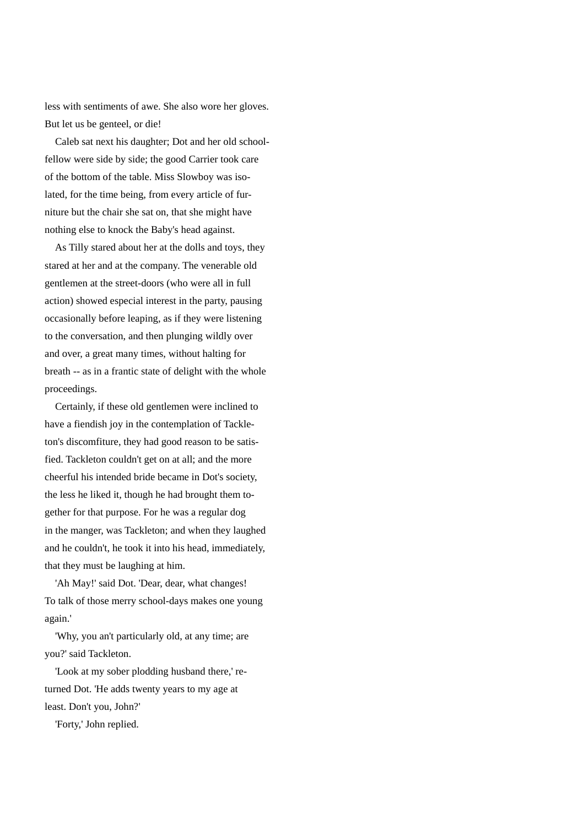less with sentiments of awe. She also wore her gloves. But let us be genteel, or die!

 Caleb sat next his daughter; Dot and her old schoolfellow were side by side; the good Carrier took care of the bottom of the table. Miss Slowboy was isolated, for the time being, from every article of furniture but the chair she sat on, that she might have nothing else to knock the Baby's head against.

 As Tilly stared about her at the dolls and toys, they stared at her and at the company. The venerable old gentlemen at the street-doors (who were all in full action) showed especial interest in the party, pausing occasionally before leaping, as if they were listening to the conversation, and then plunging wildly over and over, a great many times, without halting for breath -- as in a frantic state of delight with the whole proceedings.

 Certainly, if these old gentlemen were inclined to have a fiendish joy in the contemplation of Tackleton's discomfiture, they had good reason to be satisfied. Tackleton couldn't get on at all; and the more cheerful his intended bride became in Dot's society, the less he liked it, though he had brought them together for that purpose. For he was a regular dog in the manger, was Tackleton; and when they laughed and he couldn't, he took it into his head, immediately, that they must be laughing at him.

 'Ah May!' said Dot. 'Dear, dear, what changes! To talk of those merry school-days makes one young again.'

 'Why, you an't particularly old, at any time; are you?' said Tackleton.

 'Look at my sober plodding husband there,' returned Dot. 'He adds twenty years to my age at least. Don't you, John?'

'Forty,' John replied.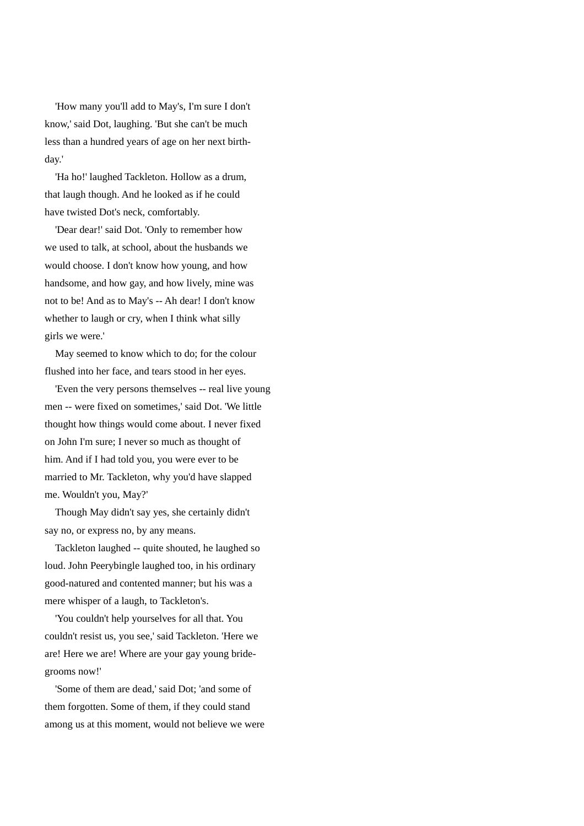'How many you'll add to May's, I'm sure I don't know,' said Dot, laughing. 'But she can't be much less than a hundred years of age on her next birthday.'

 'Ha ho!' laughed Tackleton. Hollow as a drum, that laugh though. And he looked as if he could have twisted Dot's neck, comfortably.

 'Dear dear!' said Dot. 'Only to remember how we used to talk, at school, about the husbands we would choose. I don't know how young, and how handsome, and how gay, and how lively, mine was not to be! And as to May's -- Ah dear! I don't know whether to laugh or cry, when I think what silly girls we were.'

 May seemed to know which to do; for the colour flushed into her face, and tears stood in her eyes.

 'Even the very persons themselves -- real live young men -- were fixed on sometimes,' said Dot. 'We little thought how things would come about. I never fixed on John I'm sure; I never so much as thought of him. And if I had told you, you were ever to be married to Mr. Tackleton, why you'd have slapped me. Wouldn't you, May?'

 Though May didn't say yes, she certainly didn't say no, or express no, by any means.

 Tackleton laughed -- quite shouted, he laughed so loud. John Peerybingle laughed too, in his ordinary good-natured and contented manner; but his was a mere whisper of a laugh, to Tackleton's.

 'You couldn't help yourselves for all that. You couldn't resist us, you see,' said Tackleton. 'Here we are! Here we are! Where are your gay young bridegrooms now!'

 'Some of them are dead,' said Dot; 'and some of them forgotten. Some of them, if they could stand among us at this moment, would not believe we were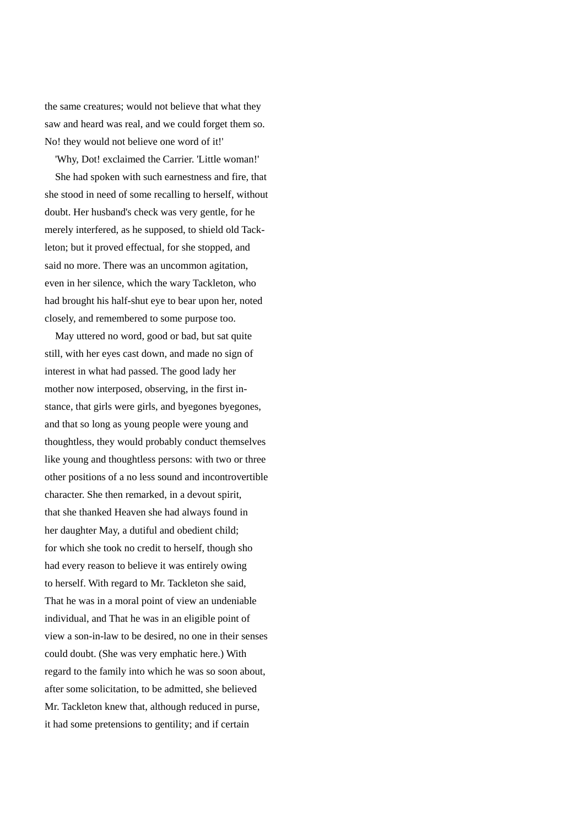the same creatures; would not believe that what they saw and heard was real, and we could forget them so. No! they would not believe one word of it!'

'Why, Dot! exclaimed the Carrier. 'Little woman!'

 She had spoken with such earnestness and fire, that she stood in need of some recalling to herself, without doubt. Her husband's check was very gentle, for he merely interfered, as he supposed, to shield old Tackleton; but it proved effectual, for she stopped, and said no more. There was an uncommon agitation, even in her silence, which the wary Tackleton, who had brought his half-shut eye to bear upon her, noted closely, and remembered to some purpose too.

 May uttered no word, good or bad, but sat quite still, with her eyes cast down, and made no sign of interest in what had passed. The good lady her mother now interposed, observing, in the first instance, that girls were girls, and byegones byegones, and that so long as young people were young and thoughtless, they would probably conduct themselves like young and thoughtless persons: with two or three other positions of a no less sound and incontrovertible character. She then remarked, in a devout spirit, that she thanked Heaven she had always found in her daughter May, a dutiful and obedient child; for which she took no credit to herself, though sho had every reason to believe it was entirely owing to herself. With regard to Mr. Tackleton she said, That he was in a moral point of view an undeniable individual, and That he was in an eligible point of view a son-in-law to be desired, no one in their senses could doubt. (She was very emphatic here.) With regard to the family into which he was so soon about, after some solicitation, to be admitted, she believed Mr. Tackleton knew that, although reduced in purse, it had some pretensions to gentility; and if certain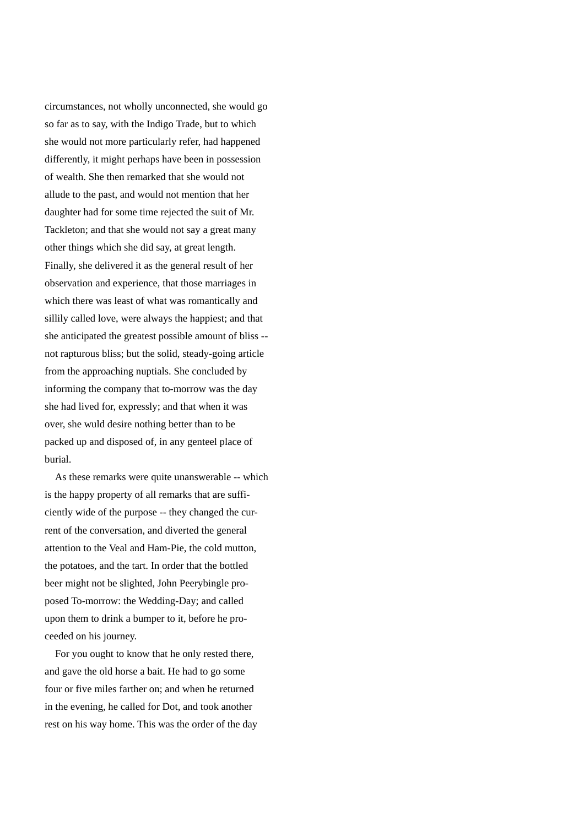circumstances, not wholly unconnected, she would go so far as to say, with the Indigo Trade, but to which she would not more particularly refer, had happened differently, it might perhaps have been in possession of wealth. She then remarked that she would not allude to the past, and would not mention that her daughter had for some time rejected the suit of Mr. Tackleton; and that she would not say a great many other things which she did say, at great length. Finally, she delivered it as the general result of her observation and experience, that those marriages in which there was least of what was romantically and sillily called love, were always the happiest; and that she anticipated the greatest possible amount of bliss - not rapturous bliss; but the solid, steady-going article from the approaching nuptials. She concluded by informing the company that to-morrow was the day she had lived for, expressly; and that when it was over, she wuld desire nothing better than to be packed up and disposed of, in any genteel place of burial.

 As these remarks were quite unanswerable -- which is the happy property of all remarks that are sufficiently wide of the purpose -- they changed the current of the conversation, and diverted the general attention to the Veal and Ham-Pie, the cold mutton, the potatoes, and the tart. In order that the bottled beer might not be slighted, John Peerybingle proposed To-morrow: the Wedding-Day; and called upon them to drink a bumper to it, before he proceeded on his journey.

 For you ought to know that he only rested there, and gave the old horse a bait. He had to go some four or five miles farther on; and when he returned in the evening, he called for Dot, and took another rest on his way home. This was the order of the day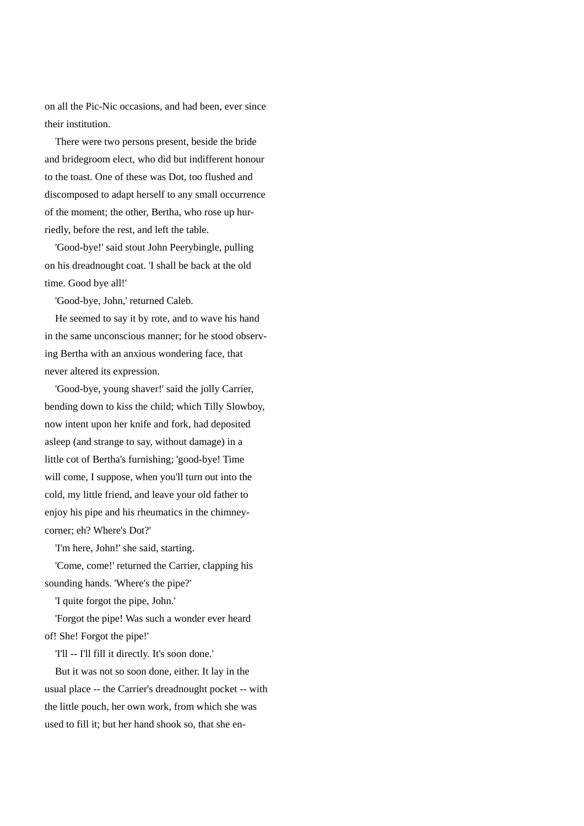on all the Pic-Nic occasions, and had been, ever since their institution.

 There were two persons present, beside the bride and bridegroom elect, who did but indifferent honour to the toast. One of these was Dot, too flushed and discomposed to adapt herself to any small occurrence of the moment; the other, Bertha, who rose up hurriedly, before the rest, and left the table.

 'Good-bye!' said stout John Peerybingle, pulling on his dreadnought coat. 'I shall be back at the old time. Good bye all!'

'Good-bye, John,' returned Caleb.

 He seemed to say it by rote, and to wave his hand in the same unconscious manner; for he stood observing Bertha with an anxious wondering face, that never altered its expression.

 'Good-bye, young shaver!' said the jolly Carrier, bending down to kiss the child; which Tilly Slowboy, now intent upon her knife and fork, had deposited asleep (and strange to say, without damage) in a little cot of Bertha's furnishing; 'good-bye! Time will come, I suppose, when you'll turn out into the cold, my little friend, and leave your old father to enjoy his pipe and his rheumatics in the chimneycorner; eh? Where's Dot?'

'I'm here, John!' she said, starting.

 'Come, come!' returned the Carrier, clapping his sounding hands. 'Where's the pipe?'

'I quite forgot the pipe, John.'

 'Forgot the pipe! Was such a wonder ever heard of! She! Forgot the pipe!'

'I'll -- I'll fill it directly. It's soon done.'

 But it was not so soon done, either. It lay in the usual place -- the Carrier's dreadnought pocket -- with the little pouch, her own work, from which she was used to fill it; but her hand shook so, that she en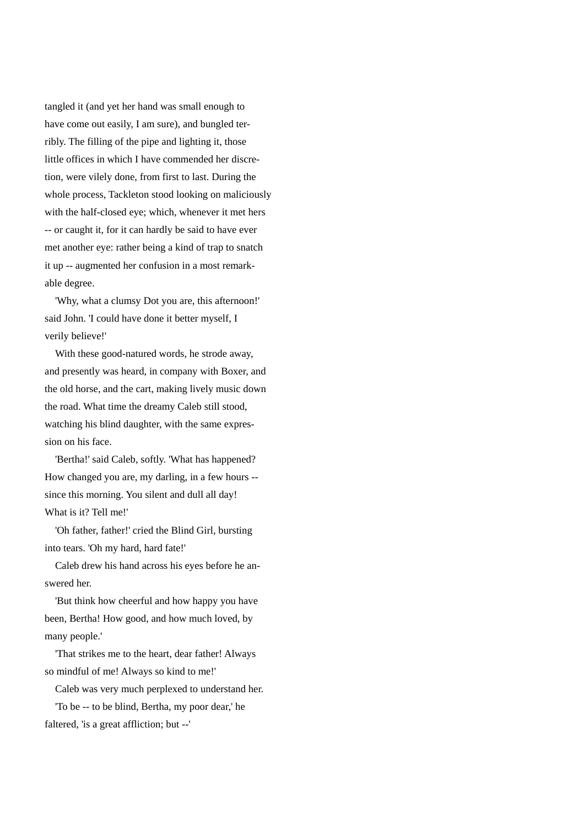tangled it (and yet her hand was small enough to have come out easily, I am sure), and bungled terribly. The filling of the pipe and lighting it, those little offices in which I have commended her discretion, were vilely done, from first to last. During the whole process, Tackleton stood looking on maliciously with the half-closed eye; which, whenever it met hers -- or caught it, for it can hardly be said to have ever met another eye: rather being a kind of trap to snatch it up -- augmented her confusion in a most remarkable degree.

 'Why, what a clumsy Dot you are, this afternoon!' said John. 'I could have done it better myself, I verily believe!'

 With these good-natured words, he strode away, and presently was heard, in company with Boxer, and the old horse, and the cart, making lively music down the road. What time the dreamy Caleb still stood, watching his blind daughter, with the same expression on his face.

 'Bertha!' said Caleb, softly. 'What has happened? How changed you are, my darling, in a few hours - since this morning. You silent and dull all day! What is it? Tell me!'

 'Oh father, father!' cried the Blind Girl, bursting into tears. 'Oh my hard, hard fate!'

 Caleb drew his hand across his eyes before he answered her.

 'But think how cheerful and how happy you have been, Bertha! How good, and how much loved, by many people.'

 'That strikes me to the heart, dear father! Always so mindful of me! Always so kind to me!'

Caleb was very much perplexed to understand her.

 'To be -- to be blind, Bertha, my poor dear,' he faltered, 'is a great affliction; but --'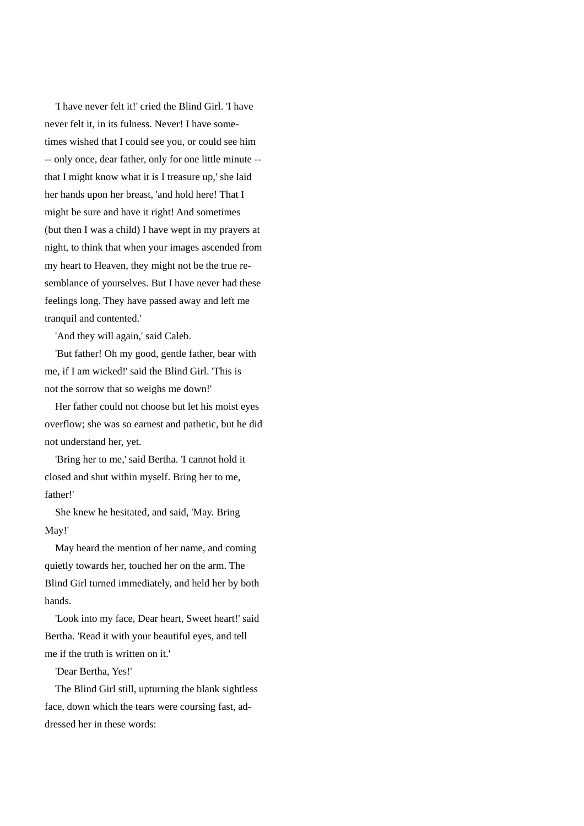'I have never felt it!' cried the Blind Girl. 'I have never felt it, in its fulness. Never! I have sometimes wished that I could see you, or could see him -- only once, dear father, only for one little minute - that I might know what it is I treasure up,' she laid her hands upon her breast, 'and hold here! That I might be sure and have it right! And sometimes (but then I was a child) I have wept in my prayers at night, to think that when your images ascended from my heart to Heaven, they might not be the true resemblance of yourselves. But I have never had these feelings long. They have passed away and left me tranquil and contented.'

'And they will again,' said Caleb.

 'But father! Oh my good, gentle father, bear with me, if I am wicked!' said the Blind Girl. 'This is not the sorrow that so weighs me down!'

 Her father could not choose but let his moist eyes overflow; she was so earnest and pathetic, but he did not understand her, yet.

 'Bring her to me,' said Bertha. 'I cannot hold it closed and shut within myself. Bring her to me, father!'

 She knew he hesitated, and said, 'May. Bring May!'

 May heard the mention of her name, and coming quietly towards her, touched her on the arm. The Blind Girl turned immediately, and held her by both hands.

 'Look into my face, Dear heart, Sweet heart!' said Bertha. 'Read it with your beautiful eyes, and tell me if the truth is written on it.'

'Dear Bertha, Yes!'

 The Blind Girl still, upturning the blank sightless face, down which the tears were coursing fast, addressed her in these words: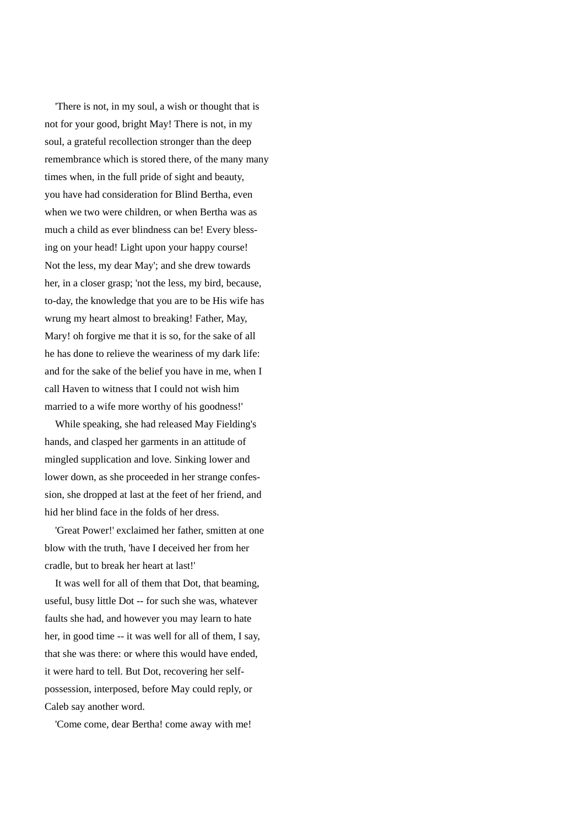'There is not, in my soul, a wish or thought that is not for your good, bright May! There is not, in my soul, a grateful recollection stronger than the deep remembrance which is stored there, of the many many times when, in the full pride of sight and beauty, you have had consideration for Blind Bertha, even when we two were children, or when Bertha was as much a child as ever blindness can be! Every blessing on your head! Light upon your happy course! Not the less, my dear May'; and she drew towards her, in a closer grasp; 'not the less, my bird, because, to-day, the knowledge that you are to be His wife has wrung my heart almost to breaking! Father, May, Mary! oh forgive me that it is so, for the sake of all he has done to relieve the weariness of my dark life: and for the sake of the belief you have in me, when I call Haven to witness that I could not wish him married to a wife more worthy of his goodness!'

 While speaking, she had released May Fielding's hands, and clasped her garments in an attitude of mingled supplication and love. Sinking lower and lower down, as she proceeded in her strange confession, she dropped at last at the feet of her friend, and hid her blind face in the folds of her dress.

 'Great Power!' exclaimed her father, smitten at one blow with the truth, 'have I deceived her from her cradle, but to break her heart at last!'

 It was well for all of them that Dot, that beaming, useful, busy little Dot -- for such she was, whatever faults she had, and however you may learn to hate her, in good time -- it was well for all of them, I say, that she was there: or where this would have ended, it were hard to tell. But Dot, recovering her selfpossession, interposed, before May could reply, or Caleb say another word.

'Come come, dear Bertha! come away with me!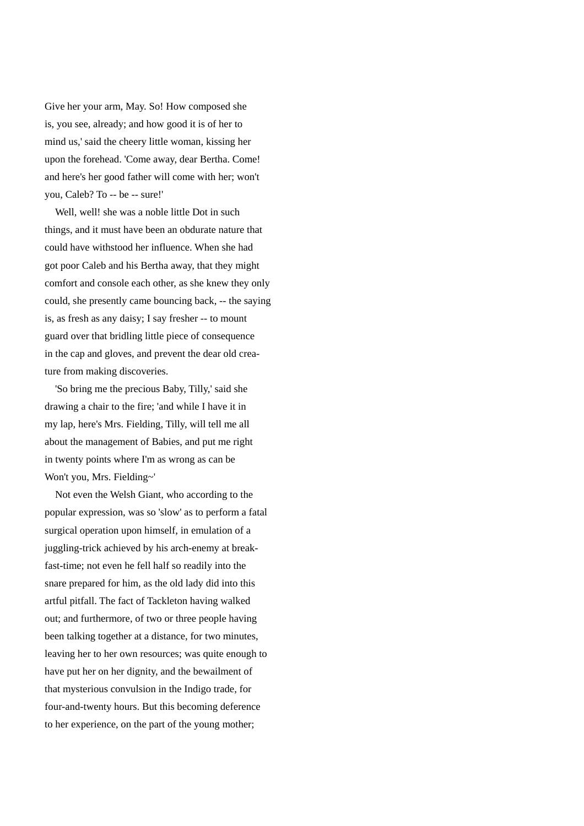Give her your arm, May. So! How composed she is, you see, already; and how good it is of her to mind us,' said the cheery little woman, kissing her upon the forehead. 'Come away, dear Bertha. Come! and here's her good father will come with her; won't you, Caleb? To -- be -- sure!'

Well, well! she was a noble little Dot in such things, and it must have been an obdurate nature that could have withstood her influence. When she had got poor Caleb and his Bertha away, that they might comfort and console each other, as she knew they only could, she presently came bouncing back, -- the saying is, as fresh as any daisy; I say fresher -- to mount guard over that bridling little piece of consequence in the cap and gloves, and prevent the dear old creature from making discoveries.

 'So bring me the precious Baby, Tilly,' said she drawing a chair to the fire; 'and while I have it in my lap, here's Mrs. Fielding, Tilly, will tell me all about the management of Babies, and put me right in twenty points where I'm as wrong as can be Won't you, Mrs. Fielding~'

 Not even the Welsh Giant, who according to the popular expression, was so 'slow' as to perform a fatal surgical operation upon himself, in emulation of a juggling-trick achieved by his arch-enemy at breakfast-time; not even he fell half so readily into the snare prepared for him, as the old lady did into this artful pitfall. The fact of Tackleton having walked out; and furthermore, of two or three people having been talking together at a distance, for two minutes, leaving her to her own resources; was quite enough to have put her on her dignity, and the bewailment of that mysterious convulsion in the Indigo trade, for four-and-twenty hours. But this becoming deference to her experience, on the part of the young mother;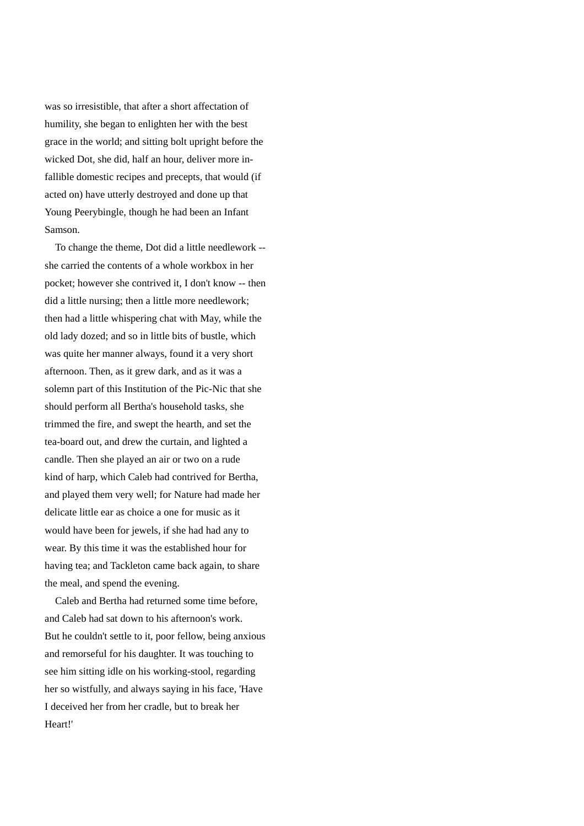was so irresistible, that after a short affectation of humility, she began to enlighten her with the best grace in the world; and sitting bolt upright before the wicked Dot, she did, half an hour, deliver more infallible domestic recipes and precepts, that would (if acted on) have utterly destroyed and done up that Young Peerybingle, though he had been an Infant Samson.

 To change the theme, Dot did a little needlework - she carried the contents of a whole workbox in her pocket; however she contrived it, I don't know -- then did a little nursing; then a little more needlework; then had a little whispering chat with May, while the old lady dozed; and so in little bits of bustle, which was quite her manner always, found it a very short afternoon. Then, as it grew dark, and as it was a solemn part of this Institution of the Pic-Nic that she should perform all Bertha's household tasks, she trimmed the fire, and swept the hearth, and set the tea-board out, and drew the curtain, and lighted a candle. Then she played an air or two on a rude kind of harp, which Caleb had contrived for Bertha, and played them very well; for Nature had made her delicate little ear as choice a one for music as it would have been for jewels, if she had had any to wear. By this time it was the established hour for having tea; and Tackleton came back again, to share the meal, and spend the evening.

 Caleb and Bertha had returned some time before, and Caleb had sat down to his afternoon's work. But he couldn't settle to it, poor fellow, being anxious and remorseful for his daughter. It was touching to see him sitting idle on his working-stool, regarding her so wistfully, and always saying in his face, 'Have I deceived her from her cradle, but to break her Heart!'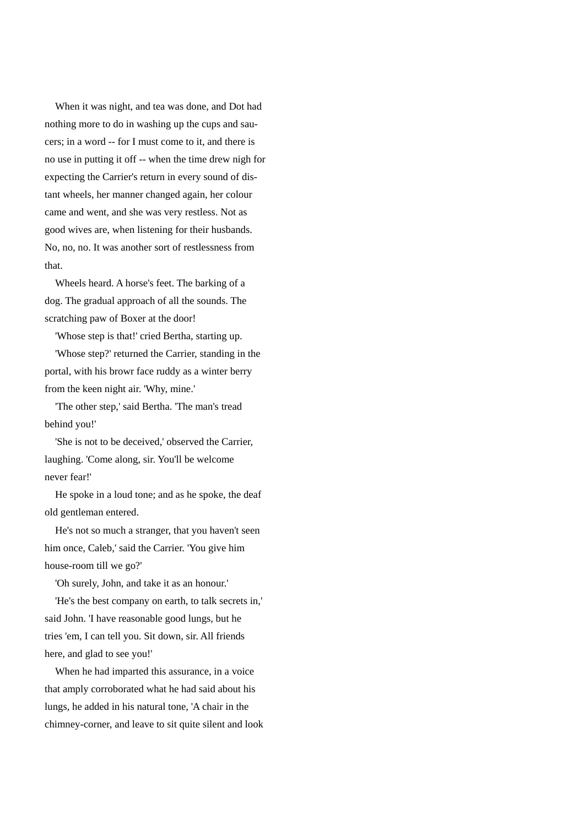When it was night, and tea was done, and Dot had nothing more to do in washing up the cups and saucers; in a word -- for I must come to it, and there is no use in putting it off -- when the time drew nigh for expecting the Carrier's return in every sound of distant wheels, her manner changed again, her colour came and went, and she was very restless. Not as good wives are, when listening for their husbands. No, no, no. It was another sort of restlessness from that.

 Wheels heard. A horse's feet. The barking of a dog. The gradual approach of all the sounds. The scratching paw of Boxer at the door!

'Whose step is that!' cried Bertha, starting up.

 'Whose step?' returned the Carrier, standing in the portal, with his browr face ruddy as a winter berry from the keen night air. 'Why, mine.'

 'The other step,' said Bertha. 'The man's tread behind you!'

 'She is not to be deceived,' observed the Carrier, laughing. 'Come along, sir. You'll be welcome never fear!'

 He spoke in a loud tone; and as he spoke, the deaf old gentleman entered.

 He's not so much a stranger, that you haven't seen him once, Caleb,' said the Carrier. 'You give him house-room till we go?'

'Oh surely, John, and take it as an honour.'

 'He's the best company on earth, to talk secrets in,' said John. 'I have reasonable good lungs, but he tries 'em, I can tell you. Sit down, sir. All friends here, and glad to see you!'

 When he had imparted this assurance, in a voice that amply corroborated what he had said about his lungs, he added in his natural tone, 'A chair in the chimney-corner, and leave to sit quite silent and look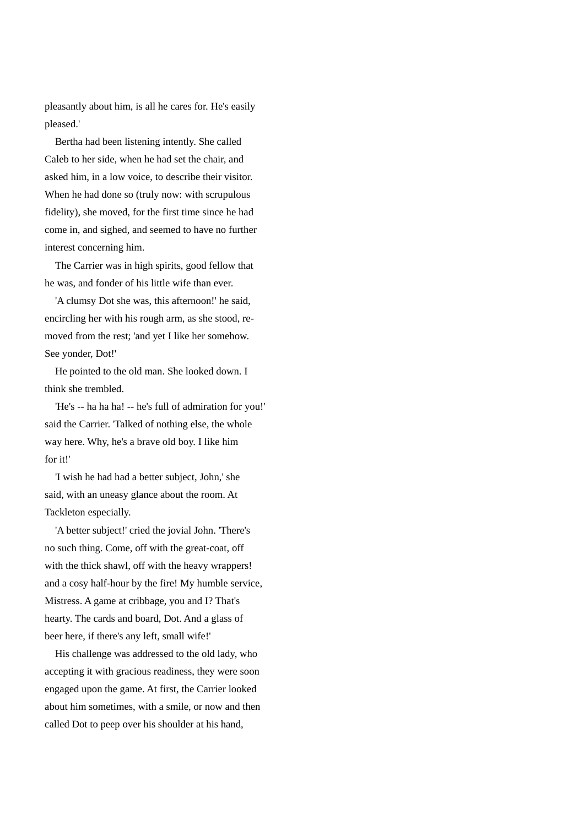pleasantly about him, is all he cares for. He's easily pleased.'

 Bertha had been listening intently. She called Caleb to her side, when he had set the chair, and asked him, in a low voice, to describe their visitor. When he had done so (truly now: with scrupulous fidelity), she moved, for the first time since he had come in, and sighed, and seemed to have no further interest concerning him.

 The Carrier was in high spirits, good fellow that he was, and fonder of his little wife than ever.

 'A clumsy Dot she was, this afternoon!' he said, encircling her with his rough arm, as she stood, removed from the rest; 'and yet I like her somehow. See yonder, Dot!'

 He pointed to the old man. She looked down. I think she trembled.

 'He's -- ha ha ha! -- he's full of admiration for you!' said the Carrier. 'Talked of nothing else, the whole way here. Why, he's a brave old boy. I like him for it!'

 'I wish he had had a better subject, John,' she said, with an uneasy glance about the room. At Tackleton especially.

 'A better subject!' cried the jovial John. 'There's no such thing. Come, off with the great-coat, off with the thick shawl, off with the heavy wrappers! and a cosy half-hour by the fire! My humble service, Mistress. A game at cribbage, you and I? That's hearty. The cards and board, Dot. And a glass of beer here, if there's any left, small wife!'

 His challenge was addressed to the old lady, who accepting it with gracious readiness, they were soon engaged upon the game. At first, the Carrier looked about him sometimes, with a smile, or now and then called Dot to peep over his shoulder at his hand,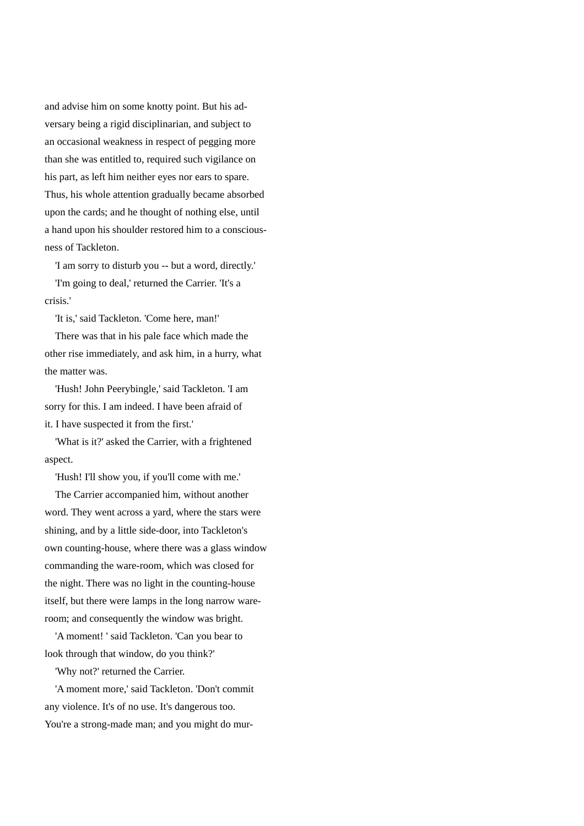and advise him on some knotty point. But his adversary being a rigid disciplinarian, and subject to an occasional weakness in respect of pegging more than she was entitled to, required such vigilance on his part, as left him neither eyes nor ears to spare. Thus, his whole attention gradually became absorbed upon the cards; and he thought of nothing else, until a hand upon his shoulder restored him to a consciousness of Tackleton.

'I am sorry to disturb you -- but a word, directly.'

 'I'm going to deal,' returned the Carrier. 'It's a crisis.'

'It is,' said Tackleton. 'Come here, man!'

 There was that in his pale face which made the other rise immediately, and ask him, in a hurry, what the matter was.

 'Hush! John Peerybingle,' said Tackleton. 'I am sorry for this. I am indeed. I have been afraid of it. I have suspected it from the first.'

 'What is it?' asked the Carrier, with a frightened aspect.

'Hush! I'll show you, if you'll come with me.'

 The Carrier accompanied him, without another word. They went across a yard, where the stars were shining, and by a little side-door, into Tackleton's own counting-house, where there was a glass window commanding the ware-room, which was closed for the night. There was no light in the counting-house itself, but there were lamps in the long narrow wareroom; and consequently the window was bright.

 'A moment! ' said Tackleton. 'Can you bear to look through that window, do you think?'

'Why not?' returned the Carrier.

 'A moment more,' said Tackleton. 'Don't commit any violence. It's of no use. It's dangerous too. You're a strong-made man; and you might do mur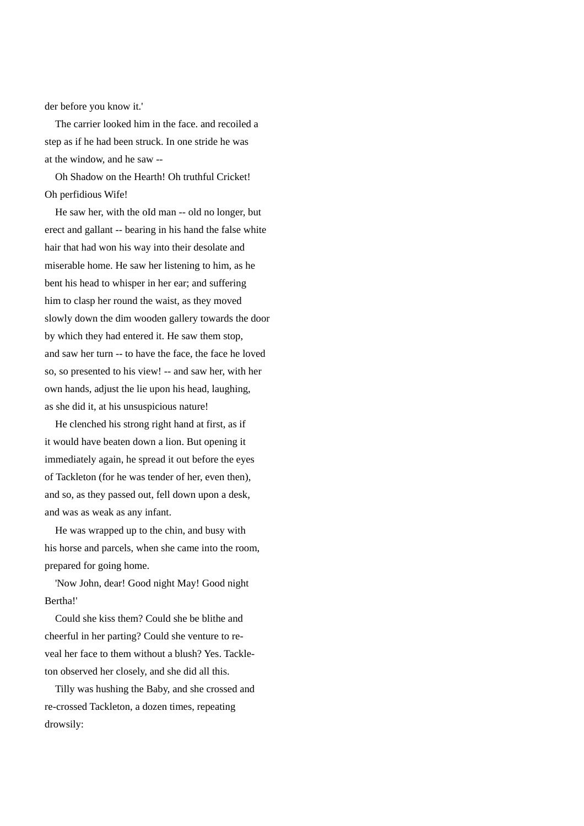der before you know it.'

 The carrier looked him in the face. and recoiled a step as if he had been struck. In one stride he was at the window, and he saw --

 Oh Shadow on the Hearth! Oh truthful Cricket! Oh perfidious Wife!

 He saw her, with the oId man -- old no longer, but erect and gallant -- bearing in his hand the false white hair that had won his way into their desolate and miserable home. He saw her listening to him, as he bent his head to whisper in her ear; and suffering him to clasp her round the waist, as they moved slowly down the dim wooden gallery towards the door by which they had entered it. He saw them stop, and saw her turn -- to have the face, the face he loved so, so presented to his view! -- and saw her, with her own hands, adjust the lie upon his head, laughing, as she did it, at his unsuspicious nature!

 He clenched his strong right hand at first, as if it would have beaten down a lion. But opening it immediately again, he spread it out before the eyes of Tackleton (for he was tender of her, even then), and so, as they passed out, fell down upon a desk, and was as weak as any infant.

 He was wrapped up to the chin, and busy with his horse and parcels, when she came into the room, prepared for going home.

 'Now John, dear! Good night May! Good night Bertha!'

 Could she kiss them? Could she be blithe and cheerful in her parting? Could she venture to reveal her face to them without a blush? Yes. Tackleton observed her closely, and she did all this.

 Tilly was hushing the Baby, and she crossed and re-crossed Tackleton, a dozen times, repeating drowsily: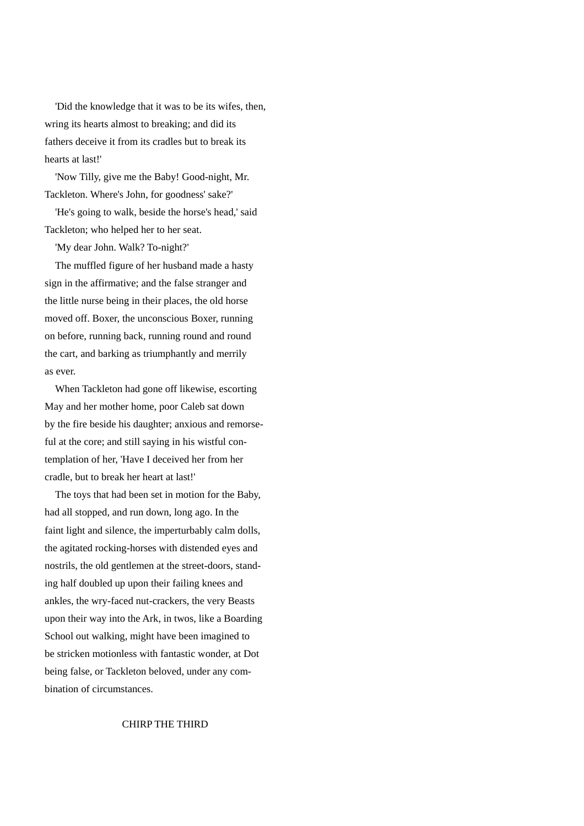'Did the knowledge that it was to be its wifes, then, wring its hearts almost to breaking; and did its fathers deceive it from its cradles but to break its hearts at last!'

 'Now Tilly, give me the Baby! Good-night, Mr. Tackleton. Where's John, for goodness' sake?'

 'He's going to walk, beside the horse's head,' said Tackleton; who helped her to her seat.

'My dear John. Walk? To-night?'

 The muffled figure of her husband made a hasty sign in the affirmative; and the false stranger and the little nurse being in their places, the old horse moved off. Boxer, the unconscious Boxer, running on before, running back, running round and round the cart, and barking as triumphantly and merrily as ever.

 When Tackleton had gone off likewise, escorting May and her mother home, poor Caleb sat down by the fire beside his daughter; anxious and remorseful at the core; and still saying in his wistful contemplation of her, 'Have I deceived her from her cradle, but to break her heart at last!'

 The toys that had been set in motion for the Baby, had all stopped, and run down, long ago. In the faint light and silence, the imperturbably calm dolls, the agitated rocking-horses with distended eyes and nostrils, the old gentlemen at the street-doors, standing half doubled up upon their failing knees and ankles, the wry-faced nut-crackers, the very Beasts upon their way into the Ark, in twos, like a Boarding School out walking, might have been imagined to be stricken motionless with fantastic wonder, at Dot being false, or Tackleton beloved, under any combination of circumstances.

## CHIRP THE THIRD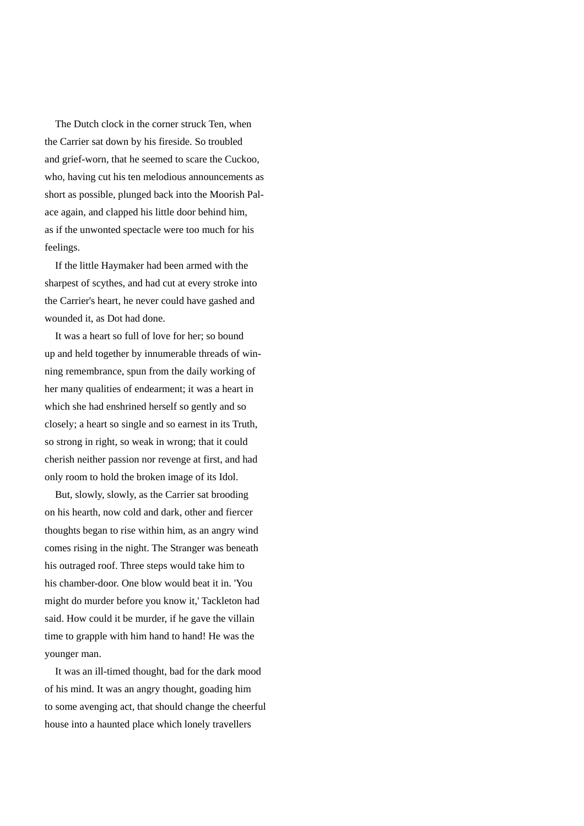The Dutch clock in the corner struck Ten, when the Carrier sat down by his fireside. So troubled and grief-worn, that he seemed to scare the Cuckoo, who, having cut his ten melodious announcements as short as possible, plunged back into the Moorish Palace again, and clapped his little door behind him, as if the unwonted spectacle were too much for his feelings.

 If the little Haymaker had been armed with the sharpest of scythes, and had cut at every stroke into the Carrier's heart, he never could have gashed and wounded it, as Dot had done.

 It was a heart so full of love for her; so bound up and held together by innumerable threads of winning remembrance, spun from the daily working of her many qualities of endearment; it was a heart in which she had enshrined herself so gently and so closely; a heart so single and so earnest in its Truth, so strong in right, so weak in wrong; that it could cherish neither passion nor revenge at first, and had only room to hold the broken image of its Idol.

 But, slowly, slowly, as the Carrier sat brooding on his hearth, now cold and dark, other and fiercer thoughts began to rise within him, as an angry wind comes rising in the night. The Stranger was beneath his outraged roof. Three steps would take him to his chamber-door. One blow would beat it in. 'You might do murder before you know it,' Tackleton had said. How could it be murder, if he gave the villain time to grapple with him hand to hand! He was the younger man.

 It was an ill-timed thought, bad for the dark mood of his mind. It was an angry thought, goading him to some avenging act, that should change the cheerful house into a haunted place which lonely travellers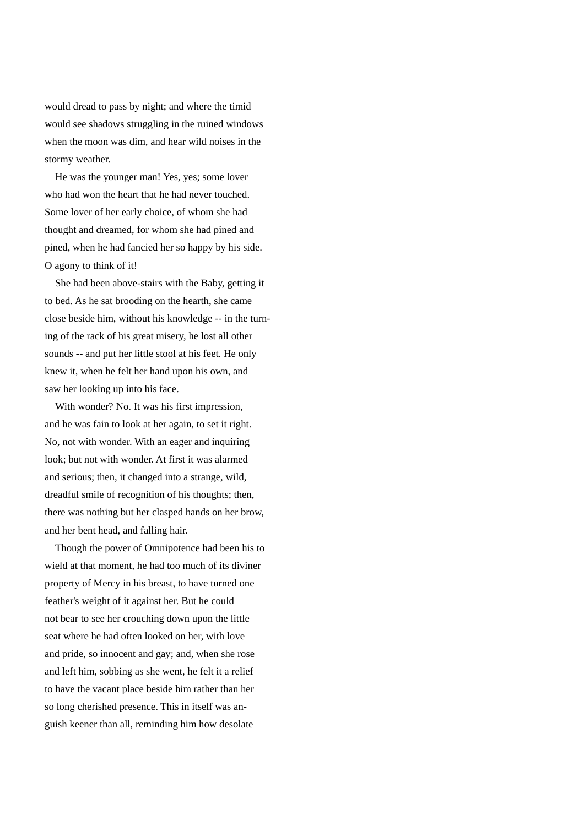would dread to pass by night; and where the timid would see shadows struggling in the ruined windows when the moon was dim, and hear wild noises in the stormy weather.

 He was the younger man! Yes, yes; some lover who had won the heart that he had never touched. Some lover of her early choice, of whom she had thought and dreamed, for whom she had pined and pined, when he had fancied her so happy by his side. O agony to think of it!

 She had been above-stairs with the Baby, getting it to bed. As he sat brooding on the hearth, she came close beside him, without his knowledge -- in the turning of the rack of his great misery, he lost all other sounds -- and put her little stool at his feet. He only knew it, when he felt her hand upon his own, and saw her looking up into his face.

 With wonder? No. It was his first impression, and he was fain to look at her again, to set it right. No, not with wonder. With an eager and inquiring look; but not with wonder. At first it was alarmed and serious; then, it changed into a strange, wild, dreadful smile of recognition of his thoughts; then, there was nothing but her clasped hands on her brow, and her bent head, and falling hair.

 Though the power of Omnipotence had been his to wield at that moment, he had too much of its diviner property of Mercy in his breast, to have turned one feather's weight of it against her. But he could not bear to see her crouching down upon the little seat where he had often looked on her, with love and pride, so innocent and gay; and, when she rose and left him, sobbing as she went, he felt it a relief to have the vacant place beside him rather than her so long cherished presence. This in itself was anguish keener than all, reminding him how desolate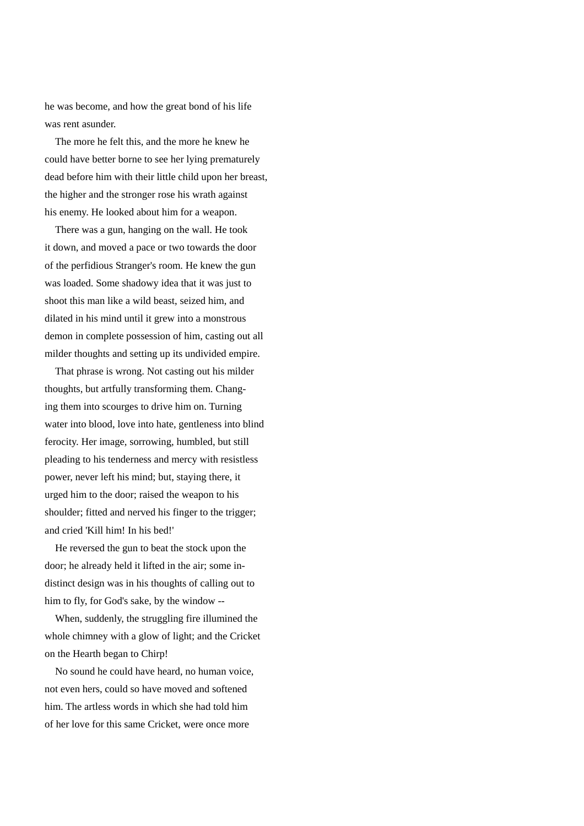he was become, and how the great bond of his life was rent asunder.

 The more he felt this, and the more he knew he could have better borne to see her lying prematurely dead before him with their little child upon her breast, the higher and the stronger rose his wrath against his enemy. He looked about him for a weapon.

 There was a gun, hanging on the wall. He took it down, and moved a pace or two towards the door of the perfidious Stranger's room. He knew the gun was loaded. Some shadowy idea that it was just to shoot this man like a wild beast, seized him, and dilated in his mind until it grew into a monstrous demon in complete possession of him, casting out all milder thoughts and setting up its undivided empire.

 That phrase is wrong. Not casting out his milder thoughts, but artfully transforming them. Changing them into scourges to drive him on. Turning water into blood, love into hate, gentleness into blind ferocity. Her image, sorrowing, humbled, but still pleading to his tenderness and mercy with resistless power, never left his mind; but, staying there, it urged him to the door; raised the weapon to his shoulder; fitted and nerved his finger to the trigger; and cried 'Kill him! In his bed!'

 He reversed the gun to beat the stock upon the door; he already held it lifted in the air; some indistinct design was in his thoughts of calling out to him to fly, for God's sake, by the window --

 When, suddenly, the struggling fire illumined the whole chimney with a glow of light; and the Cricket on the Hearth began to Chirp!

 No sound he could have heard, no human voice, not even hers, could so have moved and softened him. The artless words in which she had told him of her love for this same Cricket, were once more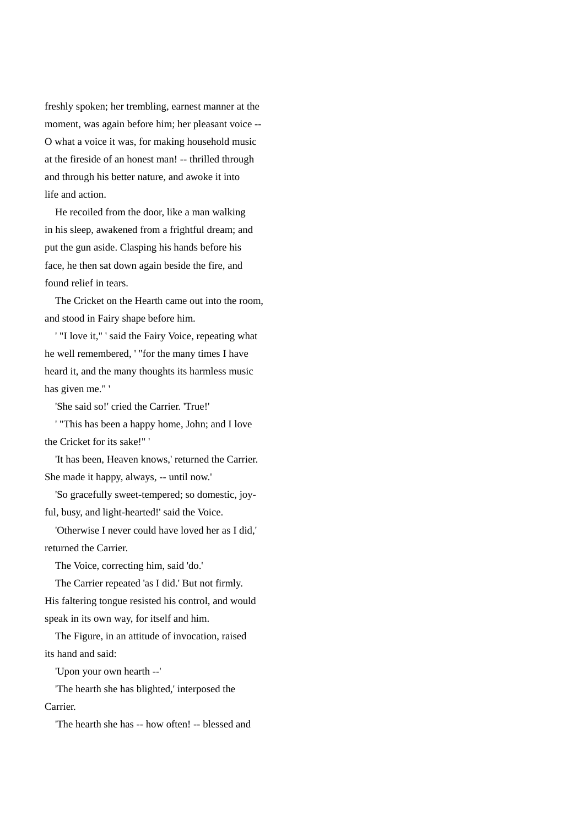freshly spoken; her trembling, earnest manner at the moment, was again before him; her pleasant voice -- O what a voice it was, for making household music at the fireside of an honest man! -- thrilled through and through his better nature, and awoke it into life and action.

 He recoiled from the door, like a man walking in his sleep, awakened from a frightful dream; and put the gun aside. Clasping his hands before his face, he then sat down again beside the fire, and found relief in tears.

 The Cricket on the Hearth came out into the room, and stood in Fairy shape before him.

 ' "I love it," ' said the Fairy Voice, repeating what he well remembered, ' "for the many times I have heard it, and the many thoughts its harmless music has given me." '

'She said so!' cried the Carrier. 'True!'

 ' "This has been a happy home, John; and I love the Cricket for its sake!" '

 'It has been, Heaven knows,' returned the Carrier. She made it happy, always, -- until now.'

 'So gracefully sweet-tempered; so domestic, joyful, busy, and light-hearted!' said the Voice.

 'Otherwise I never could have loved her as I did,' returned the Carrier.

The Voice, correcting him, said 'do.'

 The Carrier repeated 'as I did.' But not firmly. His faltering tongue resisted his control, and would speak in its own way, for itself and him.

 The Figure, in an attitude of invocation, raised its hand and said:

'Upon your own hearth --'

 'The hearth she has blighted,' interposed the Carrier.

'The hearth she has -- how often! -- blessed and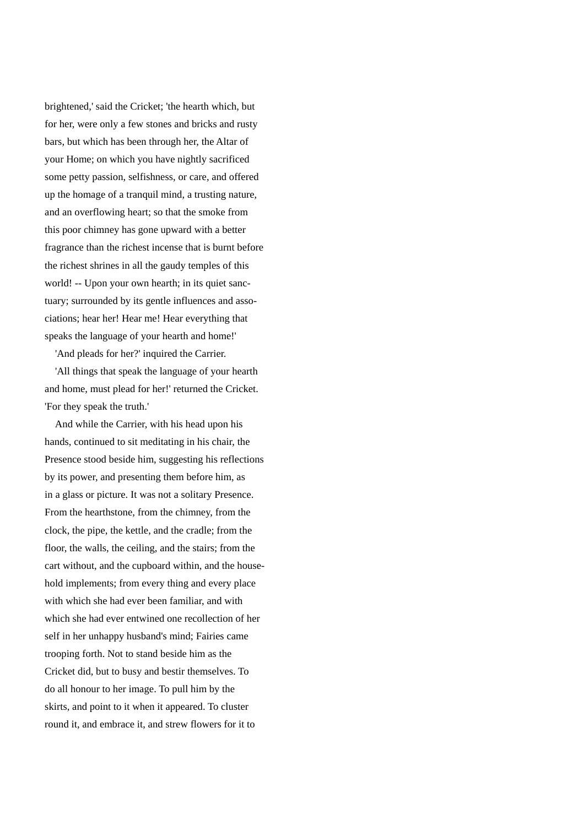brightened,' said the Cricket; 'the hearth which, but for her, were only a few stones and bricks and rusty bars, but which has been through her, the Altar of your Home; on which you have nightly sacrificed some petty passion, selfishness, or care, and offered up the homage of a tranquil mind, a trusting nature, and an overflowing heart; so that the smoke from this poor chimney has gone upward with a better fragrance than the richest incense that is burnt before the richest shrines in all the gaudy temples of this world! -- Upon your own hearth; in its quiet sanctuary; surrounded by its gentle influences and associations; hear her! Hear me! Hear everything that speaks the language of your hearth and home!'

'And pleads for her?' inquired the Carrier.

 'All things that speak the language of your hearth and home, must plead for her!' returned the Cricket. 'For they speak the truth.'

 And while the Carrier, with his head upon his hands, continued to sit meditating in his chair, the Presence stood beside him, suggesting his reflections by its power, and presenting them before him, as in a glass or picture. It was not a solitary Presence. From the hearthstone, from the chimney, from the clock, the pipe, the kettle, and the cradle; from the floor, the walls, the ceiling, and the stairs; from the cart without, and the cupboard within, and the household implements; from every thing and every place with which she had ever been familiar, and with which she had ever entwined one recollection of her self in her unhappy husband's mind; Fairies came trooping forth. Not to stand beside him as the Cricket did, but to busy and bestir themselves. To do all honour to her image. To pull him by the skirts, and point to it when it appeared. To cluster round it, and embrace it, and strew flowers for it to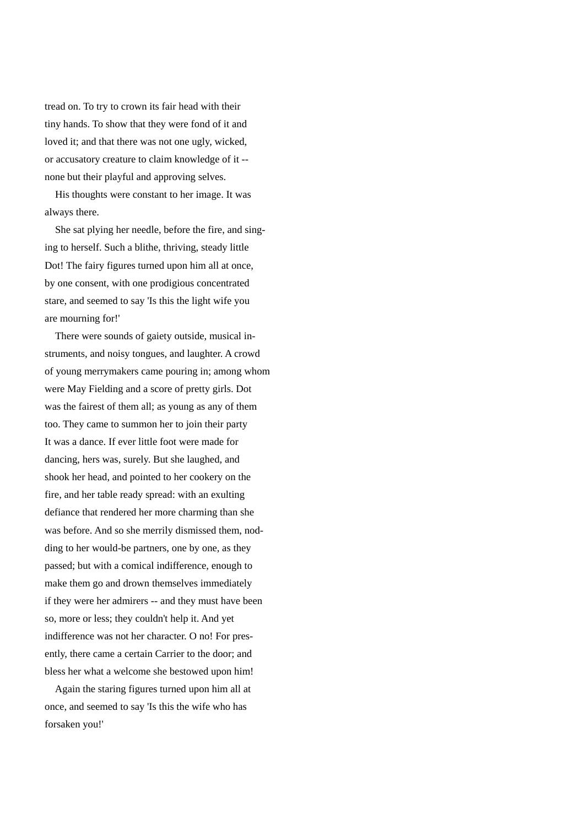tread on. To try to crown its fair head with their tiny hands. To show that they were fond of it and loved it; and that there was not one ugly, wicked, or accusatory creature to claim knowledge of it - none but their playful and approving selves.

 His thoughts were constant to her image. It was always there.

 She sat plying her needle, before the fire, and singing to herself. Such a blithe, thriving, steady little Dot! The fairy figures turned upon him all at once, by one consent, with one prodigious concentrated stare, and seemed to say 'Is this the light wife you are mourning for!'

 There were sounds of gaiety outside, musical instruments, and noisy tongues, and laughter. A crowd of young merrymakers came pouring in; among whom were May Fielding and a score of pretty girls. Dot was the fairest of them all; as young as any of them too. They came to summon her to join their party It was a dance. If ever little foot were made for dancing, hers was, surely. But she laughed, and shook her head, and pointed to her cookery on the fire, and her table ready spread: with an exulting defiance that rendered her more charming than she was before. And so she merrily dismissed them, nodding to her would-be partners, one by one, as they passed; but with a comical indifference, enough to make them go and drown themselves immediately if they were her admirers -- and they must have been so, more or less; they couldn't help it. And yet indifference was not her character. O no! For presently, there came a certain Carrier to the door; and bless her what a welcome she bestowed upon him!

 Again the staring figures turned upon him all at once, and seemed to say 'Is this the wife who has forsaken you!'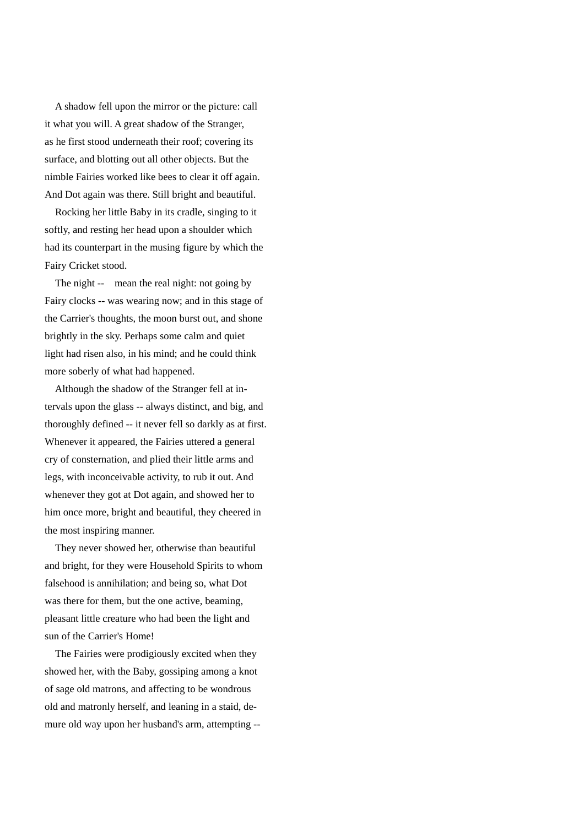A shadow fell upon the mirror or the picture: call it what you will. A great shadow of the Stranger, as he first stood underneath their roof; covering its surface, and blotting out all other objects. But the nimble Fairies worked like bees to clear it off again. And Dot again was there. Still bright and beautiful.

 Rocking her little Baby in its cradle, singing to it softly, and resting her head upon a shoulder which had its counterpart in the musing figure by which the Fairy Cricket stood.

The night -- mean the real night: not going by Fairy clocks -- was wearing now; and in this stage of the Carrier's thoughts, the moon burst out, and shone brightly in the sky. Perhaps some calm and quiet light had risen also, in his mind; and he could think more soberly of what had happened.

 Although the shadow of the Stranger fell at intervals upon the glass -- always distinct, and big, and thoroughly defined -- it never fell so darkly as at first. Whenever it appeared, the Fairies uttered a general cry of consternation, and plied their little arms and legs, with inconceivable activity, to rub it out. And whenever they got at Dot again, and showed her to him once more, bright and beautiful, they cheered in the most inspiring manner.

 They never showed her, otherwise than beautiful and bright, for they were Household Spirits to whom falsehood is annihilation; and being so, what Dot was there for them, but the one active, beaming, pleasant little creature who had been the light and sun of the Carrier's Home!

 The Fairies were prodigiously excited when they showed her, with the Baby, gossiping among a knot of sage old matrons, and affecting to be wondrous old and matronly herself, and leaning in a staid, demure old way upon her husband's arm, attempting --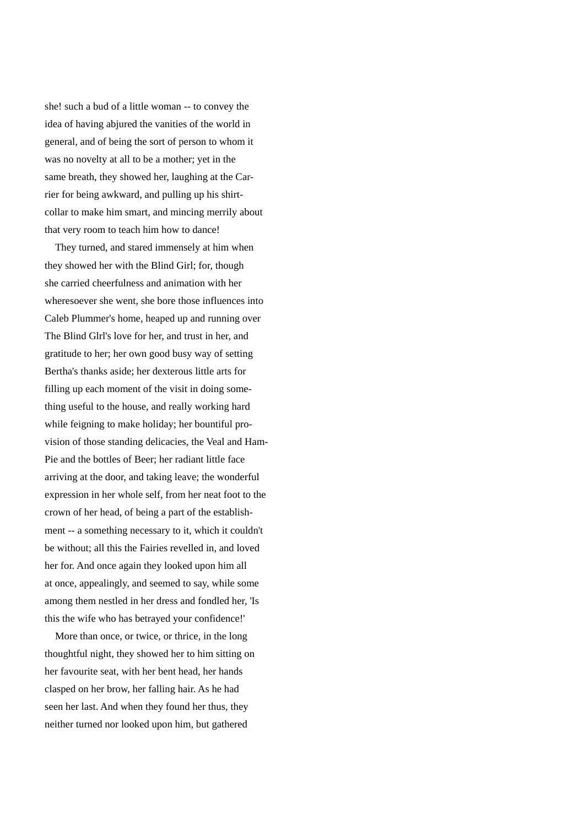she! such a bud of a little woman -- to convey the idea of having abjured the vanities of the world in general, and of being the sort of person to whom it was no novelty at all to be a mother; yet in the same breath, they showed her, laughing at the Carrier for being awkward, and pulling up his shirtcollar to make him smart, and mincing merrily about that very room to teach him how to dance!

 They turned, and stared immensely at him when they showed her with the Blind Girl; for, though she carried cheerfulness and animation with her wheresoever she went, she bore those influences into Caleb Plummer's home, heaped up and running over The Blind Glrl's love for her, and trust in her, and gratitude to her; her own good busy way of setting Bertha's thanks aside; her dexterous little arts for filling up each moment of the visit in doing something useful to the house, and really working hard while feigning to make holiday; her bountiful provision of those standing delicacies, the Veal and Ham-Pie and the bottles of Beer; her radiant little face arriving at the door, and taking leave; the wonderful expression in her whole self, from her neat foot to the crown of her head, of being a part of the establishment -- a something necessary to it, which it couldn't be without; all this the Fairies revelled in, and loved her for. And once again they looked upon him all at once, appealingly, and seemed to say, while some among them nestled in her dress and fondled her, 'Is this the wife who has betrayed your confidence!'

 More than once, or twice, or thrice, in the long thoughtful night, they showed her to him sitting on her favourite seat, with her bent head, her hands clasped on her brow, her falling hair. As he had seen her last. And when they found her thus, they neither turned nor looked upon him, but gathered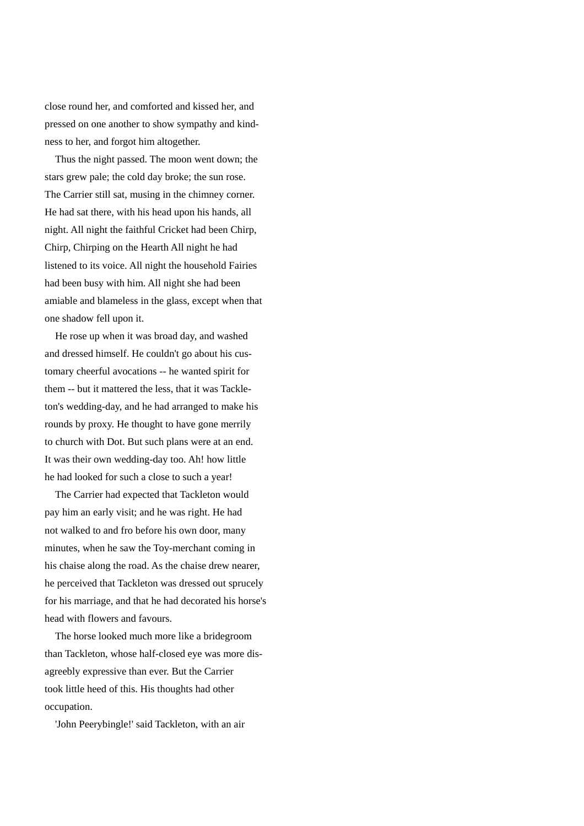close round her, and comforted and kissed her, and pressed on one another to show sympathy and kindness to her, and forgot him altogether.

 Thus the night passed. The moon went down; the stars grew pale; the cold day broke; the sun rose. The Carrier still sat, musing in the chimney corner. He had sat there, with his head upon his hands, all night. All night the faithful Cricket had been Chirp, Chirp, Chirping on the Hearth All night he had listened to its voice. All night the household Fairies had been busy with him. All night she had been amiable and blameless in the glass, except when that one shadow fell upon it.

 He rose up when it was broad day, and washed and dressed himself. He couldn't go about his customary cheerful avocations -- he wanted spirit for them -- but it mattered the less, that it was Tackleton's wedding-day, and he had arranged to make his rounds by proxy. He thought to have gone merrily to church with Dot. But such plans were at an end. It was their own wedding-day too. Ah! how little he had looked for such a close to such a year!

 The Carrier had expected that Tackleton would pay him an early visit; and he was right. He had not walked to and fro before his own door, many minutes, when he saw the Toy-merchant coming in his chaise along the road. As the chaise drew nearer, he perceived that Tackleton was dressed out sprucely for his marriage, and that he had decorated his horse's head with flowers and favours.

 The horse looked much more like a bridegroom than Tackleton, whose half-closed eye was more disagreebly expressive than ever. But the Carrier took little heed of this. His thoughts had other occupation.

'John Peerybingle!' said Tackleton, with an air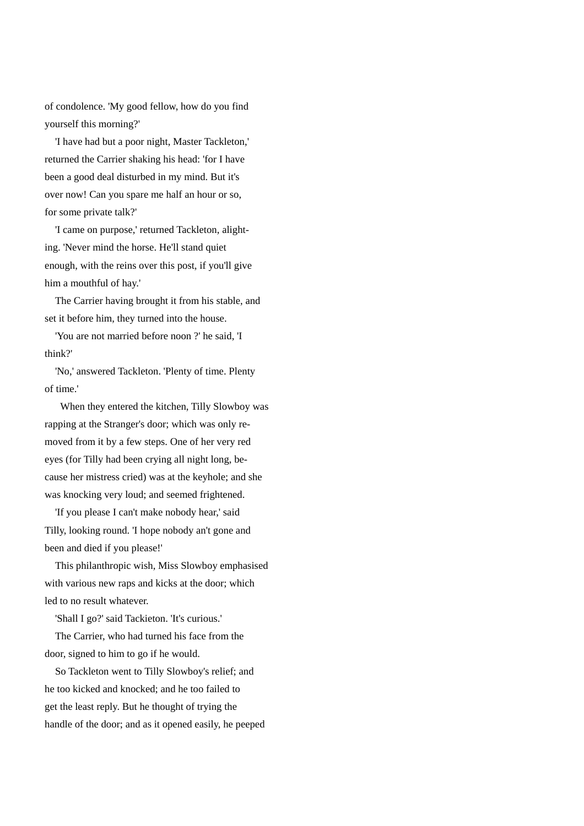of condolence. 'My good fellow, how do you find yourself this morning?'

 'I have had but a poor night, Master Tackleton,' returned the Carrier shaking his head: 'for I have been a good deal disturbed in my mind. But it's over now! Can you spare me half an hour or so, for some private talk?'

 'I came on purpose,' returned Tackleton, alighting. 'Never mind the horse. He'll stand quiet enough, with the reins over this post, if you'll give him a mouthful of hay.'

 The Carrier having brought it from his stable, and set it before him, they turned into the house.

 'You are not married before noon ?' he said, 'I think?'

 'No,' answered Tackleton. 'Plenty of time. Plenty of time.'

 When they entered the kitchen, Tilly Slowboy was rapping at the Stranger's door; which was only removed from it by a few steps. One of her very red eyes (for Tilly had been crying all night long, because her mistress cried) was at the keyhole; and she was knocking very loud; and seemed frightened.

 'If you please I can't make nobody hear,' said Tilly, looking round. 'I hope nobody an't gone and been and died if you please!'

 This philanthropic wish, Miss Slowboy emphasised with various new raps and kicks at the door; which led to no result whatever.

'Shall I go?' said Tackieton. 'It's curious.'

 The Carrier, who had turned his face from the door, signed to him to go if he would.

 So Tackleton went to Tilly Slowboy's relief; and he too kicked and knocked; and he too failed to get the least reply. But he thought of trying the handle of the door; and as it opened easily, he peeped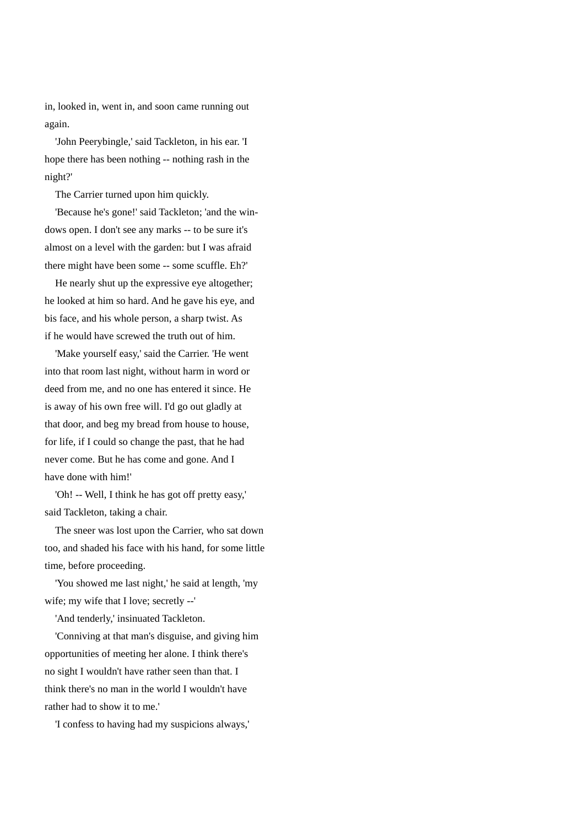in, looked in, went in, and soon came running out again.

 'John Peerybingle,' said Tackleton, in his ear. 'I hope there has been nothing -- nothing rash in the night?'

The Carrier turned upon him quickly.

 'Because he's gone!' said Tackleton; 'and the windows open. I don't see any marks -- to be sure it's almost on a level with the garden: but I was afraid there might have been some -- some scuffle. Eh?'

 He nearly shut up the expressive eye altogether; he looked at him so hard. And he gave his eye, and bis face, and his whole person, a sharp twist. As if he would have screwed the truth out of him.

 'Make yourself easy,' said the Carrier. 'He went into that room last night, without harm in word or deed from me, and no one has entered it since. He is away of his own free will. I'd go out gladly at that door, and beg my bread from house to house, for life, if I could so change the past, that he had never come. But he has come and gone. And I have done with him!'

 'Oh! -- Well, I think he has got off pretty easy,' said Tackleton, taking a chair.

 The sneer was lost upon the Carrier, who sat down too, and shaded his face with his hand, for some little time, before proceeding.

 'You showed me last night,' he said at length, 'my wife; my wife that I love; secretly --'

'And tenderly,' insinuated Tackleton.

 'Conniving at that man's disguise, and giving him opportunities of meeting her alone. I think there's no sight I wouldn't have rather seen than that. I think there's no man in the world I wouldn't have rather had to show it to me.'

'I confess to having had my suspicions always,'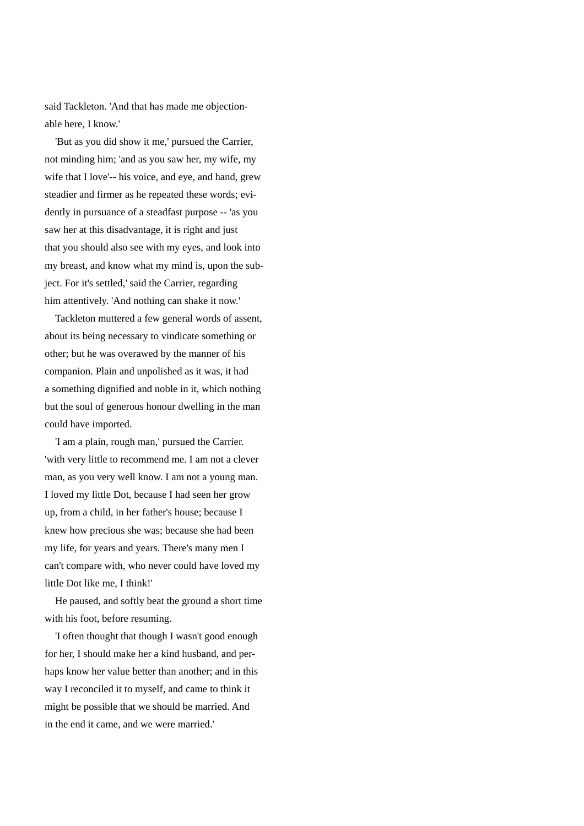said Tackleton. 'And that has made me objectionable here, I know.'

 'But as you did show it me,' pursued the Carrier, not minding him; 'and as you saw her, my wife, my wife that I love'-- his voice, and eye, and hand, grew steadier and firmer as he repeated these words; evidently in pursuance of a steadfast purpose -- 'as you saw her at this disadvantage, it is right and just that you should also see with my eyes, and look into my breast, and know what my mind is, upon the subject. For it's settled,' said the Carrier, regarding him attentively. 'And nothing can shake it now.'

 Tackleton muttered a few general words of assent, about its being necessary to vindicate something or other; but he was overawed by the manner of his companion. Plain and unpolished as it was, it had a something dignified and noble in it, which nothing but the soul of generous honour dwelling in the man could have imported.

 'I am a plain, rough man,' pursued the Carrier. 'with very little to recommend me. I am not a clever man, as you very well know. I am not a young man. I loved my little Dot, because I had seen her grow up, from a child, in her father's house; because I knew how precious she was; because she had been my life, for years and years. There's many men I can't compare with, who never could have loved my little Dot like me, I think!'

 He paused, and softly beat the ground a short time with his foot, before resuming.

 'I often thought that though I wasn't good enough for her, I should make her a kind husband, and perhaps know her value better than another; and in this way I reconciled it to myself, and came to think it might be possible that we should be married. And in the end it came, and we were married.'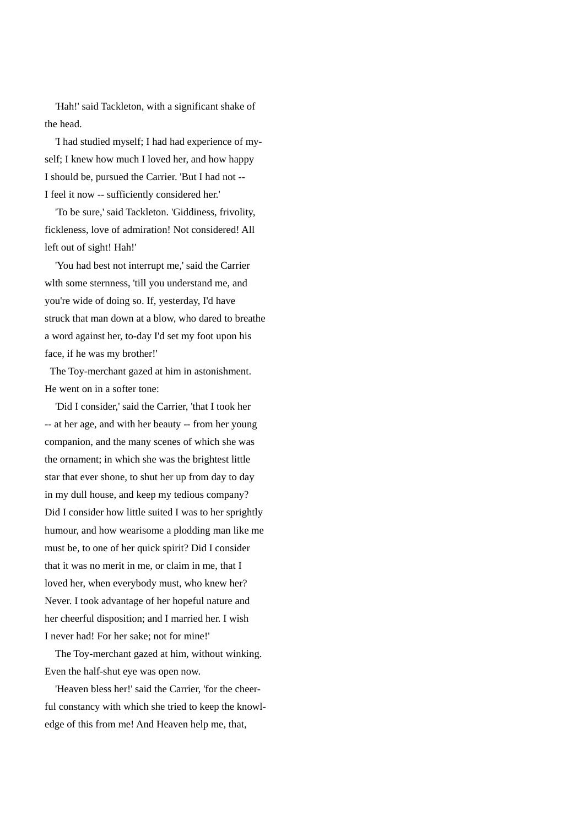'Hah!' said Tackleton, with a significant shake of the head.

 'I had studied myself; I had had experience of myself; I knew how much I loved her, and how happy I should be, pursued the Carrier. 'But I had not -- I feel it now -- sufficiently considered her.'

 'To be sure,' said Tackleton. 'Giddiness, frivolity, fickleness, love of admiration! Not considered! All left out of sight! Hah!'

 'You had best not interrupt me,' said the Carrier wlth some sternness, 'till you understand me, and you're wide of doing so. If, yesterday, I'd have struck that man down at a blow, who dared to breathe a word against her, to-day I'd set my foot upon his face, if he was my brother!'

 The Toy-merchant gazed at him in astonishment. He went on in a softer tone:

 'Did I consider,' said the Carrier, 'that I took her -- at her age, and with her beauty -- from her young companion, and the many scenes of which she was the ornament; in which she was the brightest little star that ever shone, to shut her up from day to day in my dull house, and keep my tedious company? Did I consider how little suited I was to her sprightly humour, and how wearisome a plodding man like me must be, to one of her quick spirit? Did I consider that it was no merit in me, or claim in me, that I loved her, when everybody must, who knew her? Never. I took advantage of her hopeful nature and her cheerful disposition; and I married her. I wish I never had! For her sake; not for mine!'

 The Toy-merchant gazed at him, without winking. Even the half-shut eye was open now.

 'Heaven bless her!' said the Carrier, 'for the cheerful constancy with which she tried to keep the knowledge of this from me! And Heaven help me, that,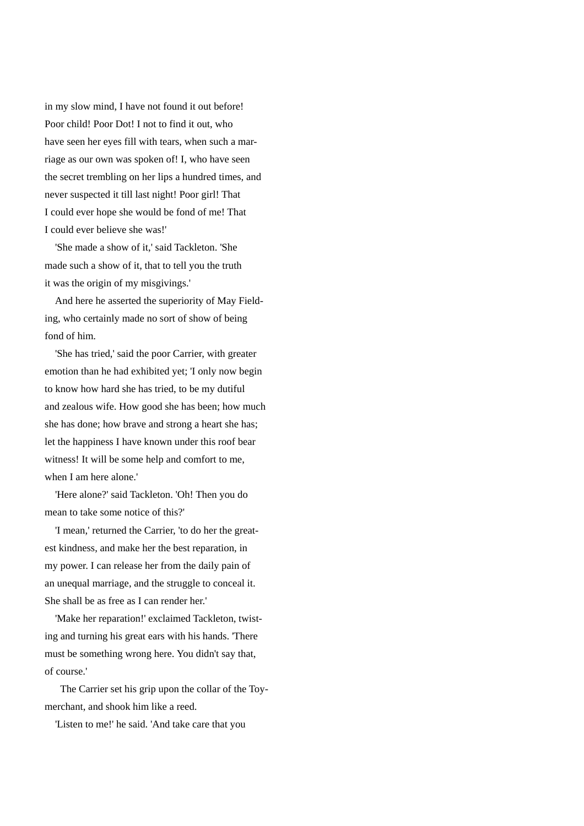in my slow mind, I have not found it out before! Poor child! Poor Dot! I not to find it out, who have seen her eyes fill with tears, when such a marriage as our own was spoken of! I, who have seen the secret trembling on her lips a hundred times, and never suspected it till last night! Poor girl! That I could ever hope she would be fond of me! That I could ever believe she was!'

 'She made a show of it,' said Tackleton. 'She made such a show of it, that to tell you the truth it was the origin of my misgivings.'

 And here he asserted the superiority of May Fielding, who certainly made no sort of show of being fond of him.

 'She has tried,' said the poor Carrier, with greater emotion than he had exhibited yet; 'I only now begin to know how hard she has tried, to be my dutiful and zealous wife. How good she has been; how much she has done; how brave and strong a heart she has; let the happiness I have known under this roof bear witness! It will be some help and comfort to me, when I am here alone.'

 'Here alone?' said Tackleton. 'Oh! Then you do mean to take some notice of this?'

 'I mean,' returned the Carrier, 'to do her the greatest kindness, and make her the best reparation, in my power. I can release her from the daily pain of an unequal marriage, and the struggle to conceal it. She shall be as free as I can render her.'

 'Make her reparation!' exclaimed Tackleton, twisting and turning his great ears with his hands. 'There must be something wrong here. You didn't say that, of course.'

 The Carrier set his grip upon the collar of the Toymerchant, and shook him like a reed.

'Listen to me!' he said. 'And take care that you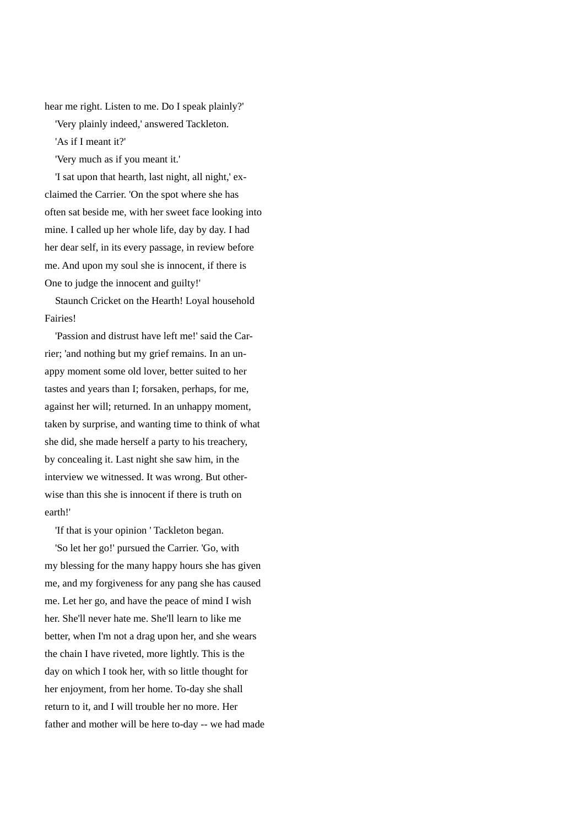hear me right. Listen to me. Do I speak plainly?'

'Very plainly indeed,' answered Tackleton.

'As if I meant it?'

'Very much as if you meant it.'

 'I sat upon that hearth, last night, all night,' exclaimed the Carrier. 'On the spot where she has often sat beside me, with her sweet face looking into mine. I called up her whole life, day by day. I had her dear self, in its every passage, in review before me. And upon my soul she is innocent, if there is One to judge the innocent and guilty!'

 Staunch Cricket on the Hearth! Loyal household Fairies!

 'Passion and distrust have left me!' said the Carrier; 'and nothing but my grief remains. In an unappy moment some old lover, better suited to her tastes and years than I; forsaken, perhaps, for me, against her will; returned. In an unhappy moment, taken by surprise, and wanting time to think of what she did, she made herself a party to his treachery, by concealing it. Last night she saw him, in the interview we witnessed. It was wrong. But otherwise than this she is innocent if there is truth on earth!'

'If that is your opinion ' Tackleton began.

 'So let her go!' pursued the Carrier. 'Go, with my blessing for the many happy hours she has given me, and my forgiveness for any pang she has caused me. Let her go, and have the peace of mind I wish her. She'll never hate me. She'll learn to like me better, when I'm not a drag upon her, and she wears the chain I have riveted, more lightly. This is the day on which I took her, with so little thought for her enjoyment, from her home. To-day she shall return to it, and I will trouble her no more. Her father and mother will be here to-day -- we had made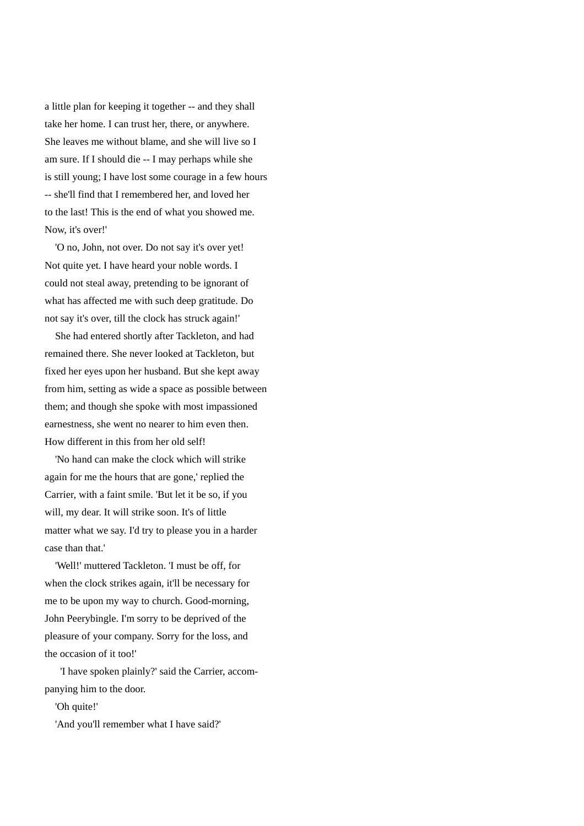a little plan for keeping it together -- and they shall take her home. I can trust her, there, or anywhere. She leaves me without blame, and she will live so I am sure. If I should die -- I may perhaps while she is still young; I have lost some courage in a few hours -- she'll find that I remembered her, and loved her to the last! This is the end of what you showed me. Now, it's over!'

 'O no, John, not over. Do not say it's over yet! Not quite yet. I have heard your noble words. I could not steal away, pretending to be ignorant of what has affected me with such deep gratitude. Do not say it's over, till the clock has struck again!'

 She had entered shortly after Tackleton, and had remained there. She never looked at Tackleton, but fixed her eyes upon her husband. But she kept away from him, setting as wide a space as possible between them; and though she spoke with most impassioned earnestness, she went no nearer to him even then. How different in this from her old self!

 'No hand can make the clock which will strike again for me the hours that are gone,' replied the Carrier, with a faint smile. 'But let it be so, if you will, my dear. It will strike soon. It's of little matter what we say. I'd try to please you in a harder case than that.'

 'Well!' muttered Tackleton. 'I must be off, for when the clock strikes again, it'll be necessary for me to be upon my way to church. Good-morning, John Peerybingle. I'm sorry to be deprived of the pleasure of your company. Sorry for the loss, and the occasion of it too!'

 'I have spoken plainly?' said the Carrier, accompanying him to the door.

'Oh quite!'

'And you'll remember what I have said?'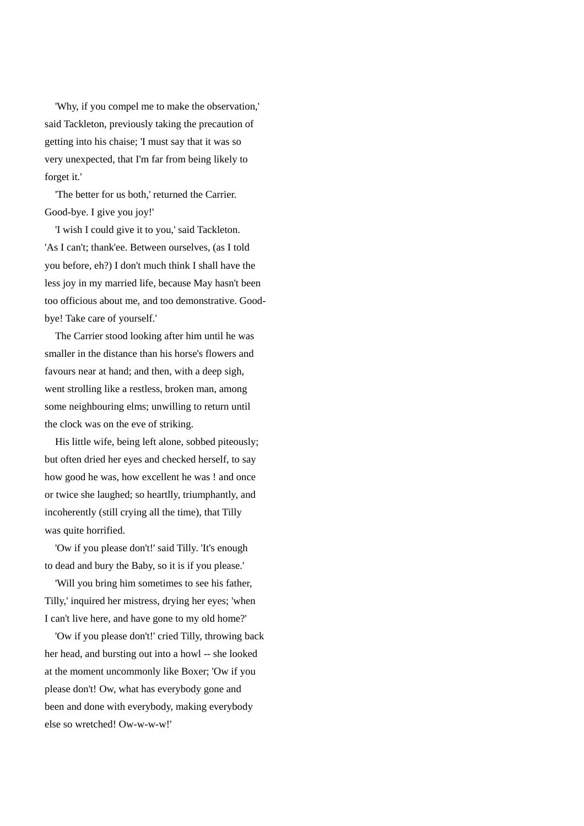'Why, if you compel me to make the observation,' said Tackleton, previously taking the precaution of getting into his chaise; 'I must say that it was so very unexpected, that I'm far from being likely to forget it.'

 'The better for us both,' returned the Carrier. Good-bye. I give you joy!'

 'I wish I could give it to you,' said Tackleton. 'As I can't; thank'ee. Between ourselves, (as I told you before, eh?) I don't much think I shall have the less joy in my married life, because May hasn't been too officious about me, and too demonstrative. Goodbye! Take care of yourself.'

 The Carrier stood looking after him until he was smaller in the distance than his horse's flowers and favours near at hand; and then, with a deep sigh, went strolling like a restless, broken man, among some neighbouring elms; unwilling to return until the clock was on the eve of striking.

 His little wife, being left alone, sobbed piteously; but often dried her eyes and checked herself, to say how good he was, how excellent he was ! and once or twice she laughed; so heartlly, triumphantly, and incoherently (still crying all the time), that Tilly was quite horrified.

 'Ow if you please don't!' said Tilly. 'It's enough to dead and bury the Baby, so it is if you please.'

 'Will you bring him sometimes to see his father, Tilly,' inquired her mistress, drying her eyes; 'when I can't live here, and have gone to my old home?'

 'Ow if you please don't!' cried Tilly, throwing back her head, and bursting out into a howl -- she looked at the moment uncommonly like Boxer; 'Ow if you please don't! Ow, what has everybody gone and been and done with everybody, making everybody else so wretched! Ow-w-w-w!'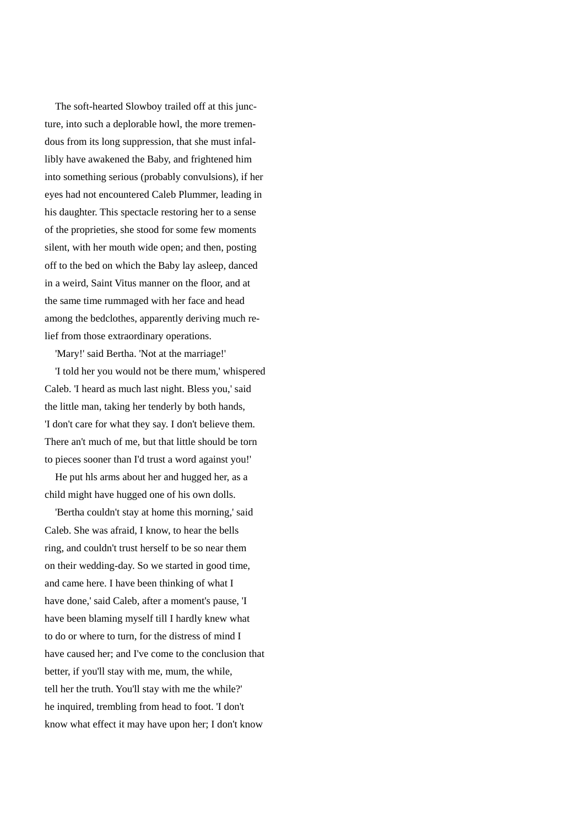The soft-hearted Slowboy trailed off at this juncture, into such a deplorable howl, the more tremendous from its long suppression, that she must infallibly have awakened the Baby, and frightened him into something serious (probably convulsions), if her eyes had not encountered Caleb Plummer, leading in his daughter. This spectacle restoring her to a sense of the proprieties, she stood for some few moments silent, with her mouth wide open; and then, posting off to the bed on which the Baby lay asleep, danced in a weird, Saint Vitus manner on the floor, and at the same time rummaged with her face and head among the bedclothes, apparently deriving much relief from those extraordinary operations.

'Mary!' said Bertha. 'Not at the marriage!'

 'I told her you would not be there mum,' whispered Caleb. 'I heard as much last night. Bless you,' said the little man, taking her tenderly by both hands, 'I don't care for what they say. I don't believe them. There an't much of me, but that little should be torn to pieces sooner than I'd trust a word against you!'

 He put hls arms about her and hugged her, as a child might have hugged one of his own dolls.

 'Bertha couldn't stay at home this morning,' said Caleb. She was afraid, I know, to hear the bells ring, and couldn't trust herself to be so near them on their wedding-day. So we started in good time, and came here. I have been thinking of what I have done,' said Caleb, after a moment's pause, 'I have been blaming myself till I hardly knew what to do or where to turn, for the distress of mind I have caused her; and I've come to the conclusion that better, if you'll stay with me, mum, the while, tell her the truth. You'll stay with me the while?' he inquired, trembling from head to foot. 'I don't know what effect it may have upon her; I don't know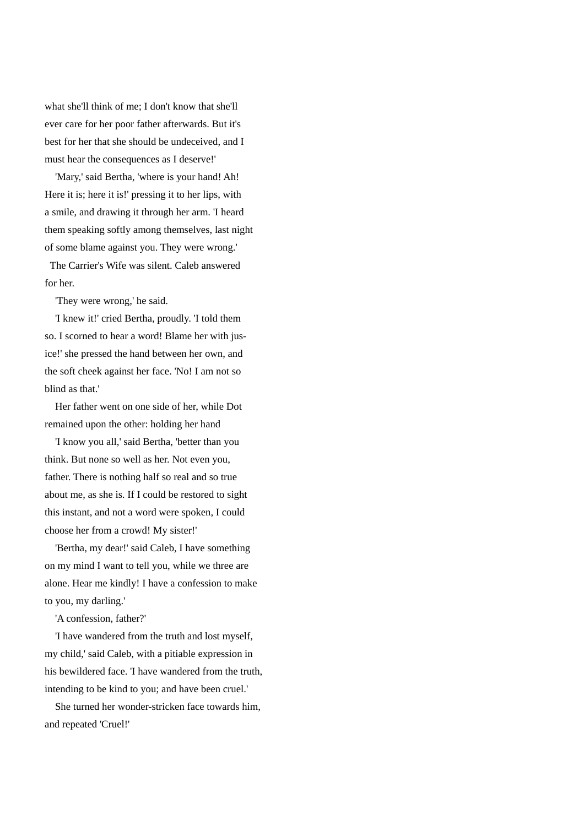what she'll think of me; I don't know that she'll ever care for her poor father afterwards. But it's best for her that she should be undeceived, and I must hear the consequences as I deserve!'

 'Mary,' said Bertha, 'where is your hand! Ah! Here it is; here it is!' pressing it to her lips, with a smile, and drawing it through her arm. 'I heard them speaking softly among themselves, last night of some blame against you. They were wrong.'

 The Carrier's Wife was silent. Caleb answered for her.

'They were wrong,' he said.

 'I knew it!' cried Bertha, proudly. 'I told them so. I scorned to hear a word! Blame her with jusice!' she pressed the hand between her own, and the soft cheek against her face. 'No! I am not so blind as that.'

 Her father went on one side of her, while Dot remained upon the other: holding her hand

 'I know you all,' said Bertha, 'better than you think. But none so well as her. Not even you, father. There is nothing half so real and so true about me, as she is. If I could be restored to sight this instant, and not a word were spoken, I could choose her from a crowd! My sister!'

 'Bertha, my dear!' said Caleb, I have something on my mind I want to tell you, while we three are alone. Hear me kindly! I have a confession to make to you, my darling.'

'A confession, father?'

 'I have wandered from the truth and lost myself, my child,' said Caleb, with a pitiable expression in his bewildered face. 'I have wandered from the truth, intending to be kind to you; and have been cruel.'

 She turned her wonder-stricken face towards him, and repeated 'Cruel!'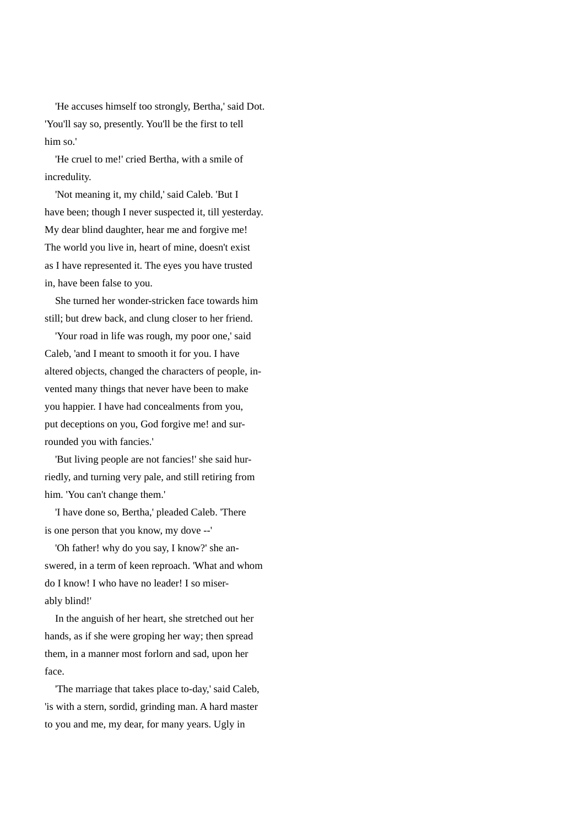'He accuses himself too strongly, Bertha,' said Dot. 'You'll say so, presently. You'll be the first to tell him so.'

 'He cruel to me!' cried Bertha, with a smile of incredulity.

 'Not meaning it, my child,' said Caleb. 'But I have been; though I never suspected it, till yesterday. My dear blind daughter, hear me and forgive me! The world you live in, heart of mine, doesn't exist as I have represented it. The eyes you have trusted in, have been false to you.

 She turned her wonder-stricken face towards him still; but drew back, and clung closer to her friend.

 'Your road in life was rough, my poor one,' said Caleb, 'and I meant to smooth it for you. I have altered objects, changed the characters of people, invented many things that never have been to make you happier. I have had concealments from you, put deceptions on you, God forgive me! and surrounded you with fancies.'

 'But living people are not fancies!' she said hurriedly, and turning very pale, and still retiring from him. 'You can't change them.'

 'I have done so, Bertha,' pleaded Caleb. 'There is one person that you know, my dove --'

 'Oh father! why do you say, I know?' she answered, in a term of keen reproach. 'What and whom do I know! I who have no leader! I so miserably blind!'

 In the anguish of her heart, she stretched out her hands, as if she were groping her way; then spread them, in a manner most forlorn and sad, upon her face.

 'The marriage that takes place to-day,' said Caleb, 'is with a stern, sordid, grinding man. A hard master to you and me, my dear, for many years. Ugly in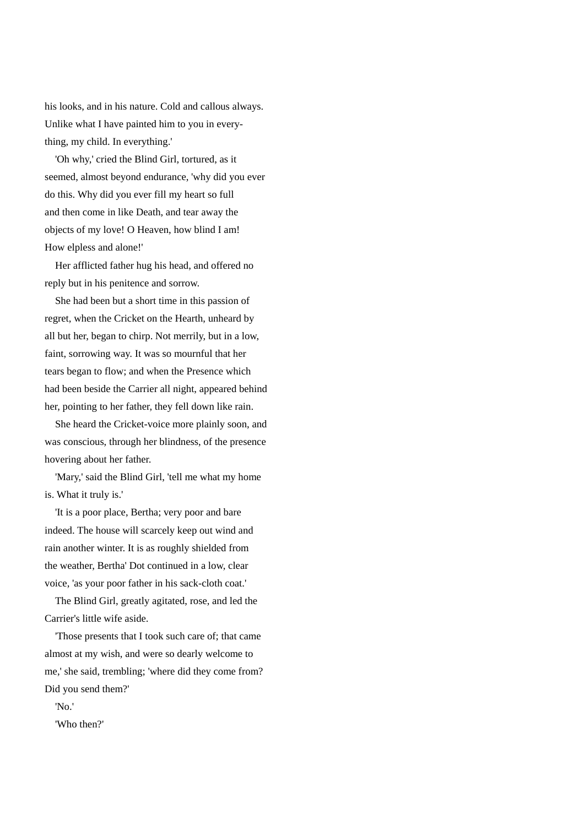his looks, and in his nature. Cold and callous always. Unlike what I have painted him to you in everything, my child. In everything.'

 'Oh why,' cried the Blind Girl, tortured, as it seemed, almost beyond endurance, 'why did you ever do this. Why did you ever fill my heart so full and then come in like Death, and tear away the objects of my love! O Heaven, how blind I am! How elpless and alone!'

 Her afflicted father hug his head, and offered no reply but in his penitence and sorrow.

 She had been but a short time in this passion of regret, when the Cricket on the Hearth, unheard by all but her, began to chirp. Not merrily, but in a low, faint, sorrowing way. It was so mournful that her tears began to flow; and when the Presence which had been beside the Carrier all night, appeared behind her, pointing to her father, they fell down like rain.

 She heard the Cricket-voice more plainly soon, and was conscious, through her blindness, of the presence hovering about her father.

 'Mary,' said the Blind Girl, 'tell me what my home is. What it truly is.'

 'It is a poor place, Bertha; very poor and bare indeed. The house will scarcely keep out wind and rain another winter. It is as roughly shielded from the weather, Bertha' Dot continued in a low, clear voice, 'as your poor father in his sack-cloth coat.'

 The Blind Girl, greatly agitated, rose, and led the Carrier's little wife aside.

 'Those presents that I took such care of; that came almost at my wish, and were so dearly welcome to me,' she said, trembling; 'where did they come from? Did you send them?'

'No.'

'Who then?'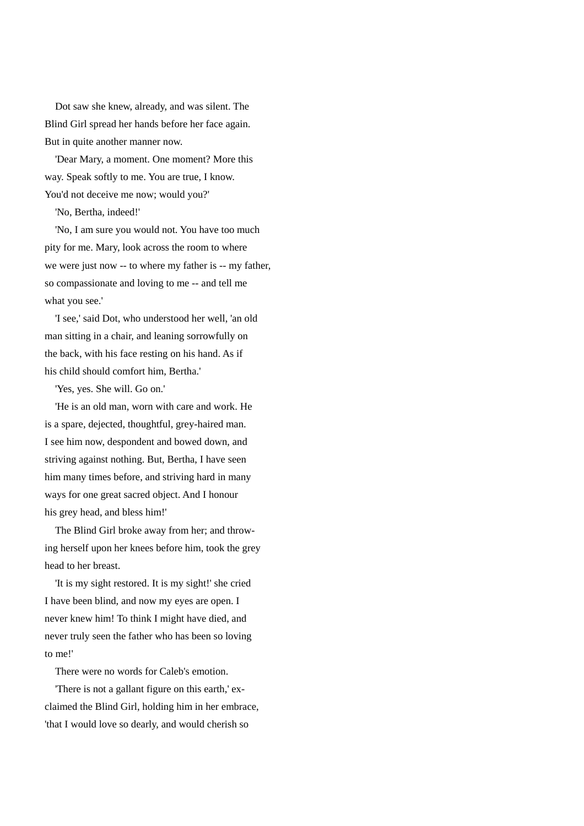Dot saw she knew, already, and was silent. The Blind Girl spread her hands before her face again. But in quite another manner now.

 'Dear Mary, a moment. One moment? More this way. Speak softly to me. You are true, I know. You'd not deceive me now; would you?'

'No, Bertha, indeed!'

 'No, I am sure you would not. You have too much pity for me. Mary, look across the room to where we were just now -- to where my father is -- my father, so compassionate and loving to me -- and tell me what you see.'

 'I see,' said Dot, who understood her well, 'an old man sitting in a chair, and leaning sorrowfully on the back, with his face resting on his hand. As if his child should comfort him, Bertha.'

'Yes, yes. She will. Go on.'

 'He is an old man, worn with care and work. He is a spare, dejected, thoughtful, grey-haired man. I see him now, despondent and bowed down, and striving against nothing. But, Bertha, I have seen him many times before, and striving hard in many ways for one great sacred object. And I honour his grey head, and bless him!'

 The Blind Girl broke away from her; and throwing herself upon her knees before him, took the grey head to her breast.

 'It is my sight restored. It is my sight!' she cried I have been blind, and now my eyes are open. I never knew him! To think I might have died, and never truly seen the father who has been so loving to me!'

There were no words for Caleb's emotion.

 'There is not a gallant figure on this earth,' exclaimed the Blind Girl, holding him in her embrace, 'that I would love so dearly, and would cherish so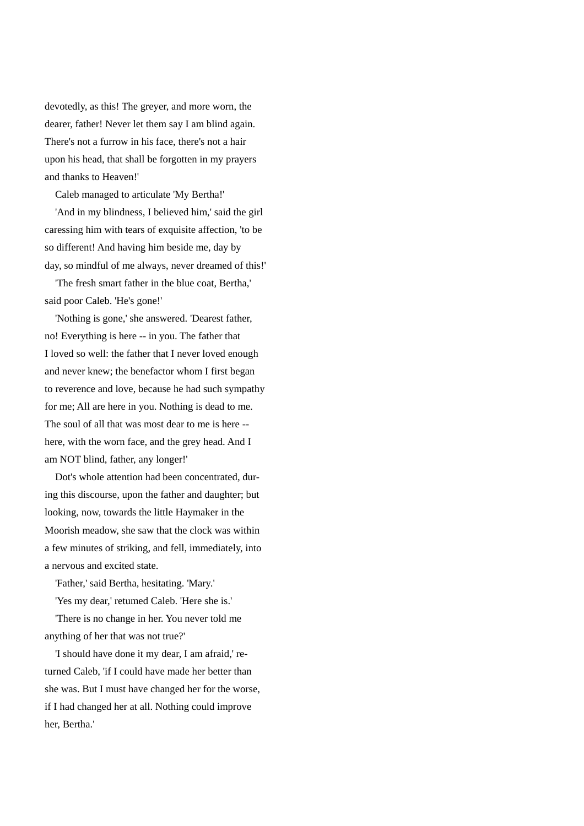devotedly, as this! The greyer, and more worn, the dearer, father! Never let them say I am blind again. There's not a furrow in his face, there's not a hair upon his head, that shall be forgotten in my prayers and thanks to Heaven!'

Caleb managed to articulate 'My Bertha!'

 'And in my blindness, I believed him,' said the girl caressing him with tears of exquisite affection, 'to be so different! And having him beside me, day by day, so mindful of me always, never dreamed of this!'

 'The fresh smart father in the blue coat, Bertha,' said poor Caleb. 'He's gone!'

 'Nothing is gone,' she answered. 'Dearest father, no! Everything is here -- in you. The father that I loved so well: the father that I never loved enough and never knew; the benefactor whom I first began to reverence and love, because he had such sympathy for me; All are here in you. Nothing is dead to me. The soul of all that was most dear to me is here - here, with the worn face, and the grey head. And I am NOT blind, father, any longer!'

 Dot's whole attention had been concentrated, during this discourse, upon the father and daughter; but looking, now, towards the little Haymaker in the Moorish meadow, she saw that the clock was within a few minutes of striking, and fell, immediately, into a nervous and excited state.

'Father,' said Bertha, hesitating. 'Mary.'

'Yes my dear,' retumed Caleb. 'Here she is.'

 'There is no change in her. You never told me anything of her that was not true?'

 'I should have done it my dear, I am afraid,' returned Caleb, 'if I could have made her better than she was. But I must have changed her for the worse, if I had changed her at all. Nothing could improve her, Bertha.'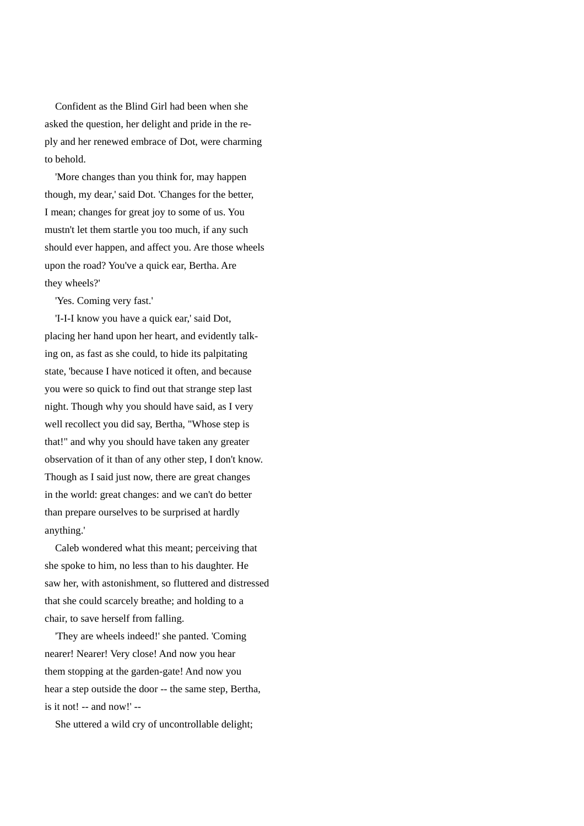Confident as the Blind Girl had been when she asked the question, her delight and pride in the reply and her renewed embrace of Dot, were charming to behold.

 'More changes than you think for, may happen though, my dear,' said Dot. 'Changes for the better, I mean; changes for great joy to some of us. You mustn't let them startle you too much, if any such should ever happen, and affect you. Are those wheels upon the road? You've a quick ear, Bertha. Are they wheels?'

'Yes. Coming very fast.'

 'I-I-I know you have a quick ear,' said Dot, placing her hand upon her heart, and evidently talking on, as fast as she could, to hide its palpitating state, 'because I have noticed it often, and because you were so quick to find out that strange step last night. Though why you should have said, as I very well recollect you did say, Bertha, "Whose step is that!" and why you should have taken any greater observation of it than of any other step, I don't know. Though as I said just now, there are great changes in the world: great changes: and we can't do better than prepare ourselves to be surprised at hardly anything.'

 Caleb wondered what this meant; perceiving that she spoke to him, no less than to his daughter. He saw her, with astonishment, so fluttered and distressed that she could scarcely breathe; and holding to a chair, to save herself from falling.

 'They are wheels indeed!' she panted. 'Coming nearer! Nearer! Very close! And now you hear them stopping at the garden-gate! And now you hear a step outside the door -- the same step, Bertha, is it not! -- and now!' --

She uttered a wild cry of uncontrollable delight;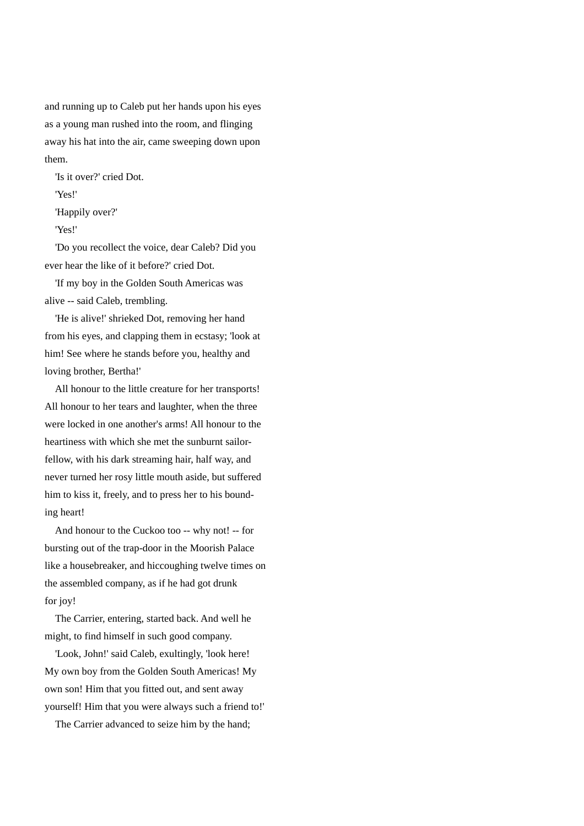and running up to Caleb put her hands upon his eyes as a young man rushed into the room, and flinging away his hat into the air, came sweeping down upon them.

'Is it over?' cried Dot.

'Yes!'

'Happily over?'

'Yes!'

 'Do you recollect the voice, dear Caleb? Did you ever hear the like of it before?' cried Dot.

 'If my boy in the Golden South Americas was alive -- said Caleb, trembling.

 'He is alive!' shrieked Dot, removing her hand from his eyes, and clapping them in ecstasy; 'look at him! See where he stands before you, healthy and loving brother, Bertha!'

 All honour to the little creature for her transports! All honour to her tears and laughter, when the three were locked in one another's arms! All honour to the heartiness with which she met the sunburnt sailorfellow, with his dark streaming hair, half way, and never turned her rosy little mouth aside, but suffered him to kiss it, freely, and to press her to his bounding heart!

 And honour to the Cuckoo too -- why not! -- for bursting out of the trap-door in the Moorish Palace like a housebreaker, and hiccoughing twelve times on the assembled company, as if he had got drunk for joy!

 The Carrier, entering, started back. And well he might, to find himself in such good company.

 'Look, John!' said Caleb, exultingly, 'look here! My own boy from the Golden South Americas! My own son! Him that you fitted out, and sent away yourself! Him that you were always such a friend to!'

The Carrier advanced to seize him by the hand;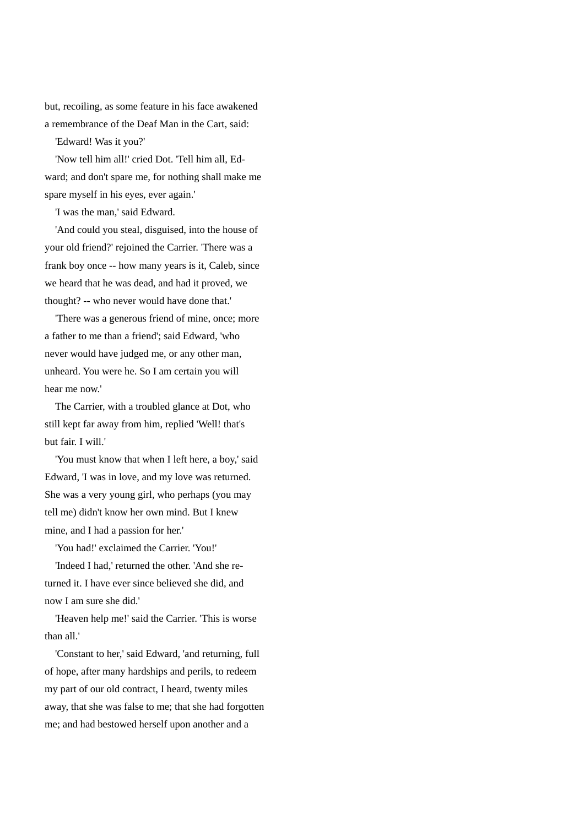but, recoiling, as some feature in his face awakened a remembrance of the Deaf Man in the Cart, said:

'Edward! Was it you?'

 'Now tell him all!' cried Dot. 'Tell him all, Edward; and don't spare me, for nothing shall make me spare myself in his eyes, ever again.'

'I was the man,' said Edward.

 'And could you steal, disguised, into the house of your old friend?' rejoined the Carrier. 'There was a frank boy once -- how many years is it, Caleb, since we heard that he was dead, and had it proved, we thought? -- who never would have done that.'

 'There was a generous friend of mine, once; more a father to me than a friend'; said Edward, 'who never would have judged me, or any other man, unheard. You were he. So I am certain you will hear me now.'

 The Carrier, with a troubled glance at Dot, who still kept far away from him, replied 'Well! that's but fair. I will.'

 'You must know that when I left here, a boy,' said Edward, 'I was in love, and my love was returned. She was a very young girl, who perhaps (you may tell me) didn't know her own mind. But I knew mine, and I had a passion for her.'

'You had!' exclaimed the Carrier. 'You!'

 'Indeed I had,' returned the other. 'And she returned it. I have ever since believed she did, and now I am sure she did.'

 'Heaven help me!' said the Carrier. 'This is worse than all.'

 'Constant to her,' said Edward, 'and returning, full of hope, after many hardships and perils, to redeem my part of our old contract, I heard, twenty miles away, that she was false to me; that she had forgotten me; and had bestowed herself upon another and a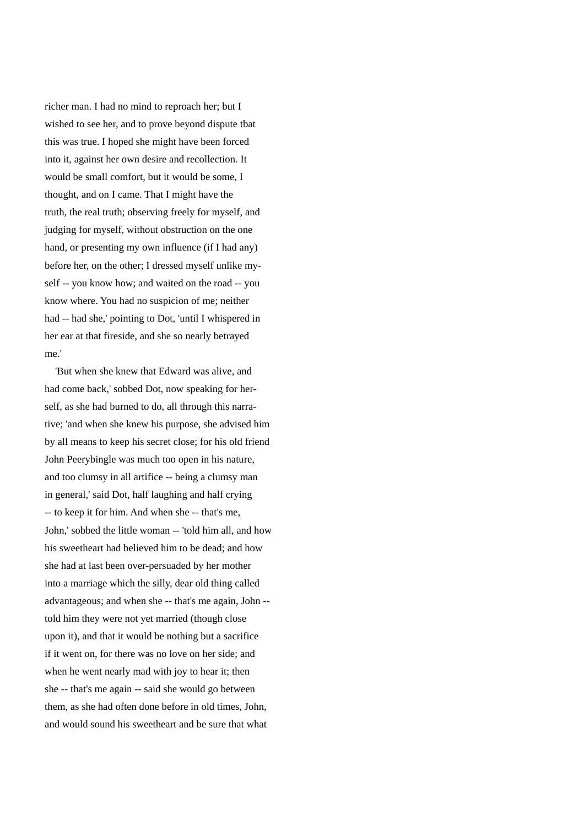richer man. I had no mind to reproach her; but I wished to see her, and to prove beyond dispute tbat this was true. I hoped she might have been forced into it, against her own desire and recollection. It would be small comfort, but it would be some, I thought, and on I came. That I might have the truth, the real truth; observing freely for myself, and judging for myself, without obstruction on the one hand, or presenting my own influence (if I had any) before her, on the other; I dressed myself unlike myself -- you know how; and waited on the road -- you know where. You had no suspicion of me; neither had -- had she,' pointing to Dot, 'until I whispered in her ear at that fireside, and she so nearly betrayed me.'

 'But when she knew that Edward was alive, and had come back,' sobbed Dot, now speaking for herself, as she had burned to do, all through this narrative; 'and when she knew his purpose, she advised him by all means to keep his secret close; for his old friend John Peerybingle was much too open in his nature, and too clumsy in all artifice -- being a clumsy man in general,' said Dot, half laughing and half crying -- to keep it for him. And when she -- that's me, John,' sobbed the little woman -- 'told him all, and how his sweetheart had believed him to be dead; and how she had at last been over-persuaded by her mother into a marriage which the silly, dear old thing called advantageous; and when she -- that's me again, John - told him they were not yet married (though close upon it), and that it would be nothing but a sacrifice if it went on, for there was no love on her side; and when he went nearly mad with joy to hear it; then she -- that's me again -- said she would go between them, as she had often done before in old times, John, and would sound his sweetheart and be sure that what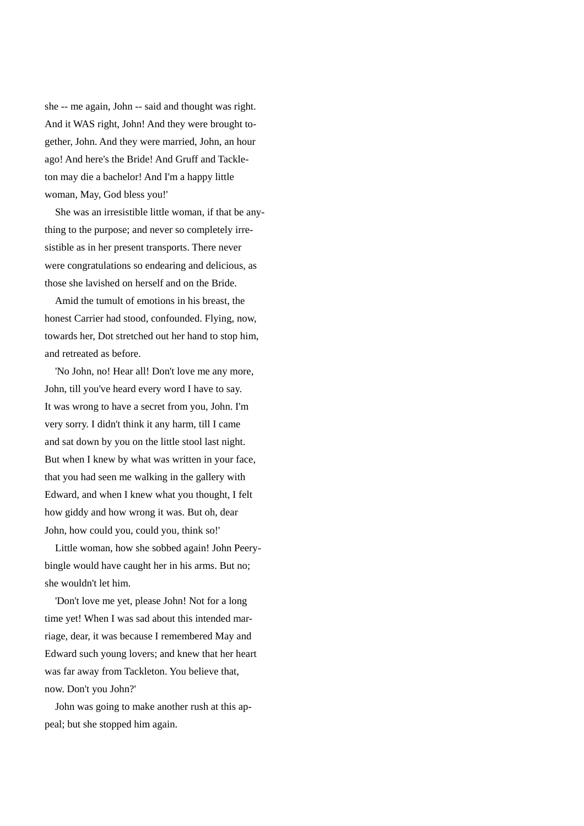she -- me again, John -- said and thought was right. And it WAS right, John! And they were brought together, John. And they were married, John, an hour ago! And here's the Bride! And Gruff and Tackleton may die a bachelor! And I'm a happy little woman, May, God bless you!'

 She was an irresistible little woman, if that be anything to the purpose; and never so completely irresistible as in her present transports. There never were congratulations so endearing and delicious, as those she lavished on herself and on the Bride.

 Amid the tumult of emotions in his breast, the honest Carrier had stood, confounded. Flying, now, towards her, Dot stretched out her hand to stop him, and retreated as before.

 'No John, no! Hear all! Don't love me any more, John, till you've heard every word I have to say. It was wrong to have a secret from you, John. I'm very sorry. I didn't think it any harm, till I came and sat down by you on the little stool last night. But when I knew by what was written in your face, that you had seen me walking in the gallery with Edward, and when I knew what you thought, I felt how giddy and how wrong it was. But oh, dear John, how could you, could you, think so!'

 Little woman, how she sobbed again! John Peerybingle would have caught her in his arms. But no; she wouldn't let him.

 'Don't love me yet, please John! Not for a long time yet! When I was sad about this intended marriage, dear, it was because I remembered May and Edward such young lovers; and knew that her heart was far away from Tackleton. You believe that, now. Don't you John?'

 John was going to make another rush at this appeal; but she stopped him again.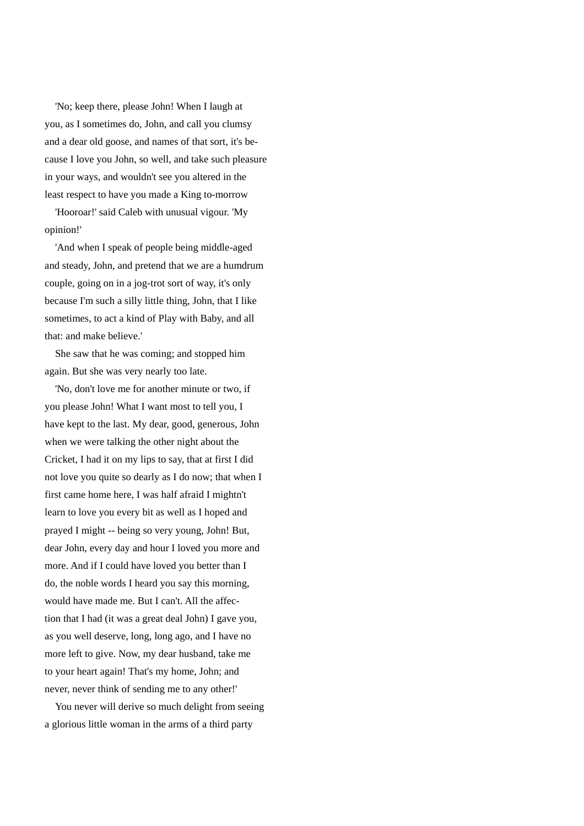'No; keep there, please John! When I laugh at you, as I sometimes do, John, and call you clumsy and a dear old goose, and names of that sort, it's because I love you John, so well, and take such pleasure in your ways, and wouldn't see you altered in the least respect to have you made a King to-morrow

 'Hooroar!' said Caleb with unusual vigour. 'My opinion!'

 'And when I speak of people being middle-aged and steady, John, and pretend that we are a humdrum couple, going on in a jog-trot sort of way, it's only because I'm such a silly little thing, John, that I like sometimes, to act a kind of Play with Baby, and all that: and make believe.'

 She saw that he was coming; and stopped him again. But she was very nearly too late.

 'No, don't love me for another minute or two, if you please John! What I want most to tell you, I have kept to the last. My dear, good, generous, John when we were talking the other night about the Cricket, I had it on my lips to say, that at first I did not love you quite so dearly as I do now; that when I first came home here, I was half afraid I mightn't learn to love you every bit as well as I hoped and prayed I might -- being so very young, John! But, dear John, every day and hour I loved you more and more. And if I could have loved you better than I do, the noble words I heard you say this morning, would have made me. But I can't. All the affection that I had (it was a great deal John) I gave you, as you well deserve, long, long ago, and I have no more left to give. Now, my dear husband, take me to your heart again! That's my home, John; and never, never think of sending me to any other!'

 You never will derive so much delight from seeing a glorious little woman in the arms of a third party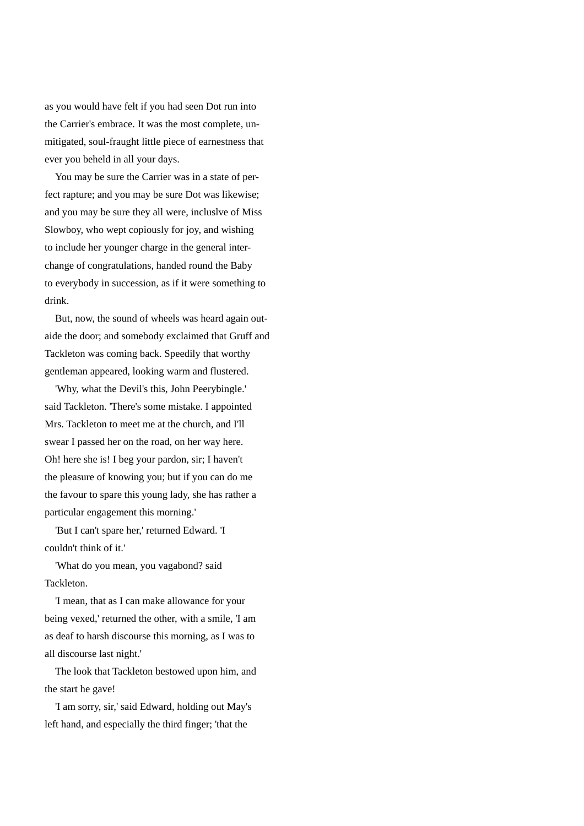as you would have felt if you had seen Dot run into the Carrier's embrace. It was the most complete, unmitigated, soul-fraught little piece of earnestness that ever you beheld in all your days.

 You may be sure the Carrier was in a state of perfect rapture; and you may be sure Dot was likewise; and you may be sure they all were, incluslve of Miss Slowboy, who wept copiously for joy, and wishing to include her younger charge in the general interchange of congratulations, handed round the Baby to everybody in succession, as if it were something to drink.

 But, now, the sound of wheels was heard again outaide the door; and somebody exclaimed that Gruff and Tackleton was coming back. Speedily that worthy gentleman appeared, looking warm and flustered.

 'Why, what the Devil's this, John Peerybingle.' said Tackleton. 'There's some mistake. I appointed Mrs. Tackleton to meet me at the church, and I'll swear I passed her on the road, on her way here. Oh! here she is! I beg your pardon, sir; I haven't the pleasure of knowing you; but if you can do me the favour to spare this young lady, she has rather a particular engagement this morning.'

 'But I can't spare her,' returned Edward. 'I couldn't think of it.'

 'What do you mean, you vagabond? said Tackleton.

 'I mean, that as I can make allowance for your being vexed,' returned the other, with a smile, 'I am as deaf to harsh discourse this morning, as I was to all discourse last night.'

 The look that Tackleton bestowed upon him, and the start he gave!

 'I am sorry, sir,' said Edward, holding out May's left hand, and especially the third finger; 'that the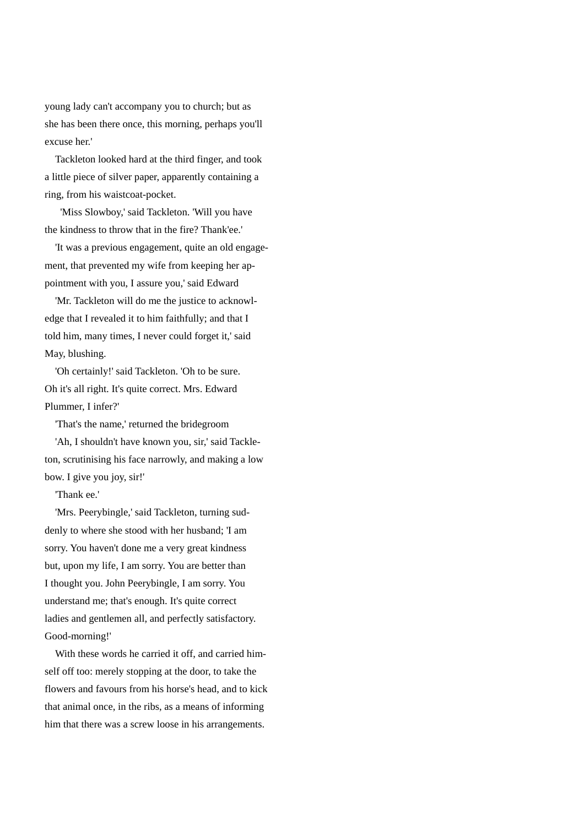young lady can't accompany you to church; but as she has been there once, this morning, perhaps you'll excuse her.'

 Tackleton looked hard at the third finger, and took a little piece of silver paper, apparently containing a ring, from his waistcoat-pocket.

 'Miss Slowboy,' said Tackleton. 'Will you have the kindness to throw that in the fire? Thank'ee.'

 'It was a previous engagement, quite an old engagement, that prevented my wife from keeping her appointment with you, I assure you,' said Edward

 'Mr. Tackleton will do me the justice to acknowledge that I revealed it to him faithfully; and that I told him, many times, I never could forget it,' said May, blushing.

 'Oh certainly!' said Tackleton. 'Oh to be sure. Oh it's all right. It's quite correct. Mrs. Edward Plummer, I infer?'

'That's the name,' returned the bridegroom

 'Ah, I shouldn't have known you, sir,' said Tackleton, scrutinising his face narrowly, and making a low bow. I give you joy, sir!'

'Thank ee.'

 'Mrs. Peerybingle,' said Tackleton, turning suddenly to where she stood with her husband; 'I am sorry. You haven't done me a very great kindness but, upon my life, I am sorry. You are better than I thought you. John Peerybingle, I am sorry. You understand me; that's enough. It's quite correct ladies and gentlemen all, and perfectly satisfactory. Good-morning!'

 With these words he carried it off, and carried himself off too: merely stopping at the door, to take the flowers and favours from his horse's head, and to kick that animal once, in the ribs, as a means of informing him that there was a screw loose in his arrangements.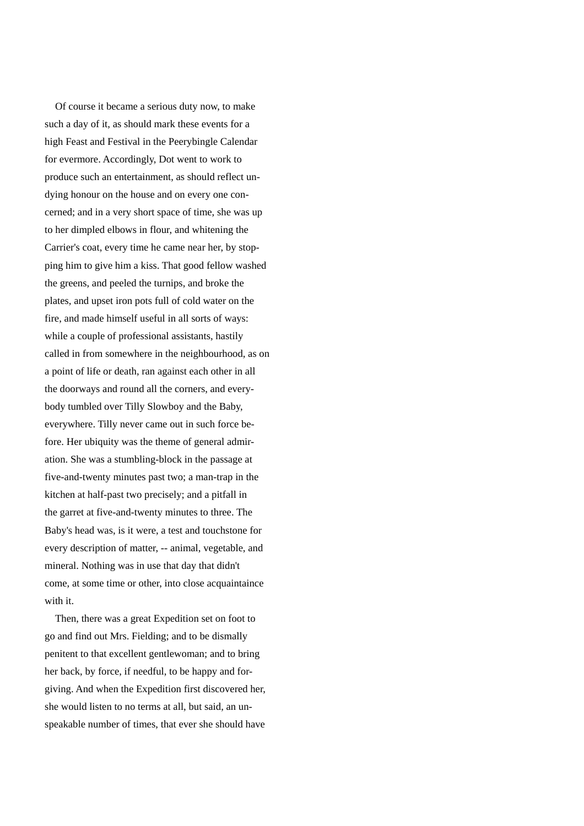Of course it became a serious duty now, to make such a day of it, as should mark these events for a high Feast and Festival in the Peerybingle Calendar for evermore. Accordingly, Dot went to work to produce such an entertainment, as should reflect undying honour on the house and on every one concerned; and in a very short space of time, she was up to her dimpled elbows in flour, and whitening the Carrier's coat, every time he came near her, by stopping him to give him a kiss. That good fellow washed the greens, and peeled the turnips, and broke the plates, and upset iron pots full of cold water on the fire, and made himself useful in all sorts of ways: while a couple of professional assistants, hastily called in from somewhere in the neighbourhood, as on a point of life or death, ran against each other in all the doorways and round all the corners, and everybody tumbled over Tilly Slowboy and the Baby, everywhere. Tilly never came out in such force before. Her ubiquity was the theme of general admiration. She was a stumbling-block in the passage at five-and-twenty minutes past two; a man-trap in the kitchen at half-past two precisely; and a pitfall in the garret at five-and-twenty minutes to three. The Baby's head was, is it were, a test and touchstone for every description of matter, -- animal, vegetable, and mineral. Nothing was in use that day that didn't come, at some time or other, into close acquaintaince with it.

 Then, there was a great Expedition set on foot to go and find out Mrs. Fielding; and to be dismally penitent to that excellent gentlewoman; and to bring her back, by force, if needful, to be happy and forgiving. And when the Expedition first discovered her, she would listen to no terms at all, but said, an unspeakable number of times, that ever she should have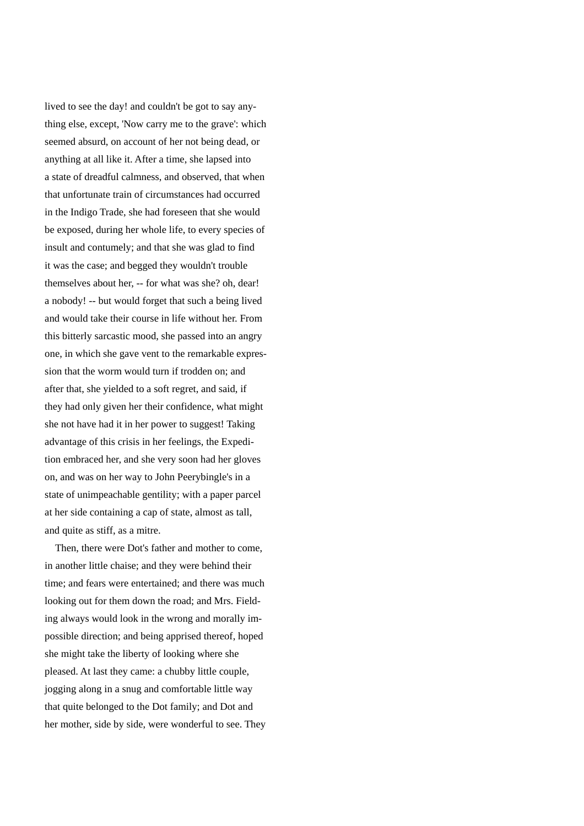lived to see the day! and couldn't be got to say anything else, except, 'Now carry me to the grave': which seemed absurd, on account of her not being dead, or anything at all like it. After a time, she lapsed into a state of dreadful calmness, and observed, that when that unfortunate train of circumstances had occurred in the Indigo Trade, she had foreseen that she would be exposed, during her whole life, to every species of insult and contumely; and that she was glad to find it was the case; and begged they wouldn't trouble themselves about her, -- for what was she? oh, dear! a nobody! -- but would forget that such a being lived and would take their course in life without her. From this bitterly sarcastic mood, she passed into an angry one, in which she gave vent to the remarkable expression that the worm would turn if trodden on; and after that, she yielded to a soft regret, and said, if they had only given her their confidence, what might she not have had it in her power to suggest! Taking advantage of this crisis in her feelings, the Expedition embraced her, and she very soon had her gloves on, and was on her way to John Peerybingle's in a state of unimpeachable gentility; with a paper parcel at her side containing a cap of state, almost as tall, and quite as stiff, as a mitre.

 Then, there were Dot's father and mother to come, in another little chaise; and they were behind their time; and fears were entertained; and there was much looking out for them down the road; and Mrs. Fielding always would look in the wrong and morally impossible direction; and being apprised thereof, hoped she might take the liberty of looking where she pleased. At last they came: a chubby little couple, jogging along in a snug and comfortable little way that quite belonged to the Dot family; and Dot and her mother, side by side, were wonderful to see. They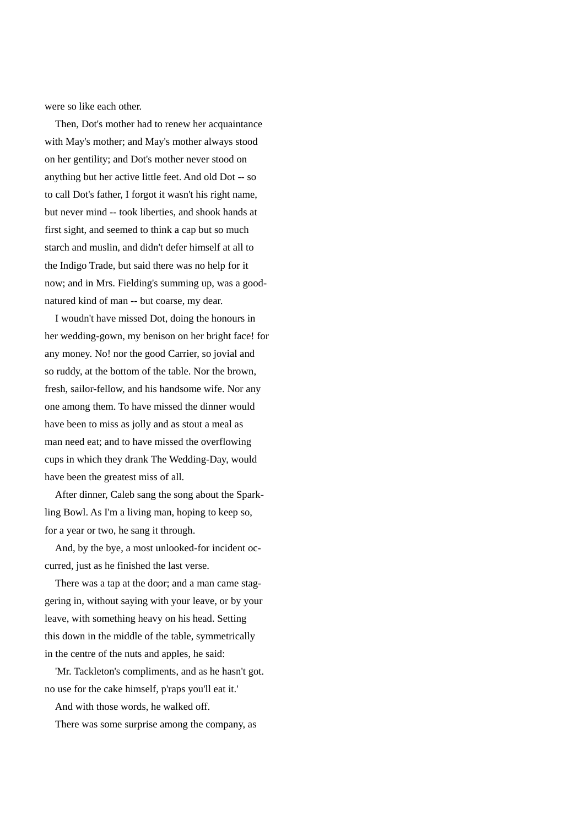were so like each other.

 Then, Dot's mother had to renew her acquaintance with May's mother; and May's mother always stood on her gentility; and Dot's mother never stood on anything but her active little feet. And old Dot -- so to call Dot's father, I forgot it wasn't his right name, but never mind -- took liberties, and shook hands at first sight, and seemed to think a cap but so much starch and muslin, and didn't defer himself at all to the Indigo Trade, but said there was no help for it now; and in Mrs. Fielding's summing up, was a goodnatured kind of man -- but coarse, my dear.

 I woudn't have missed Dot, doing the honours in her wedding-gown, my benison on her bright face! for any money. No! nor the good Carrier, so jovial and so ruddy, at the bottom of the table. Nor the brown, fresh, sailor-fellow, and his handsome wife. Nor any one among them. To have missed the dinner would have been to miss as jolly and as stout a meal as man need eat; and to have missed the overflowing cups in which they drank The Wedding-Day, would have been the greatest miss of all.

 After dinner, Caleb sang the song about the Sparkling Bowl. As I'm a living man, hoping to keep so, for a year or two, he sang it through.

 And, by the bye, a most unlooked-for incident occurred, just as he finished the last verse.

 There was a tap at the door; and a man came staggering in, without saying with your leave, or by your leave, with something heavy on his head. Setting this down in the middle of the table, symmetrically in the centre of the nuts and apples, he said:

 'Mr. Tackleton's compliments, and as he hasn't got. no use for the cake himself, p'raps you'll eat it.'

And with those words, he walked off.

There was some surprise among the company, as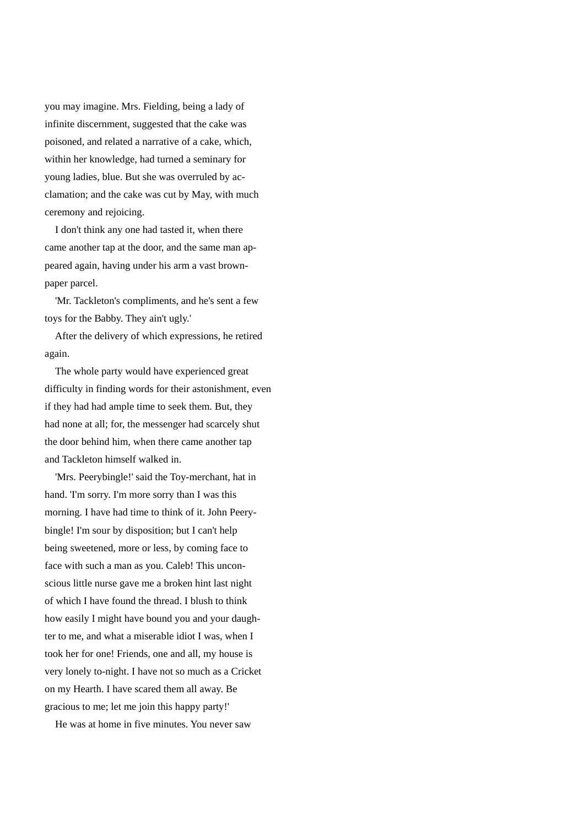you may imagine. Mrs. Fielding, being a lady of infinite discernment, suggested that the cake was poisoned, and related a narrative of a cake, which, within her knowledge, had turned a seminary for young ladies, blue. But she was overruled by acclamation; and the cake was cut by May, with much ceremony and rejoicing.

 I don't think any one had tasted it, when there came another tap at the door, and the same man appeared again, having under his arm a vast brownpaper parcel.

 'Mr. Tackleton's compliments, and he's sent a few toys for the Babby. They ain't ugly.'

 After the delivery of which expressions, he retired again.

 The whole party would have experienced great difficulty in finding words for their astonishment, even if they had had ample time to seek them. But, they had none at all; for, the messenger had scarcely shut the door behind him, when there came another tap and Tackleton himself walked in.

 'Mrs. Peerybingle!' said the Toy-merchant, hat in hand. 'I'm sorry. I'm more sorry than I was this morning. I have had time to think of it. John Peerybingle! I'm sour by disposition; but I can't help being sweetened, more or less, by coming face to face with such a man as you. Caleb! This unconscious little nurse gave me a broken hint last night of which I have found the thread. I blush to think how easily I might have bound you and your daughter to me, and what a miserable idiot I was, when I took her for one! Friends, one and all, my house is very lonely to-night. I have not so much as a Cricket on my Hearth. I have scared them all away. Be gracious to me; let me join this happy party!'

He was at home in five minutes. You never saw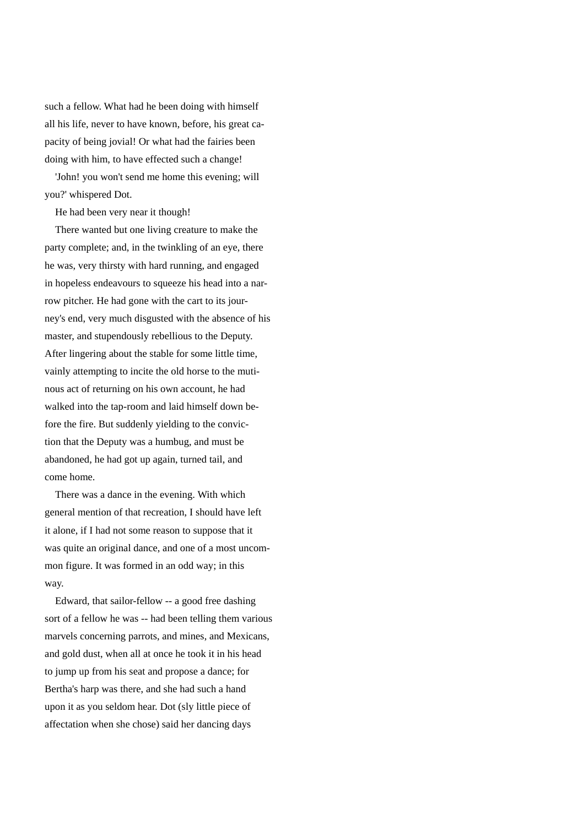such a fellow. What had he been doing with himself all his life, never to have known, before, his great capacity of being jovial! Or what had the fairies been doing with him, to have effected such a change!

 'John! you won't send me home this evening; will you?' whispered Dot.

He had been very near it though!

 There wanted but one living creature to make the party complete; and, in the twinkling of an eye, there he was, very thirsty with hard running, and engaged in hopeless endeavours to squeeze his head into a narrow pitcher. He had gone with the cart to its journey's end, very much disgusted with the absence of his master, and stupendously rebellious to the Deputy. After lingering about the stable for some little time, vainly attempting to incite the old horse to the mutinous act of returning on his own account, he had walked into the tap-room and laid himself down before the fire. But suddenly yielding to the conviction that the Deputy was a humbug, and must be abandoned, he had got up again, turned tail, and come home.

 There was a dance in the evening. With which general mention of that recreation, I should have left it alone, if I had not some reason to suppose that it was quite an original dance, and one of a most uncommon figure. It was formed in an odd way; in this way.

 Edward, that sailor-fellow -- a good free dashing sort of a fellow he was -- had been telling them various marvels concerning parrots, and mines, and Mexicans, and gold dust, when all at once he took it in his head to jump up from his seat and propose a dance; for Bertha's harp was there, and she had such a hand upon it as you seldom hear. Dot (sly little piece of affectation when she chose) said her dancing days